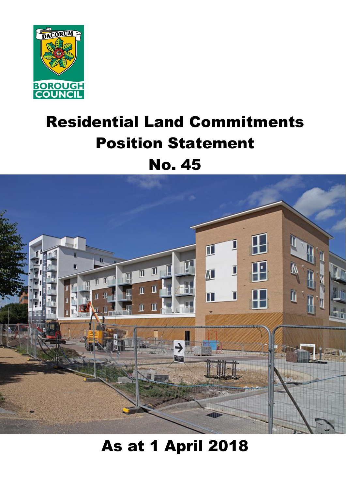

# Residential Land Commitments Position Statement No. 45



# As at 1 April 2018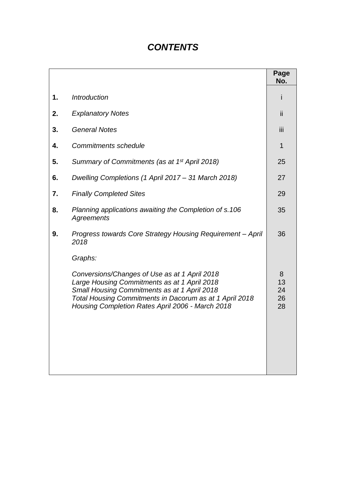# *CONTENTS*

|    |                                                                                                                                                                                                                                                                         | Page<br>No.               |
|----|-------------------------------------------------------------------------------------------------------------------------------------------------------------------------------------------------------------------------------------------------------------------------|---------------------------|
| 1. | <b>Introduction</b>                                                                                                                                                                                                                                                     |                           |
| 2. | <b>Explanatory Notes</b>                                                                                                                                                                                                                                                | Ϊİ                        |
| 3. | <b>General Notes</b>                                                                                                                                                                                                                                                    | iij                       |
| 4. | <b>Commitments schedule</b>                                                                                                                                                                                                                                             | 1                         |
| 5. | Summary of Commitments (as at 1 <sup>st</sup> April 2018)                                                                                                                                                                                                               | 25                        |
| 6. | Dwelling Completions (1 April 2017 – 31 March 2018)                                                                                                                                                                                                                     | 27                        |
| 7. | <b>Finally Completed Sites</b>                                                                                                                                                                                                                                          | 29                        |
| 8. | Planning applications awaiting the Completion of s.106<br>Agreements                                                                                                                                                                                                    | 35                        |
| 9. | Progress towards Core Strategy Housing Requirement - April<br>2018                                                                                                                                                                                                      | 36                        |
|    | Graphs:<br>Conversions/Changes of Use as at 1 April 2018<br>Large Housing Commitments as at 1 April 2018<br>Small Housing Commitments as at 1 April 2018<br>Total Housing Commitments in Dacorum as at 1 April 2018<br>Housing Completion Rates April 2006 - March 2018 | 8<br>13<br>24<br>26<br>28 |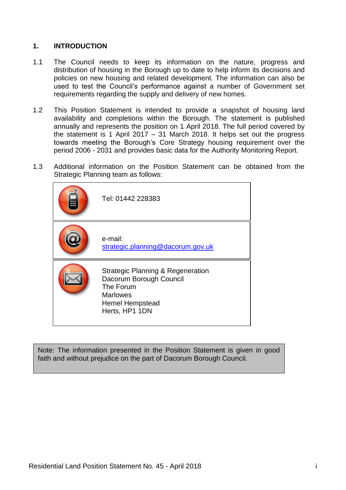#### **1. INTRODUCTION**

- 1.1 The Council needs to keep its information on the nature, progress and distribution of housing in the Borough up to date to help inform its decisions and policies on new housing and related development. The information can also be used to test the Council's performance against a number of Government set requirements regarding the supply and delivery of new homes.
- 1.2 This Position Statement is intended to provide a snapshot of housing land availability and completions within the Borough. The statement is published annually and represents the position on 1 April 2018. The full period covered by the statement is 1 April 2017 – 31 March 2018. It helps set out the progress towards meeting the Borough's Core Strategy housing requirement over the period 2006 - 2031 and provides basic data for the Authority Monitoring Report.
- 1.3 Additional information on the Position Statement can be obtained from the Strategic Planning team as follows:

| Tel: 01442 228383                                                                                                                                   |
|-----------------------------------------------------------------------------------------------------------------------------------------------------|
| e-mail:<br>strategic.planning@dacorum.gov.uk                                                                                                        |
| <b>Strategic Planning &amp; Regeneration</b><br>Dacorum Borough Council<br>The Forum<br><b>Marlowes</b><br><b>Hemel Hempstead</b><br>Herts, HP1 1DN |

Note: The information presented in the Position Statement is given in good faith and without prejudice on the part of Dacorum Borough Council.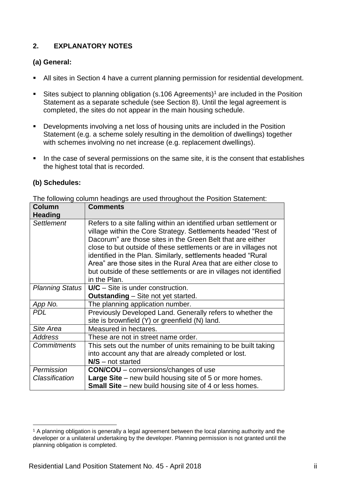### **2. EXPLANATORY NOTES**

#### **(a) General:**

- All sites in Section 4 have a current planning permission for residential development.
- Sites subject to planning obligation (s.106 Agreements)<sup>1</sup> are included in the Position Statement as a separate schedule (see Section 8). Until the legal agreement is completed, the sites do not appear in the main housing schedule.
- **Developments involving a net loss of housing units are included in the Position** Statement (e.g. a scheme solely resulting in the demolition of dwellings) together with schemes involving no net increase (e.g. replacement dwellings).
- In the case of several permissions on the same site, it is the consent that establishes the highest total that is recorded.

#### **(b) Schedules:**

The following column headings are used throughout the Position Statement:

| <b>Column</b><br><b>Heading</b> | <b>Comments</b>                                                                                                                                                                                                                                                                                                                                                                                                                                                                                |
|---------------------------------|------------------------------------------------------------------------------------------------------------------------------------------------------------------------------------------------------------------------------------------------------------------------------------------------------------------------------------------------------------------------------------------------------------------------------------------------------------------------------------------------|
| <b>Settlement</b>               | Refers to a site falling within an identified urban settlement or<br>village within the Core Strategy. Settlements headed "Rest of<br>Dacorum" are those sites in the Green Belt that are either<br>close to but outside of these settlements or are in villages not<br>identified in the Plan. Similarly, settlements headed "Rural<br>Area" are those sites in the Rural Area that are either close to<br>but outside of these settlements or are in villages not identified<br>in the Plan. |
| <b>Planning Status</b>          | $U/C - Site$ is under construction.                                                                                                                                                                                                                                                                                                                                                                                                                                                            |
|                                 | <b>Outstanding</b> – Site not yet started.                                                                                                                                                                                                                                                                                                                                                                                                                                                     |
| App No.                         | The planning application number.                                                                                                                                                                                                                                                                                                                                                                                                                                                               |
| <b>PDL</b>                      | Previously Developed Land. Generally refers to whether the<br>site is brownfield (Y) or greenfield (N) land.                                                                                                                                                                                                                                                                                                                                                                                   |
| Site Area                       | Measured in hectares.                                                                                                                                                                                                                                                                                                                                                                                                                                                                          |
| <b>Address</b>                  | These are not in street name order.                                                                                                                                                                                                                                                                                                                                                                                                                                                            |
| <b>Commitments</b>              | This sets out the number of units remaining to be built taking                                                                                                                                                                                                                                                                                                                                                                                                                                 |
|                                 | into account any that are already completed or lost.                                                                                                                                                                                                                                                                                                                                                                                                                                           |
|                                 | $N/S$ – not started                                                                                                                                                                                                                                                                                                                                                                                                                                                                            |
| Permission                      | <b>CON/COU</b> – conversions/changes of use                                                                                                                                                                                                                                                                                                                                                                                                                                                    |
| Classification                  | Large Site – new build housing site of 5 or more homes.                                                                                                                                                                                                                                                                                                                                                                                                                                        |
|                                 | <b>Small Site</b> – new build housing site of 4 or less homes.                                                                                                                                                                                                                                                                                                                                                                                                                                 |

 $\overline{a}$ <sup>1</sup> A planning obligation is generally a legal agreement between the local planning authority and the developer or a unilateral undertaking by the developer. Planning permission is not granted until the planning obligation is completed.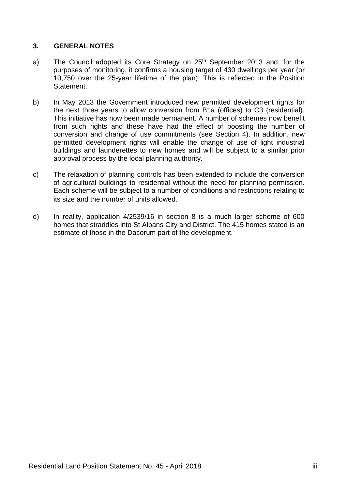#### **3. GENERAL NOTES**

- a) The Council adopted its Core Strategy on 25<sup>th</sup> September 2013 and, for the purposes of monitoring, it confirms a housing target of 430 dwellings per year (or 10,750 over the 25-year lifetime of the plan). This is reflected in the Position Statement.
- b) In May 2013 the Government introduced new permitted development rights for the next three years to allow conversion from B1a (offices) to C3 (residential). This initiative has now been made permanent. A number of schemes now benefit from such rights and these have had the effect of boosting the number of conversion and change of use commitments (see Section 4). In addition, new permitted development rights will enable the change of use of light industrial buildings and launderettes to new homes and will be subject to a similar prior approval process by the local planning authority.
- c) The relaxation of planning controls has been extended to include the conversion of agricultural buildings to residential without the need for planning permission. Each scheme will be subject to a number of conditions and restrictions relating to its size and the number of units allowed.
- d) In reality, application 4/2539/16 in section 8 is a much larger scheme of 600 homes that straddles into St Albans City and District. The 415 homes stated is an estimate of those in the Dacorum part of the development.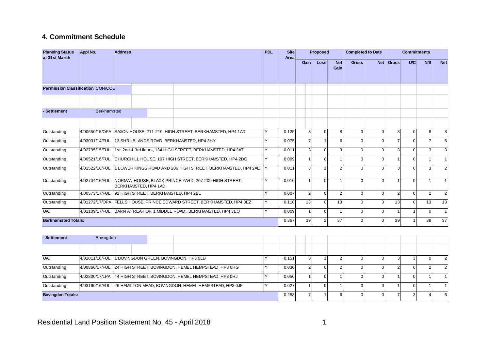#### **4. Commitment Schedule**

| <b>Planning Status</b><br>at 31st March  | <b>Appl No.</b>            | <b>Address</b>                                                                | <b>PDL</b> | <b>Site</b><br>Area |                | Proposed       |                    | <b>Completed to Date</b> |          |                | <b>Commitments</b> |                         |                |
|------------------------------------------|----------------------------|-------------------------------------------------------------------------------|------------|---------------------|----------------|----------------|--------------------|--------------------------|----------|----------------|--------------------|-------------------------|----------------|
|                                          |                            |                                                                               |            |                     | Gain           | <b>Loss</b>    | <b>Net</b><br>Gain | <b>Gross</b>             |          | Net Gross      | U/C                | N/S                     | <b>Net</b>     |
| <b>Permission Classification CON/COU</b> |                            |                                                                               |            |                     |                |                |                    |                          |          |                |                    |                         |                |
|                                          |                            |                                                                               |            |                     |                |                |                    |                          |          |                |                    |                         |                |
| - Settlement                             | <b>Berkhamsted</b>         |                                                                               |            |                     |                |                |                    |                          |          |                |                    |                         |                |
|                                          |                            |                                                                               |            |                     |                |                |                    |                          |          |                |                    |                         |                |
| Outstanding                              | 4/00650/15/OPA             | SAXON HOUSE, 211-219, HIGH STREET, BERKHAMSTED, HP4 1AD                       |            | 0.125               | 8              | $\Omega$       | 8                  |                          |          | 8              | 0                  | 8                       | 8              |
| Outstanding                              | 4/03031/14/FUL             | 13 SHRUBLANDS ROAD, BERKHAMSTED, HP4 3HY                                      | v          | 0.075               | $\overline{7}$ | $\overline{1}$ | 6                  |                          | $\Omega$ | $\overline{7}$ | $\Omega$           | $\overline{7}$          | 6              |
| Outstanding                              | 4/02795/15/FUL             | 1st, 2nd & 3rd floors, 134 HIGH STREET, BERKHAMSTED, HP4 3AT                  | v          | 0.011               | 3              | $\Omega$       | $\overline{3}$     | $\Omega$                 | $\Omega$ | 3              | 0                  | $\overline{\mathbf{3}}$ | 3              |
| Outstanding                              | 4/00521/16/FUL             | CHURCHILL HOUSE, 107 HIGH STREET, BERKHAMSTED, HP4 2DG                        | v          | 0.009               |                | $\overline{0}$ |                    |                          | $\Omega$ |                | $\Omega$           |                         | 11             |
| Outstanding                              | 4/01522/16/FUL             | 1 LOWER KINGS ROAD AND 206 HIGH STREET, BERKHAMSTED, HP4 2AE                  |            | 0.011               | 3              |                |                    |                          |          | 3              |                    | 3                       | $2 \,$         |
| Outstanding                              | 4/02704/16/FUL             | NORMAN HOUSE, BLACK PRINCE YARD, 207-209 HIGH STREET,<br>BERKHAMSTED, HP4 1AD |            | 0.010               |                | $\Omega$       |                    |                          |          |                | U                  |                         |                |
| Outstanding                              | 4/00573/17/FUL             | 92 HIGH STREET, BERKHAMSTED, HP4 2BL                                          | ٧          | 0.007               | $\mathfrak{p}$ | $\overline{0}$ | $\mathcal{P}$      |                          | $\Omega$ | $\overline{2}$ | $\Omega$           | $\overline{2}$          | $2 \,$         |
| Outstanding                              |                            | 4/01272/17/OPA   FELLS HOUSE, PRINCE EDWARD STREET, BERKHAMSTED, HP4 3EZ      |            | 0.110               | 13             | $\Omega$       | 13                 |                          |          | 13             | 0                  | 13                      | 13             |
| U/C                                      | 4/01109/17/FUL             | BARN AT REAR OF, 1 MIDDLE ROAD., BERKHAMSTED, HP4 3EQ                         | v          | 0.009               |                | $\Omega$       |                    |                          | $\Omega$ |                |                    | $\Omega$                | 1 <sup>1</sup> |
|                                          | <b>Berkhamsted Totals:</b> |                                                                               |            |                     |                | $\overline{2}$ | 37                 | $\Omega$                 | $\Omega$ | 39             |                    | 38 <sup>1</sup>         | 37             |

| - Settlement             | Bovingdon                                            |  |  |                                                                      |       |       |  |  |  |  |  |
|--------------------------|------------------------------------------------------|--|--|----------------------------------------------------------------------|-------|-------|--|--|--|--|--|
|                          |                                                      |  |  |                                                                      |       |       |  |  |  |  |  |
| U/C                      | 4/01011/16/FUL 1 BOVINGDON GREEN, BOVINGDON, HP3 0LD |  |  |                                                                      | 0.151 |       |  |  |  |  |  |
| Outstanding              |                                                      |  |  | 4/00866/17/FUL 24 HIGH STREET, BOVINGDON, HEMEL HEMPSTEAD, HP3 0HG   |       | 0.030 |  |  |  |  |  |
| Outstanding              |                                                      |  |  | 4/02800/17/LPA 44 HIGH STREET, BOVINGDON, HEMEL HEMPSTEAD, HP3 0HJ   |       | 0.050 |  |  |  |  |  |
| Outstanding              |                                                      |  |  | 4/03169/16/FUL 26 HAMILTON MEAD, BOVINGDON, HEMEL HEMPSTEAD, HP3 0JF |       | 0.027 |  |  |  |  |  |
| <b>Bovingdon Totals:</b> |                                                      |  |  |                                                                      |       |       |  |  |  |  |  |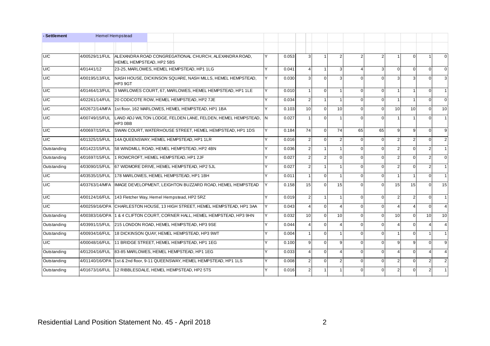| - Settlement |                | <b>Hemel Hempstead</b>                                                   |                                                          |                                                                            |       |                |                 |                |                |                |                |                          |                |                 |                 |
|--------------|----------------|--------------------------------------------------------------------------|----------------------------------------------------------|----------------------------------------------------------------------------|-------|----------------|-----------------|----------------|----------------|----------------|----------------|--------------------------|----------------|-----------------|-----------------|
|              |                |                                                                          |                                                          |                                                                            |       |                |                 |                |                |                |                |                          |                |                 |                 |
| U/C          | 4/00529/11/FUL | HEMEL HEMPSTEAD, HP2 5BS                                                 |                                                          | ALEXANDRA ROAD CONGREGATIONAL CHURCH, ALEXANDRA ROAD,                      |       | 0.053          | 3               |                | $\overline{2}$ | $\overline{2}$ |                | $\overline{1}$           | $\Omega$       |                 | $\overline{0}$  |
| U/C          | 4/01441/12     |                                                                          |                                                          | 23-25, MARLOWES, HEMEL HEMPSTEAD, HP1 1LG                                  | v     | 0.041          | 4               | $\mathbf{1}$   | 3              | 4              | 3              | $\Omega$                 | $\overline{0}$ | $\Omega$        | $\overline{0}$  |
| U/C          | 4/00195/13/FUL | HP3 9GT                                                                  |                                                          | NASH HOUSE, DICKINSON SQUARE, NASH MILLS, HEMEL HEMPSTEAD,                 | Y     | 0.030          | $\mathcal{R}$   | $\Omega$       | 3              | $\Omega$       | $\Omega$       | 3                        | 3              | $\Omega$        | $\mathbf{3}$    |
| U/C          | 4/01464/13/FUL |                                                                          |                                                          | 3 MARLOWES COURT, 67, MARLOWES, HEMEL HEMPSTEAD, HP1 1LE                   | v     | 0.010          |                 | $\Omega$       | 1              | $\Omega$       | $\Omega$       | $\mathbf{1}$             | $\mathbf{1}$   | $\Omega$        | 1               |
| U/C          | 4/02261/14/FUL |                                                                          |                                                          | 20 CODICOTE ROW, HEMEL HEMPSTEAD, HP2 7JE                                  | v     | 0.034          | $\overline{2}$  | $\mathbf{1}$   | 1              | $\Omega$       | $\Omega$       | $\overline{1}$           | $\mathbf{1}$   | $\Omega$        | $\overline{0}$  |
| U/C          | 4/02672/14/MFA |                                                                          |                                                          | 1st floor, 162 MARLOWES, HEMEL HEMPSTEAD, HP1 1BA                          | Υ     | 0.103          | 10 <sup>1</sup> | $\Omega$       | 10             | $\Omega$       | $\Omega$       | 10 <sup>1</sup>          | 10             | $\Omega$        | 10 <sup>1</sup> |
| U/C          | 4/00749/15/FUL | HP3 0BB                                                                  |                                                          | LAND ADJ WILTON LODGE, FELDEN LANE, FELDEN, HEMEL HEMPSTEAD,               | İΝ    | 0.027          |                 | $\mathbf{0}$   |                | $\Omega$       | $\Omega$       | -1                       | -1             | $\Omega$        | 11              |
| U/C          | 4/00697/15/FUL |                                                                          |                                                          | SWAN COURT, WATERHOUSE STREET, HEMEL HEMPSTEAD, HP1 1DS                    | v     | 0.184          | 74              | $\Omega$       | 74             | 65             | 65             | 9                        | 9              | $\Omega$        | 9               |
| U/C          |                |                                                                          |                                                          | 4/01325/15/FUL 14A QUEENSWAY, HEMEL HEMPSTEAD, HP1 1LR                     | v     | 0.016          | 2               | $\Omega$       | $\overline{2}$ | $\Omega$       | $\Omega$       | 2                        | $\overline{2}$ | $\Omega$        | 2 <sup>1</sup>  |
| Outstanding  | 4/01422/15/FUL |                                                                          |                                                          | 58 WINDMILL ROAD, HEMEL HEMPSTEAD, HP2 4BN                                 | Ÿ     | 0.036          | $\overline{2}$  | $\overline{1}$ | $\mathbf{1}$   | $\Omega$       | $\Omega$       | $\overline{2}$           | $\Omega$       | $\overline{2}$  | 1 <sup>1</sup>  |
| Outstanding  | 4/01697/15/FUL | 1 ROWCROFT, HEMEL HEMPSTEAD, HP1 2JF                                     |                                                          |                                                                            |       | 0.027          | $\overline{2}$  | 2              | $\Omega$       | $\Omega$       | $\Omega$       | $\overline{2}$           | $\Omega$       | $\overline{2}$  | $\overline{0}$  |
| Outstanding  | 4/03090/15/FUL |                                                                          | 67 WIDMORE DRIVE, HEMEL HEMPSTEAD, HP2 5JL               | v                                                                          | 0.027 | $\overline{2}$ | $\mathbf{1}$    | 1              | $\Omega$       | $\Omega$       | $\overline{2}$ | $\overline{0}$           | 2 <sub>l</sub> | 1 <sup>1</sup>  |                 |
| U/C          | 4/03535/15/FUL | 178 MARLOWES, HEMEL HEMPSTEAD, HP1 1BH                                   |                                                          |                                                                            | v     | 0.011          |                 | $\Omega$       | 1              | $\Omega$       | $\Omega$       | $\overline{1}$           | $\mathbf{1}$   | $\Omega$        | $\overline{1}$  |
| U/C          |                |                                                                          |                                                          | 4/03763/14/MFA   IMAGE DEVELOPMENT, LEIGHTON BUZZARD ROAD, HEMEL HEMPSTEAD | Y     | 0.158          | 15              | $\Omega$       | 15             | $\Omega$       | $\Omega$       | 15                       | 15             | $\Omega$        | 15              |
| U/C          | 4/00124/16/FUL | 143 Fletcher Way, Hemel Hempstead, HP2 5RZ                               |                                                          |                                                                            | Y     | 0.019          | $\overline{2}$  | $\mathbf{1}$   | 1              | $\Omega$       | $\Omega$       | $\overline{2}$           | $\overline{2}$ | $\Omega$        | 1 <sup>1</sup>  |
| U/C          |                |                                                                          |                                                          | 4/00259/16/OPA CHARLESTON HOUSE, 13 HIGH STREET, HEMEL HEMPSTEAD, HP1 3AA  | Y     | 0.043          |                 | $\overline{0}$ | $\Delta$       | $\Omega$       | $\Omega$       | $\boldsymbol{\Delta}$    | $\overline{4}$ | $\Omega$        | $\overline{4}$  |
| Outstanding  |                |                                                                          |                                                          | 4/00383/16/OPA 1 & 4 CLIFTON COURT, CORNER HALL, HEMEL HEMPSTEAD, HP3 9HN  | Υ     | 0.032          | 10 <sup>1</sup> | $\Omega$       | 10             | $\Omega$       | $\Omega$       | 10                       | $\Omega$       | 10 <sup>1</sup> | 10 <sup>1</sup> |
| Outstanding  |                |                                                                          | 4/03991/15/FUL 215 LONDON ROAD, HEMEL HEMPSTEAD, HP3 9SE | Y                                                                          | 0.044 | $\Delta$       | $\Omega$        | $\overline{4}$ | $\Omega$       | $\Omega$       | $\overline{4}$ | $\Omega$                 | $\Delta$       | $\overline{4}$  |                 |
| Outstanding  | 4/00934/16/FUL | 18 DICKINSON QUAY, HEMEL HEMPSTEAD, HP3 9WT                              | Ÿ                                                        | 0.004                                                                      |       | $\overline{0}$ | $\mathbf{1}$    | $\Omega$       | $\Omega$       | $\mathbf{1}$   | $\Omega$       | $\mathbf{1}$             | 1 <sup>1</sup> |                 |                 |
| U/C          | 4/00048/16/FUL | 11 BRIDGE STREET, HEMEL HEMPSTEAD, HP1 1EG                               |                                                          |                                                                            |       | 0.100          | $\overline{9}$  | $\Omega$       | 9              | $\Omega$       | $\Omega$       | 9                        | 9              | $\Omega$        | 9               |
| Outstanding  | 4/01204/16/FUL | 83-85 MARLOWES, HEMEL HEMPSTEAD, HP1 1EG                                 |                                                          |                                                                            |       | 0.033          |                 | $\mathbf{0}$   | 4              | $\Omega$       | $\Omega$       | $\boldsymbol{\varDelta}$ | $\overline{0}$ |                 | $\overline{4}$  |
| Outstanding  |                | 4/01140/16/OPA 1st & 2nd floor, 9-11 QUEENSWAY, HEMEL HEMPSTEAD, HP1 1LS |                                                          |                                                                            |       | 0.008          | 2 <sup>1</sup>  | $\Omega$       | $\overline{2}$ | $\Omega$       | $\Omega$       | $\overline{2}$           | $\Omega$       | $\overline{2}$  | 2 <sub>l</sub>  |
| Outstanding  |                |                                                                          |                                                          | 4/01673/16/FUL 12 RIBBLESDALE, HEMEL HEMPSTEAD, HP2 5TS                    |       | 0.016          | $\overline{2}$  | $\mathbf{1}$   |                | $\Omega$       | $\Omega$       | $\overline{2}$           | $\Omega$       | $\overline{2}$  |                 |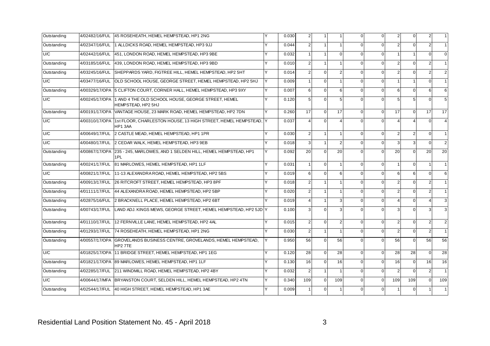| Outstanding | 4/02482/16/FUL | 45 ROSEHEATH, HEMEL HEMPSTEAD, HP1 2NG                                                  |   | 0.030 | 2 <sub>1</sub>          | $\mathbf{1}$   |                | $\Omega$ | $\mathbf 0$ | 2              | $\mathbf 0$ | 2              |                |
|-------------|----------------|-----------------------------------------------------------------------------------------|---|-------|-------------------------|----------------|----------------|----------|-------------|----------------|-------------|----------------|----------------|
| Outstanding | 4/02347/16/FUL | 1 ALLDICKS ROAD, HEMEL HEMPSTEAD, HP3 9JJ                                               |   | 0.044 | $\overline{2}$          | $\mathbf{1}$   |                | $\Omega$ | $\Omega$    | $\overline{2}$ | $\Omega$    | $\overline{2}$ |                |
| U/C         |                | 4/02442/16/FUL 451, LONDON ROAD, HEMEL HEMPSTEAD, HP3 9BE                               |   | 0.032 |                         | $\overline{1}$ | $\Omega$       | $\Omega$ | $\Omega$    |                |             | $\Omega$       |                |
| Outstanding |                | 4/03185/16/FUL 439, LONDON ROAD, HEMEL HEMPSTEAD, HP3 9BD                               | v | 0.010 | $\mathcal{P}$           | $\mathbf{1}$   | $\mathbf{1}$   | $\Omega$ | $\Omega$    | $\overline{2}$ | $\Omega$    | $\mathfrak{p}$ |                |
| Outstanding | 4/03245/16/FUL | SHEPPARDS YARD, FIGTREE HILL, HEMEL HEMPSTEAD, HP2 5HT                                  | Υ | 0.014 | $\overline{2}$          | $\overline{0}$ | $\overline{2}$ | $\Omega$ | $\Omega$    | $\overline{2}$ | $\Omega$    |                |                |
| U/C         | 4/03477/16/FUL | OLD SCHOOL HOUSE, GEORGE STREET, HEMEL HEMPSTEAD, HP2 5HJ                               | Y | 0.009 |                         | $\overline{0}$ |                | $\Omega$ | $\Omega$    |                |             | $\Omega$       |                |
| Outstanding | 4/00329/17/OPA | 5 CLIFTON COURT, CORNER HALL, HEMEL HEMPSTEAD, HP3 9XY                                  | Υ | 0.007 | $6 \overline{6}$        | $\mathbf{0}$   | 6              | $\Omega$ | $\Omega$    | 6              | $\Omega$    | 6              | 6              |
| U/C         |                | 4/00245/17/OPA 1 AND 4 THE OLD SCHOOL HOUSE, GEORGE STREET, HEMEL<br>HEMPSTEAD, HP2 5HJ |   | 0.120 | 5 <sup>1</sup>          | $\overline{0}$ | 5              | $\Omega$ | $\Omega$    | 5              | 5           |                |                |
| Outstanding |                | 4/00191/17/OPA VANTAGE HOUSE, 23 MARK ROAD, HEMEL HEMPSTEAD, HP2 7DN                    |   | 0.260 | 17                      | $\overline{0}$ | 17             | $\Omega$ | $\Omega$    | 17             | $\Omega$    | 17             | 17             |
| U/C         | 4/00310/17/OPA | 1st FLOOR, CHARLESTON HOUSE, 13 HIGH STREET, HEMEL HEMPSTEAD, Y<br><b>HP1 3AA</b>       |   | 0.037 | Δ                       | $\overline{0}$ |                | $\Omega$ | $\Omega$    |                |             | $\Omega$       |                |
| U/C         |                | 4/00649/17/FUL 2 CASTLE MEAD, HEMEL HEMPSTEAD, HP1 1PR                                  | v | 0.030 | 2 <sup>1</sup>          | $\mathbf{1}$   |                | $\Omega$ | $\mathbf 0$ | $\overline{2}$ | 2           | $\Omega$       |                |
| U/C         |                | 4/00480/17/FUL 2 CEDAR WALK, HEMEL HEMPSTEAD, HP3 9EB                                   | ٧ | 0.018 | $\overline{\mathbf{3}}$ | $\mathbf{1}$   | $\overline{2}$ | $\Omega$ | $\Omega$    | 3              | 3           | $\Omega$       |                |
| Outstanding | 4/00867/17/OPA | 235 - 245, MARLOWES, AND 1 SELDEN HILL, HEMEL HEMPSTEAD, HP1<br>1PI                     | ٧ | 0.092 | 20 <sup>1</sup>         | $\overline{0}$ | 20             | $\Omega$ | $\Omega$    | 20             | $\Omega$    | 20             | 20             |
| Outstanding |                | 4/00241/17/FUL 81 MARLOWES, HEMEL HEMPSTEAD, HP1 1LF                                    |   | 0.031 | 1                       | $\overline{0}$ |                | $\Omega$ | $\Omega$    |                | $\mathbf 0$ |                |                |
| U/C         |                | 4/00821/17/FUL 11-13 ALEXANDRA ROAD, HEMEL HEMPSTEAD, HP2 5BS                           |   | 0.019 | 6                       | $\Omega$       | 6              | $\Omega$ | $\Omega$    | 6              | 6           | $\Omega$       |                |
| Outstanding |                | 4/00913/17/FUL 26 RITCROFT STREET, HEMEL HEMPSTEAD, HP3 8PF                             |   | 0.018 | $\overline{2}$          | $\mathbf{1}$   | 1              | $\Omega$ | $\Omega$    | $\overline{2}$ | $\Omega$    | 2              |                |
| Outstanding | 4/01111/17/FUL | 44 ALEXANDRA ROAD, HEMEL HEMPSTEAD, HP2 5BP                                             |   | 0.020 | $\overline{2}$          | $\mathbf{1}$   |                | $\Omega$ | $\Omega$    | $\overline{2}$ | $\Omega$    | $\mathfrak{p}$ |                |
| Outstanding | 4/02875/16/FUL | 2 BRACKNELL PLACE, HEMEL HEMPSTEAD, HP2 6BT                                             | Υ | 0.019 |                         | $\mathbf{1}$   | 3              | $\Omega$ | $\Omega$    | $\overline{4}$ | $\Omega$    |                |                |
| Outstanding | 4/00743/17/FUL | LAND ADJ. KINGS MEWS, GEORGE STREET, HEMEL HEMPSTEAD, HP2 5JD Y                         |   | 0.100 | 3                       | $\overline{0}$ | 3              | $\Omega$ | $\Omega$    | 3              | $\Omega$    |                |                |
| Outstanding | 4/01110/17/FUL | 12 FERNVILLE LANE, HEMEL HEMPSTEAD, HP2 4AL                                             | v | 0.015 | 2                       | $\Omega$       | $\overline{2}$ | $\Omega$ | $\Omega$    | $\overline{2}$ | $\Omega$    | 2              | $\overline{2}$ |
| Outstanding |                | 4/01293/17/FUL 74 ROSEHEATH, HEMEL HEMPSTEAD, HP1 2NG                                   | Y | 0.030 | $\overline{2}$          | $\mathbf{1}$   | 1              | $\Omega$ | $\Omega$    | $\overline{2}$ | $\Omega$    | 2              |                |
| Outstanding | 4/00557/17/OPA | GROVELANDS BUSINESS CENTRE, GROVELANDS, HEMEL HEMPSTEAD,<br>HP2 7TE                     |   | 0.950 | 56                      | $\overline{0}$ | 56             | $\Omega$ | $\Omega$    | 56             | $\Omega$    | 56             | 56             |
| U/C         |                | 4/01825/17/OPA 11 BRIDGE STREET. HEMEL HEMPSTEAD. HP1 1EG                               |   | 0.120 | 28                      | $\Omega$       | 28             | $\Omega$ | $\Omega$    | 28             | 28          | $\Omega$       | 28             |
| Outstanding | 4/01821/17/OPA | 89 MARLOWES, HEMEL HEMPSTEAD, HP1 1LF                                                   | Υ | 0.130 | 16                      | $\overline{0}$ | 16             | $\Omega$ | $\Omega$    | 16             | $\mathbf 0$ | 16             | 16             |
| Outstanding | 4/02285/17/FUL | 211 WINDMILL ROAD, HEMEL HEMPSTEAD, HP2 4BY                                             |   | 0.032 | $\overline{2}$          | $\mathbf{1}$   |                | $\Omega$ | $\mathbf 0$ | $\overline{2}$ | $\Omega$    | 2              |                |
| U/C         | 4/00644/17/MFA | BRYANSTON COURT, SELDEN HILL, HEMEL HEMPSTEAD, HP2 4TN                                  | Y | 0.340 | 109                     | $\overline{0}$ | 109            | $\Omega$ | $\Omega$    | 109            | 109         | $\Omega$       | 109            |
| Outstanding |                | 4/02544/17/FUL 40 HIGH STREET, HEMEL HEMPSTEAD, HP1 3AE                                 |   | 0.009 |                         | $\Omega$       |                | $\Omega$ | $\Omega$    |                |             |                |                |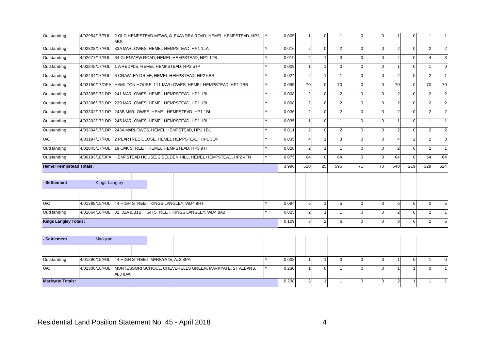| Outstanding                    | 4/02954/17/FUL       | 5BS                                                    |       | 2 OLD HEMPSTEAD MEWS, ALEXANDRA ROAD, HEMEL HEMPSTEAD, HP2       |                | 0.005 |                 | $\Omega$       |                |          | $\cap$         |                | U              |                |                |
|--------------------------------|----------------------|--------------------------------------------------------|-------|------------------------------------------------------------------|----------------|-------|-----------------|----------------|----------------|----------|----------------|----------------|----------------|----------------|----------------|
| Outstanding                    | 4/02828/17/FUL       |                                                        |       | 33A MARLOWES, HEMEL HEMPSTEAD, HP1 1LA                           | $\checkmark$   | 0.016 | 2 <sub>1</sub>  | $\Omega$       | $\overline{2}$ |          | $\Omega$       | $\overline{2}$ |                | $\mathcal{P}$  | 2              |
| Outstanding                    |                      |                                                        |       | 4/02677/17/FUL 64 GLENVIEW ROAD, HEMEL HEMPSTEAD, HP1 1TB        |                | 0.019 |                 |                | 3              |          | $\Omega$       | Δ              | $\Omega$       |                |                |
| Outstanding                    | 4/02845/17/FUL       | 1 AIREDALE, HEMEL HEMPSTEAD, HP2 5TP                   |       |                                                                  |                | 0.009 |                 |                | $\Omega$       |          | $\Omega$       |                | U              |                | $\Omega$       |
| Outstanding                    | 4/02434/17/FUL       |                                                        |       | 6 CRAWLEY DRIVE, HEMEL HEMPSTEAD, HP2 6BS                        |                | 0.024 | $\overline{2}$  | $\mathbf 1$    |                |          | $\Omega$       | $\overline{2}$ | $\Omega$       | 2              |                |
| Outstanding                    | 4/03150/17/OPA       |                                                        |       | HAMILTON HOUSE, 111 MARLOWES, HEMEL HEMPSTEAD, HP1 1BB           |                | 0.095 | 70 <sup>1</sup> | $\Omega$       | 70             |          | $\Omega$       | 70             | $\Omega$       | 70             | 70             |
| Outstanding                    | 4/03305/17/LDP       |                                                        |       | 241 MARLOWES, HEMEL HEMPSTEAD, HP1 1BL                           | $\checkmark$   | 0.008 | $\overline{2}$  | $\Omega$       | 2              |          | $\cap$         | $\overline{2}$ | $\Omega$       |                | $\overline{2}$ |
| Outstanding                    | 4/03306/17/LDP       |                                                        |       | 239 MARLOWES, HEMEL HEMPSTEAD, HP1 1BL                           | $\checkmark$   | 0.008 | $\overline{2}$  | $\Omega$       | $\overline{2}$ |          | $\Omega$       | $\overline{2}$ | $\Omega$       |                | 2              |
| Outstanding                    | 4/03302/17/LDP       |                                                        |       | 243B MARLOWES, HEMEL HEMPSTEAD, HP1 1BL                          |                | 0.036 | $\overline{2}$  | $\overline{0}$ |                |          | $\Omega$       | $\overline{2}$ | n              |                | 2              |
| Outstanding                    | 4/03303/17/LDP       | 245 MARLOWES, HEMEL HEMPSTEAD, HP1 1BL                 |       |                                                                  | $\checkmark$   | 0.035 |                 | $\Omega$       |                | $\Omega$ | $\Omega$       |                | $\Omega$       |                |                |
| Outstanding                    |                      |                                                        |       | 4/03304/17/LDP 243A MARLOWES, HEMEL HEMPSTEAD, HP1 1BL           |                | 0.011 | $\overline{2}$  | $\Omega$       | $\mathfrak{p}$ |          | $\Omega$       | $\overline{2}$ | $\Omega$       |                |                |
| U/C                            | 4/03197/17/FUL       |                                                        |       | 2 PEARTREE CLOSE, HEMEL HEMPSTEAD, HP1 3QP                       | v              | 0.035 | Δ               | $\mathbf 1$    | 3              |          | $\Omega$       | 4              | $\overline{2}$ |                | 3              |
| Outstanding                    |                      | 4/02045/17/FUL 19 OAK STREET, HEMEL HEMPSTEAD, HP3 9TT |       |                                                                  |                | 0.028 | $\overline{2}$  | $\mathbf{1}$   |                | $\Omega$ | $\Omega$       | $\overline{2}$ | $\Omega$       | $\mathfrak{p}$ |                |
| Outstanding                    | 4/00193/18/OPA       |                                                        |       | HEMPSTEAD HOUSE, 2 SELDEN HILL, HEMEL HEMPSTEAD, HP2 4TN         |                | 0.075 | 64              | $\Omega$       | 64             |          | $\Omega$       | 64             | $\Omega$       | 64             | 64             |
| <b>Hemel Hempstead Totals:</b> |                      |                                                        |       |                                                                  |                | 3.996 | 620             | 25             | 595            | 71       | 70             | 548            | 219            | 329            | 524            |
| - Settlement                   | <b>Kings Langley</b> |                                                        |       |                                                                  |                |       |                 |                |                |          |                |                |                |                |                |
|                                |                      |                                                        |       |                                                                  |                |       |                 |                |                |          |                |                |                |                |                |
| U/C                            | 4/01388/15/FUL       | 44 HIGH STREET, KINGS LANGLEY, WD4 9HT                 |       |                                                                  |                | 0.084 | 6 <sup>1</sup>  |                | 5              | $\Omega$ | $\Omega$       | 6              | 6              | $\Omega$       |                |
| Outstanding                    |                      |                                                        |       | 4/01664/16/FUL 31, 31A & 31B HIGH STREET, KINGS LANGLEY, WD4 8AB |                | 0.025 | $\overline{2}$  | $\overline{ }$ |                | ∩        | $\Omega$       | $\overline{2}$ | 0              | 2              |                |
| <b>Kings Langley Totals:</b>   |                      |                                                        | 0.109 | 8                                                                | $\overline{2}$ | 6     | $\Omega$        | $\Omega$       | 8              | 6        | $\overline{2}$ | 6              |                |                |                |

| - Settlement            | Markyate                                         |        |  |                                                                          |  |       |       |  |  |   |          |
|-------------------------|--------------------------------------------------|--------|--|--------------------------------------------------------------------------|--|-------|-------|--|--|---|----------|
|                         |                                                  |        |  |                                                                          |  |       |       |  |  |   |          |
| Outstanding             | 4/01296/15/FUL 44 HIGH STREET, MARKYATE, AL3 8PA |        |  |                                                                          |  | 0.008 |       |  |  | U | $\Omega$ |
| U/C                     |                                                  | AL38AA |  | 4/01306/16/FUL MONTESSORI SCHOOL, CHEVERELLS GREEN, MARKYATE, ST ALBANS, |  | 0.230 |       |  |  |   |          |
| <b>Markyate Totals:</b> |                                                  |        |  |                                                                          |  |       | 0.238 |  |  |   |          |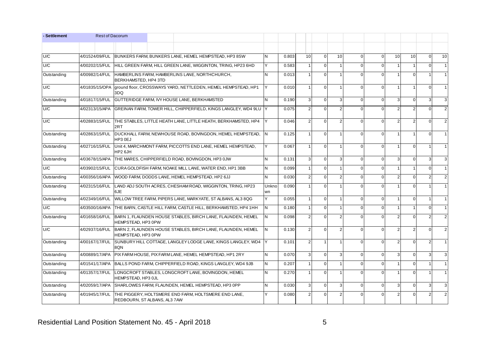| - Settlement | <b>Rest of Dacorum</b> |                                                         |                                                            |                                                         |                                                                  |                |          |                |                |                |             |             |                |                |                         |               |
|--------------|------------------------|---------------------------------------------------------|------------------------------------------------------------|---------------------------------------------------------|------------------------------------------------------------------|----------------|----------|----------------|----------------|----------------|-------------|-------------|----------------|----------------|-------------------------|---------------|
|              |                        |                                                         |                                                            |                                                         |                                                                  |                |          |                |                |                |             |             |                |                |                         |               |
| U/C          | 4/01524/09/FUL         |                                                         |                                                            | BUNKERS FARM, BUNKERS LANE, HEMEL HEMPSTEAD, HP3 8SW    |                                                                  | <b>N</b>       | 0.803    | 10             | $\mathbf{0}$   | 10             | $\Omega$    | $\Omega$    | 10             | 10             | $\Omega$                | 10            |
| U/C          | 4/00202/15/FUL         |                                                         |                                                            |                                                         | HILL GREEN FARM, HILL GREEN LANE, WIGGINTON, TRING, HP23 6HD     | <b>Y</b>       | 0.583    |                | $\Omega$       |                |             | $\Omega$    |                |                | $\Omega$                |               |
| Outstanding  | 4/00982/14/FUL         | BERKHAMSTED, HP4 3TD                                    |                                                            | HAMBERLINS FARM, HAMBERLINS LANE, NORTHCHURCH.          |                                                                  | N              | 0.013    |                | $\Omega$       |                |             | $\Omega$    |                | $\Omega$       |                         |               |
| U/C          | 4/01835/15/OPA         | 3DQ                                                     |                                                            |                                                         | ground floor, CROSSWAYS YARD, NETTLEDEN, HEMEL HEMPSTEAD, HP1    | Y              | 0.010    |                | $\mathbf 0$    | $\overline{1}$ |             | $\Omega$    | -1             |                | $\Omega$                |               |
| Outstanding  | 4/01817/15/FUL         |                                                         |                                                            | GUTTERIDGE FARM. IVY HOUSE LANE. BERKHAMSTED            |                                                                  | <b>N</b>       | 0.190    | 3              | $\Omega$       | 3              | $\Omega$    | $\Omega$    | 3              | $\Omega$       | $\overline{\mathbf{3}}$ | 3             |
| U/C          | 4/02313/15/APA         |                                                         |                                                            |                                                         | GREINAN FARM, TOWER HILL, CHIPPERFIELD, KINGS LANGLEY, WD4 9LU Y |                | 0.075    | 2              | $\mathbf 0$    | $\mathfrak{p}$ |             | $\Omega$    | $\mathfrak{p}$ | 2              | $\Omega$                | $\mathcal{P}$ |
| U/C          | 4/02883/15/FUL         | 2RT                                                     |                                                            |                                                         | THE STABLES, LITTLE HEATH LANE, LITTLE HEATH, BERKHAMSTED, HP4   |                | 0.046    | $\mathcal{P}$  | $\Omega$       | 2              |             | $\Omega$    | $\overline{2}$ | 2              | $\Omega$                | $\mathcal{P}$ |
| Outstanding  | 4/02863/15/FUL         | HP3 0EJ                                                 |                                                            |                                                         | DUCKHALL FARM, NEWHOUSE ROAD, BOVINGDON, HEMEL HEMPSTEAD,        | IN.            | 0.125    |                | $\mathbf 0$    |                | $\Omega$    | $\Omega$    |                |                | $\Omega$                |               |
| Outstanding  | 4/02716/15/FUL         | HP <sub>26</sub> JH                                     |                                                            |                                                         | Unit 4, MARCHMONT FARM, PICCOTTS END LANE, HEMEL HEMPSTEAD,      | Υ              | 0.067    |                | $\mathbf 0$    |                |             | $\Omega$    |                | $\mathbf 0$    |                         |               |
| Outstanding  | 4/03678/15/APA         | THE MARES, CHIPPERFIELD ROAD, BOVINGDON, HP3 0JW        |                                                            |                                                         | <b>N</b>                                                         | 0.131          | 3        | $\mathbf 0$    | 3              | $\Omega$       | $\Omega$    | 3           | $\Omega$       | 3              | 3                       |               |
| U/C          | 4/03902/15/FUL         |                                                         |                                                            | CURA GOLDFISH FARM, NOAKE MILL LANE, WATER END, HP1 3BB | <b>N</b>                                                         | 0.099          |          | $\mathbf 0$    | $\mathbf{1}$   | $\Omega$       | $\mathbf 0$ |             |                | $\Omega$       |                         |               |
| Outstanding  | 4/00356/16/APA         |                                                         |                                                            | WOOD FARM, DODDS LANE, HEMEL HEMPSTEAD, HP2 6JJ         |                                                                  | <b>N</b>       | 0.030    | 2              | $\Omega$       | 2              |             | $\Omega$    | $\mathcal{P}$  | $\Omega$       | 2                       |               |
| Outstanding  | 4/02315/16/FUL         | 6JE                                                     | LAND ADJ SOUTH ACRES, CHESHAM ROAD, WIGGINTON, TRING, HP23 | Unkno<br>wn                                             | 0.090                                                            |                | $\Omega$ |                |                | $\Omega$       |             | $\Omega$    |                |                |                         |               |
| Outstanding  | 4/02349/16/FUL         |                                                         |                                                            |                                                         | WILLOW TREE FARM, PIPERS LANE, MARKYATE, ST ALBANS, AL3 8QG      | Y              | 0.055    | $\overline{1}$ | $\mathbf{0}$   | $\mathbf 1$    | $\Omega$    | $\mathbf 0$ |                | $\mathbf 0$    |                         |               |
| U/C          | 4/03500/16/APA         |                                                         |                                                            |                                                         | THE BARN, CASTLE HILL FARM, CASTLE HILL, BERKHAMSTED, HP4 1HH    | IN.            | 0.180    |                | $\mathbf 0$    |                | $\Omega$    | $\Omega$    |                |                | $\Omega$                |               |
| Outstanding  | 4/01658/16/FUL         | HEMPSTEAD, HP3 0PW                                      |                                                            |                                                         | BARN 1, FLAUNDEN HOUSE STABLES, BIRCH LANE, FLAUNDEN, HEMEL      | <b>N</b>       | 0.098    | $\mathfrak{p}$ | $\Omega$       | 2              |             | $\Omega$    |                | $\Omega$       |                         |               |
| U/C          | 4/02937/16/FUL         | HEMPSTEAD, HP3 0PW                                      |                                                            |                                                         | BARN 2, FLAUNDEN HOUSE STABLES, BIRCH LANE, FLAUNDEN, HEMEL      | <b>N</b>       | 0.130    | $\mathfrak{p}$ | $\Omega$       | $\mathfrak{p}$ |             | $\Omega$    | $\mathfrak{p}$ | $\overline{2}$ | $\Omega$                | 2             |
| Outstanding  | 4/00167/17/FUL         | 8QN                                                     |                                                            |                                                         | SUNBURY HILL COTTAGE, LANGLEY LODGE LANE, KINGS LANGLEY, WD4     |                | 0.101    | $\mathcal{P}$  | $\overline{1}$ |                |             | $\Omega$    | $\overline{2}$ | $\Omega$       | $\mathcal{P}$           |               |
| Outstanding  | 4/00889/17/APA         | PIX FARM HOUSE, PIX FARM LANE, HEMEL HEMPSTEAD, HP1 2RY |                                                            |                                                         |                                                                  | <b>N</b>       | 0.070    | 3              | $\mathbf 0$    | 3              | $\Omega$    | $\Omega$    | 3              | $\mathbf 0$    | 3                       |               |
| Outstanding  | 4/01541/17/APA         |                                                         |                                                            |                                                         | BALLS POND FARM, CHIPPERFIELD ROAD, KINGS LANGLEY, WD4 9JB       | <b>N</b>       | 0.207    |                | $\mathbf 0$    | $\mathbf 1$    | $\Omega$    | $\Omega$    |                | $\Omega$       |                         |               |
| Outstanding  | 4/01357/17/FUL         | HEMPSTEAD, HP3 OJL                                      |                                                            | LONGCROFT STABLES, LONGCROFT LANE, BOVINGDON, HEMEL     |                                                                  | N              | 0.270    |                | $\mathbf 0$    |                |             | $\Omega$    |                | $\mathbf 0$    |                         |               |
| Outstanding  | 4/02059/17/APA         |                                                         |                                                            | SHARLOWES FARM, FLAUNDEN, HEMEL HEMPSTEAD, HP3 0PP      |                                                                  | $\overline{N}$ | 0.030    | 3              | $\Omega$       | 3              | $\Omega$    | $\Omega$    | 3              | $\Omega$       | 3                       | 3             |
| Outstanding  | 4/01945/17/FUL         | REDBOURN, ST ALBANS, AL3 7AW                            |                                                            | THE PIGGERY, HOLTSMERE END FARM, HOLTSMERE END LANE,    |                                                                  |                | 0.080    | 2              | $\mathbf 0$    | 2              |             | $\Omega$    | $\overline{2}$ | $\Omega$       | $\mathcal{P}$           | 2             |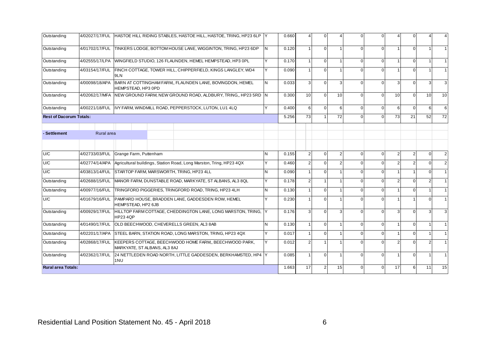| Outstanding                    |                                          | 4/02027/17/FUL HASTOE HILL RIDING STABLES, HASTOE HILL, HASTOE, TRING, HP23 6LP Y              |   | 0.660 |                | $\Omega$       |    |          | $\Omega$    | $\overline{\mathcal{A}}$ | $\Omega$       |          |    |
|--------------------------------|------------------------------------------|------------------------------------------------------------------------------------------------|---|-------|----------------|----------------|----|----------|-------------|--------------------------|----------------|----------|----|
| Outstanding                    | 4/01702/17/FUL                           | TINKERS LODGE, BOTTOM HOUSE LANE, WIGGINTON, TRING, HP23 6DP                                   | N | 0.120 |                | $\Omega$       |    |          | $\Omega$    | -1                       | $\Omega$       |          |    |
| Outstanding                    | 4/02555/17/LPA                           | WINGFIELD STUDIO, 126 FLAUNDEN, HEMEL HEMPSTEAD, HP3 OPL                                       |   | 0.170 |                | $\mathbf{0}$   |    | $\Omega$ | $\Omega$    | $\mathbf 1$              | $\Omega$       |          |    |
| Outstanding                    | 4/03154/17/FUL                           | FINCH COTTAGE, TOWER HILL, CHIPPERFIELD, KINGS LANGLEY, WD4<br>9LN                             |   | 0.090 |                | $\Omega$       |    |          | $\Omega$    |                          | $\Omega$       |          |    |
| Outstanding                    | 4/00098/18/APA                           | BARN AT COTTINGHAM FARM., FLAUNDEN LANE, BOVINGDON, HEMEL<br>HEMPSTEAD, HP3 0PD                | N | 0.033 | 3              | $\mathbf{0}$   | 3  |          | $\Omega$    | 3                        | $\overline{0}$ |          | 3  |
| Outstanding                    | 4/02062/17/MFA                           | NEW GROUND FARM, NEW GROUND ROAD, ALDBURY, TRING., HP23 5RD N                                  |   | 0.300 | 10             | $\Omega$       | 10 |          | $\Omega$    | 10                       | $\Omega$       | 10       | 10 |
| Outstanding                    |                                          | 4/00221/18/FUL IVY FARM, WINDMILL ROAD, PEPPERSTOCK, LUTON, LU1 4LQ                            |   | 0.400 | 6              | $\Omega$       | 6  |          | $\Omega$    | 6                        | $\Omega$       | 6        | 6  |
| <b>Rest of Dacorum Totals:</b> |                                          |                                                                                                |   | 5.256 | 73             | $\mathbf{1}$   | 72 |          | $\Omega$    | 73                       | 21             | 52       | 72 |
| - Settlement                   | Rural area                               |                                                                                                |   |       |                |                |    |          |             |                          |                |          |    |
| U/C                            | 4/02733/03/FUL<br>Grange Farm, Puttenham |                                                                                                | N | 0.155 | 2              | $\mathbf{0}$   | 2  |          | $\mathbf 0$ | $\overline{2}$           | $\overline{2}$ | $\Omega$ |    |
| U/C                            | 4/02774/14/APA                           | Agricultural buildings, Station Road, Long Marston, Tring, HP23 4QX                            |   | 0.460 | $\mathfrak{p}$ | $\Omega$       |    |          | $\Omega$    | $\overline{2}$           | $\overline{2}$ | $\Omega$ |    |
| U/C                            | 4/03813/14/FUL                           | STARTOP FARM, MARSWORTH, TRING, HP23 4LL                                                       | N | 0.090 |                | $\Omega$       |    |          | $\Omega$    | $\mathbf 1$              |                | $\Omega$ |    |
| Outstanding                    | 4/02688/15/FUL                           | MANOR FARM, DUNSTABLE ROAD, MARKYATE, ST ALBANS, AL3 8QL                                       |   | 0.178 | $\overline{2}$ | $\overline{1}$ |    |          | $\Omega$    | $\overline{2}$           | $\Omega$       | っ        |    |
| Outstanding                    | 4/00977/16/FUL                           | TRINGFORD PIGGERIES, TRINGFORD ROAD, TRING, HP23 4LH                                           | N | 0.130 |                | $\Omega$       |    |          | $\Omega$    | 1                        | $\Omega$       |          |    |
| U/C                            | 4/01679/16/FUL                           | PAMPARD HOUSE, BRADDEN LANE, GADDESDEN ROW, HEMEL<br>HEMPSTEAD, HP2 6JB                        |   | 0.230 |                | $\Omega$       |    |          | $\Omega$    |                          |                |          |    |
| Outstanding                    |                                          | 4/00929/17/FUL HILLTOP FARM COTTAGE, CHEDDINGTON LANE, LONG MARSTON, TRING,<br><b>HP23 4QP</b> |   | 0.176 | 3              | $\Omega$       |    |          | $\Omega$    | 3                        | $\Omega$       |          |    |
| Outstanding                    | 4/01490/17/FUL                           | OLD BEECHWOOD, CHEVERELLS GREEN, AL3 8AB                                                       | N | 0.130 | $\overline{1}$ | $\mathbf{0}$   |    | $\Omega$ | $\mathbf 0$ | $\mathbf{1}$             | $\overline{0}$ |          |    |
| Outstanding                    | 4/02201/17/APA                           | STEEL BARN, STATION ROAD, LONG MARSTON, TRING, HP23 4QX                                        | Y | 0.017 | $\overline{1}$ | $\Omega$       |    |          | $\Omega$    | $\overline{1}$           | $\Omega$       |          |    |
| Outstanding                    | 4/02868/17/FUL                           | KEEPERS COTTAGE, BEECHWOOD HOME FARM, BEECHWOOD PARK,<br>MARKYATE, ST ALBANS, AL3 8AJ          | v | 0.012 | $\overline{2}$ | $\overline{1}$ |    |          | $\Omega$    | $\overline{2}$           | $\Omega$       |          |    |
| Outstanding                    | 4/02362/17/FUL                           | 24 NETTLEDEN ROAD NORTH, LITTLE GADDESDEN, BERKHAMSTED, HP4 Y<br>1NU                           |   | 0.085 |                | $\mathbf 0$    |    |          | $\Omega$    | -1                       | $\overline{0}$ |          |    |
| <b>Rural area Totals:</b>      |                                          |                                                                                                |   | 1.663 | 17             | $\overline{2}$ | 15 | $\Omega$ | $\Omega$    | 17                       | 6              | 11       | 15 |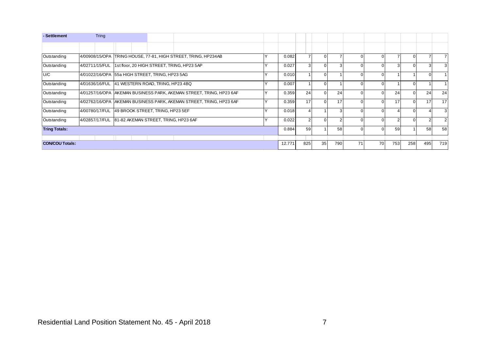| - Settlement           | <b>Tring</b>                                                   |  |  |                                                                     |     |       |     |          |    |     |          |               |          |    |                |
|------------------------|----------------------------------------------------------------|--|--|---------------------------------------------------------------------|-----|-------|-----|----------|----|-----|----------|---------------|----------|----|----------------|
|                        |                                                                |  |  |                                                                     |     |       |     |          |    |     |          |               |          |    |                |
| Outstanding            | 4/00908/15/OPA TRING HOUSE, 77-81, HIGH STREET, TRING, HP234AB |  |  |                                                                     |     | 0.082 |     | $\Omega$ |    |     |          |               | 0        |    |                |
| Outstanding            | 4/02711/15/FUL 1st floor, 20 HIGH STREET, TRING, HP23 5AP      |  |  |                                                                     |     | 0.027 |     | $\Omega$ |    |     |          | $\mathcal{B}$ |          |    | 3              |
| U/C                    | 4/01022/16/OPA 55a HIGH STREET, TRING, HP23 5AG                |  |  |                                                                     |     | 0.010 |     | $\Omega$ |    |     |          |               |          |    |                |
| Outstanding            | 4/01636/16/FUL 41 WESTERN ROAD, TRING, HP23 4BQ                |  |  |                                                                     |     | 0.007 |     | $\Omega$ |    |     |          |               | 0        |    |                |
| Outstanding            |                                                                |  |  | 4/01257/16/OPA AKEMAN BUSINESS PARK, AKEMAN STREET, TRING, HP23 6AF |     | 0.359 | 24  | $\Omega$ | 24 |     |          | 24            | $\Omega$ | 24 | 24             |
| Outstanding            |                                                                |  |  | 4/02762/16/OPA AKEMAN BUSINESS PARK, AKEMAN STREET, TRING, HP23 6AF |     | 0.359 | 17  | $\Omega$ | 17 |     | $\Omega$ | 17            | $\Omega$ | 17 | 17             |
| Outstanding            | 4/00780/17/FUL 49 BROOK STREET, TRING, HP23 5EF                |  |  |                                                                     |     | 0.018 |     |          |    |     |          |               |          |    | 3              |
| Outstanding            | 4/02857/17/FUL 81-82 AKEMAN STREET, TRING, HP23 6AF            |  |  |                                                                     |     | 0.022 |     | $\Omega$ |    |     |          | $\mathcal{P}$ | U        |    | $\overline{2}$ |
| <b>Tring Totals:</b>   |                                                                |  |  | 0.884                                                               | 59  |       | 58  |          |    | 59  |          | 58            | 58       |    |                |
|                        |                                                                |  |  |                                                                     |     |       |     |          |    |     |          |               |          |    |                |
| <b>CON/COU Totals:</b> |                                                                |  |  | 12.771                                                              | 825 | 35    | 790 | 71       | 70 | 753 | 258      | 495           | 719      |    |                |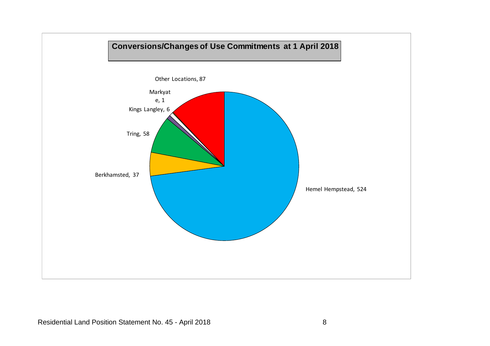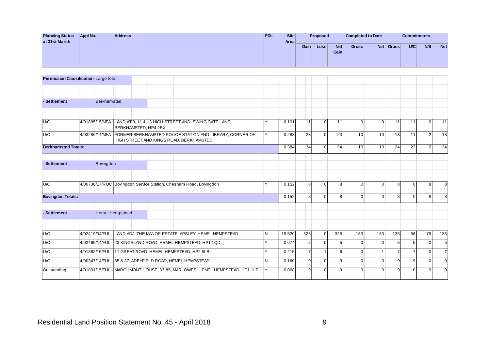| <b>Planning Status</b><br>at 31st March | Appl No. | <b>Address</b> | <b>PDL</b> | Site<br>Areal |      | Proposed |                    | Completed to Date |            |       | <b>Commitments</b> |            |            |
|-----------------------------------------|----------|----------------|------------|---------------|------|----------|--------------------|-------------------|------------|-------|--------------------|------------|------------|
|                                         |          |                |            |               | Gain | Loss     | <b>Net</b><br>Gain | <b>Gross</b>      | <b>Net</b> | Gross | U/C                | <b>N/S</b> | <b>Net</b> |

| <b>Permission Classification Large Site</b> |                 |  |                      |                                                                                                                    |     |        |                |          |     |          |          |                |          |                |                |
|---------------------------------------------|-----------------|--|----------------------|--------------------------------------------------------------------------------------------------------------------|-----|--------|----------------|----------|-----|----------|----------|----------------|----------|----------------|----------------|
|                                             |                 |  |                      |                                                                                                                    |     |        |                |          |     |          |          |                |          |                |                |
| - Settlement                                | Berkhamsted     |  |                      |                                                                                                                    |     |        |                |          |     |          |          |                |          |                |                |
|                                             |                 |  |                      |                                                                                                                    |     |        |                |          |     |          |          |                |          |                |                |
| U/C                                         |                 |  | BERKHAMSTED, HP4 2BX | 4/01895/15/MFA LAND AT 9, 11 & 13 HIGH STREET AND, SWING GATE LANE,                                                |     | 0.101  | 11             | $\Omega$ | 11  | U        | $\Omega$ | 11             | 11       | $\Omega$       | 11             |
| U/C                                         |                 |  |                      | 4/03286/14/MFA FORMER BERKHAMSTED POLICE STATION AND LIBRARY, CORNER OF<br>HIGH STREET AND KINGS ROAD, BERKHAMSTED | v   | 0.283  | 23             | $\Omega$ | 23  | 10       | 10       | 13             | 11       | $\overline{2}$ | 13             |
| <b>Berkhamsted Totals:</b>                  |                 |  |                      |                                                                                                                    |     | 0.384  | 34             | $\Omega$ | 34  | 10       | 10       | 24             | 22       | $\overline{2}$ | 24             |
| - Settlement                                | Bovingdon       |  |                      |                                                                                                                    |     |        |                |          |     |          |          |                |          |                |                |
|                                             |                 |  |                      |                                                                                                                    |     |        |                |          |     |          |          |                |          |                |                |
| U/C                                         |                 |  |                      | 4/00736/17/ROC Bovingdon Service Station, Chesham Road, Bovingdon                                                  |     | 0.152  | 8 <sup>1</sup> | $\Omega$ | 8   | $\Omega$ | $\Omega$ | 8              | $\Omega$ | 8              | 8              |
| <b>Bovingdon Totals:</b>                    |                 |  |                      |                                                                                                                    |     | 0.152  | 8              | $\Omega$ | 8   | $\Omega$ | $\Omega$ | 8              | $\Omega$ | 8              | 8              |
| - Settlement                                | Hemel Hempstead |  |                      |                                                                                                                    |     |        |                |          |     |          |          |                |          |                |                |
|                                             |                 |  |                      |                                                                                                                    |     |        |                |          |     |          |          |                |          |                |                |
| U/C                                         |                 |  |                      | 4/02419/04/FUL LAND ADJ. THE MANOR ESTATE, APSLEY, HEMEL HEMPSTEAD                                                 | IN. | 19.520 | 325            | $\Omega$ | 325 | 153      | 153      | 135            | 56       | 79             | 135            |
| U/C                                         |                 |  |                      | 4/02465/14/FUL 23 KINGSLAND ROAD, HEMEL HEMPSTEAD, HP1 1QD                                                         |     | 0.074  | 5              | $\Omega$ | 5   | U        | U        | -5             | 5        | 0              | 5              |
| U/C                                         |                 |  |                      | 4/01362/15/FUL 11 GREAT ROAD, HEMEL HEMPSTEAD, HP2 5LB                                                             | v   | 0.215  | $\overline{7}$ |          | 6   | U        | $-1$     | $\overline{7}$ | 7        | $\Omega$       | $\overline{7}$ |
| U/C                                         |                 |  |                      | 4/00347/14/FUL 35 & 37, ADEYFIELD ROAD, HEMEL HEMPSTEAD                                                            | IN. | 0.160  | $\overline{9}$ | $\Omega$ | 9   | $\Omega$ | $\Omega$ | 9              | 9        | $\Omega$       | 9              |
| Outstanding                                 |                 |  |                      | 4/01801/15/FUL MARCHMONT HOUSE, 83-85, MARLOWES, HEMEL HEMPSTEAD, HP1 1LF                                          |     | 0.068  | q              | $\cap$   |     |          | $\Omega$ | q              |          |                | 9              |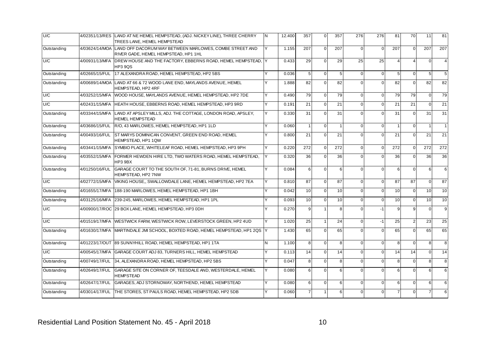| U/C         |                | 4/02351/13/RES LAND AT NE HEMEL HEMPSTEAD, (ADJ. NICKEY LINE), THREE CHERRY<br>TREES LANE, HEMEL HEMPSTEAD     | IN. | 12.400 | 357              | $\boldsymbol{0}$ | 357              | 276      | 276         | 81             | 70             | 11               | 81              |
|-------------|----------------|----------------------------------------------------------------------------------------------------------------|-----|--------|------------------|------------------|------------------|----------|-------------|----------------|----------------|------------------|-----------------|
| Outstanding |                | 4/03624/14/MOA LAND OFF DACORUM WAY BETWEEN MARLOWES, COMBE STREET AND<br>RIVER GADE, HEMEL HEMPSTEAD, HP1 1HL | Y   | 1.155  | 207              | $\mathbf 0$      | 207              | $\Omega$ | $\mathbf 0$ | 207            | $\mathbf 0$    | 207              | 207             |
| U/C         | 4/00931/13/MFA | DREW HOUSE AND THE FACTORY, EBBERNS ROAD, HEMEL HEMPSTEAD,<br><b>HP3 9QS</b>                                   |     | 0.433  | 29               | $\boldsymbol{0}$ | 29               | 25       | 25          | $\overline{4}$ | $\overline{4}$ | $\Omega$         | $\overline{4}$  |
| Outstanding | 4/02665/15/FUL | 17 ALEXANDRA ROAD, HEMEL HEMPSTEAD, HP2 5BS                                                                    | Y   | 0.036  | 5                | $\mathbf 0$      | 5                | $\Omega$ | $\mathbf 0$ | 5              | $\mathbf{0}$   | 5 <sub>1</sub>   | $5\phantom{.0}$ |
| Outstanding | 4/00689/14/MOA | LAND AT 66 & 72 WOOD LANE END, MAYLANDS AVENUE, HEMEL<br>HEMPSTEAD, HP2 4RF                                    | Y   | 1.888  | 82               | $\mathbf 0$      | 82               | $\Omega$ | $\mathbf 0$ | 82             | $\mathbf 0$    | 82               | 82              |
| U/C         |                | 4/03252/15/MFA  WOOD HOUSE, MAYLANDS AVENUE, HEMEL HEMPSTEAD, HP2 7DE                                          |     | 0.490  | 79               | $\mathbf 0$      | 79               | $\Omega$ | $\mathbf 0$ | 79             | 79             | $\Omega$         | 79              |
| U/C         | 4/02431/15/MFA | HEATH HOUSE, EBBERNS ROAD, HEMEL HEMPSTEAD, HP3 9RD                                                            |     | 0.191  | 21               | $\mathbf 0$      | 21               | $\Omega$ | $\mathbf 0$ | 21             | 21             | $\Omega$         | 21              |
| Outstanding | 4/03344/15/MFA | LAND AT APSLEY MILLS, ADJ. THE COTTAGE, LONDON ROAD, APSLEY,<br><b>HEMEL HEMPSTEAD</b>                         |     | 0.330  | 31               | $\mathbf 0$      | 31               | $\Omega$ | $\mathbf 0$ | 31             | $\mathbf 0$    | 31               | 31              |
| Outstanding | 4/03686/15/FUL | R/O, 43 MARLOWES, HEMEL HEMPSTEAD, HP1 1LD                                                                     | Y   | 0.060  | $\overline{1}$   | $\mathbf 0$      | $\mathbf{1}$     | $\Omega$ | $\mathbf 0$ | $\overline{1}$ | $\mathbf 0$    |                  |                 |
| Outstanding | 4/00493/16/FUL | ST MARYS DOMINICAN CONVENT, GREEN END ROAD, HEMEL<br>HEMPSTEAD, HP1 1QW                                        |     | 0.800  | 21               | $\mathbf 0$      | 21               | $\Omega$ | $\Omega$    | 21             | $\mathbf{0}$   | 21               | 21              |
| Outstanding | 4/03441/15/MFA | SYMBIO PLACE, WHITELEAF ROAD, HEMEL HEMPSTEAD, HP3 9PH                                                         | Υ   | 0.220  | 272              | $\mathbf 0$      | 272              |          | $\Omega$    | 272            | $\Omega$       | 272              | 272             |
| Outstanding | 4/03552/15/MFA | FORMER HEWDEN HIRE LTD, TWO WATERS ROAD, HEMEL HEMPSTEAD,<br>HP3 9BX                                           | Y   | 0.320  | 36               | $\mathbf 0$      | 36               | $\Omega$ | $\mathbf 0$ | 36             | $\mathbf 0$    | 36               | 36              |
| Outstanding | 4/01250/16/FUL | GARAGE COURT TO THE SOUTH OF, 71-81, BURNS DRIVE, HEMEL<br>HEMPSTEAD, HP2 7NW                                  | Y   | 0.084  | $6 \overline{6}$ | $\mathbf{0}$     | $6 \overline{6}$ | $\Omega$ | $\Omega$    | 6              | $\mathbf{0}$   | 6                | 6               |
| U/C         | 4/02772/15/MFA | VIKING HOUSE., SWALLOWDALE LANE, HEMEL HEMPSTEAD, HP2 7EA                                                      | Υ   | 0.810  | 87               | $\mathbf{0}$     | 87               | $\Omega$ | $\Omega$    | 87             | 87             | $\Omega$         | 87              |
| Outstanding | 4/01655/17/MFA | 188-190 MARLOWES, HEMEL HEMPSTEAD, HP1 1BH                                                                     |     | 0.042  | 10               | $\mathbf 0$      | 10               | $\Omega$ | $\mathbf 0$ | 10             | $\mathbf 0$    | 10               | 10              |
| Outstanding | 4/03125/16/MFA | 239-245, MARLOWES, HEMEL HEMPSTEAD, HP1 1PL                                                                    |     | 0.093  | 10               | $\mathbf 0$      | 10               | $\Omega$ | $\mathbf 0$ | 10             | $\mathbf 0$    | 10               | 10              |
| U/C         |                | 4/00900/17/ROC 29 BOX LANE, HEMEL HEMPSTEAD, HP3 0DH                                                           |     | 0.270  | 9                | $\mathbf{1}$     | 8                | $\Omega$ | $-1$        | 9              | 9              | $\mathbf 0$      | 9               |
| U/C         | 4/01519/17/MFA | WESTWICK FARM, WESTWICK ROW, LEVERSTOCK GREEN, HP2 4UD                                                         |     | 1.020  | 25               | $\mathbf{1}$     | 24               | $\Omega$ | $-1$        | 25             | $\overline{2}$ | 23               | 25              |
| Outstanding | 4/01630/17/MFA | MARTINDALE JMI SCHOOL, BOXTED ROAD, HEMEL HEMPSTEAD, HP1 2QS Y                                                 |     | 1.430  | 65               | $\mathbf 0$      | 65               | $\Omega$ | $\mathbf 0$ | 65             | $\mathbf{0}$   | 65               | 65              |
| Outstanding |                | 4/01223/17/OUT 89 SUNNYHILL ROAD, HEMEL HEMPSTEAD, HP1 1TA                                                     | N   | 1.100  | 8                | $\mathbf{0}$     | 8                | $\Omega$ | $\mathbf 0$ | 8              | $\Omega$       | 8                | 8               |
| U/C         | 4/00545/17/MFA | GARAGE COURT ADJ 83, TURNERS HILL, HEMEL HEMPSTEAD                                                             | Y   | 0.113  | 14               | $\mathbf 0$      | 14               | $\Omega$ | $\mathbf 0$ | 14             | 14             | $\Omega$         | 14              |
| Outstanding | 4/00749/17/FUL | 34, ALEXANDRA ROAD, HEMEL HEMPSTEAD, HP2 5BS                                                                   | Y   | 0.047  | 8                | $\mathbf{0}$     | 8                | $\Omega$ | $\mathbf 0$ | 8              | $\mathbf{0}$   | 8                | 8               |
| Outstanding | 4/02649/17/FUL | GARAGE SITE ON CORNER OF, TEESDALE AND, WESTERDALE, HEMEL<br><b>HEMPSTEAD</b>                                  | Υ   | 0.080  | 6                | $\mathbf{0}$     | 6                |          | $\mathbf 0$ | 6              | $\mathbf{0}$   | 6                | 6               |
| Outstanding | 4/02647/17/FUL | GARAGES, ADJ STORNOWAY, NORTHEND, HEMEL HEMPSTEAD                                                              | Y   | 0.080  | 6                | $\mathbf 0$      | 6                | $\Omega$ | $\mathbf 0$ | 6              | $\mathbf{0}$   | $6 \overline{6}$ | 6               |
| Outstanding | 4/03014/17/FUL | THE STORES. ST PAULS ROAD. HEMEL HEMPSTEAD, HP2 5DB                                                            |     | 0.060  | $\overline{7}$   | $\mathbf{1}$     | 6                |          | $\Omega$    | $\overline{7}$ | $\Omega$       |                  | 6               |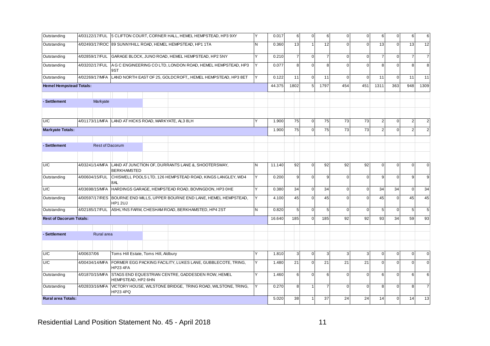| Outstanding                    | 4/03122/17/FUL |                        |                                      | 5 CLIFTON COURT, CORNER HALL, HEMEL HEMPSTEAD, HP3 9XY       | Υ   | 0.017  | 6              | $\mathbf 0$  | 6              | $\mathbf 0$    | $\Omega$       | 6              | $\mathbf 0$ | 6              | 6              |
|--------------------------------|----------------|------------------------|--------------------------------------|--------------------------------------------------------------|-----|--------|----------------|--------------|----------------|----------------|----------------|----------------|-------------|----------------|----------------|
| Outstanding                    |                |                        |                                      | 4/02493/17/ROC 89 SUNNYHILL ROAD, HEMEL HEMPSTEAD, HP1 1TA   | lN. | 0.360  | 13             | $\mathbf{1}$ | 12             | $\mathbf{0}$   | $\overline{0}$ | 13             | $\mathbf 0$ | 13             | 12             |
| Outstanding                    | 4/02859/17/FUL |                        |                                      | GARAGE BLOCK, JUNO ROAD, HEMEL HEMPSTEAD, HP2 5NY            |     | 0.210  | $\overline{7}$ | $\mathsf 0$  | $\overline{7}$ | $\mathbf 0$    | $\mathbf 0$    | $\overline{7}$ | $\pmb{0}$   | $\overline{7}$ | $\overline{7}$ |
| Outstanding                    | 4/03202/17/FUL | 9ST                    |                                      | A G C ENGINEERING CO LTD, LONDON ROAD, HEMEL HEMPSTEAD, HP3  |     | 0.077  | 8              | $\mathbf 0$  | 8              | $\mathbf 0$    | $\mathbf 0$    | 8              | $\mathbf 0$ | 8              | 8              |
| Outstanding                    | 4/02269/17/MFA |                        |                                      | LAND NORTH EAST OF 25, GOLDCROFT,, HEMEL HEMPSTEAD, HP3 8ET  |     | 0.122  | 11             | $\mathbf 0$  | 11             | $\overline{0}$ | 0              | 11             | $\mathbf 0$ | 11             | 11             |
| <b>Hemel Hempstead Totals:</b> |                |                        |                                      |                                                              |     | 44.375 | 1802           | 5            | 1797           | 454            | 451            | 1311           | 363         | 948            | 1309           |
| - Settlement                   | Markyate       |                        |                                      |                                                              |     |        |                |              |                |                |                |                |             |                |                |
|                                |                |                        |                                      |                                                              |     |        |                |              |                |                |                |                |             |                |                |
| U/C                            | 4/01173/11/MFA |                        |                                      | LAND AT HICKS ROAD, MARKYATE, AL3 8LH                        |     | 1.900  | 75             | $\mathbf 0$  | 75             | 73             | 73             | $\overline{2}$ | $\mathbf 0$ | 2              | $\overline{2}$ |
| <b>Markyate Totals:</b>        |                |                        |                                      |                                                              |     | 1.900  | 75             | $\mathsf 0$  | 75             | 73             | 73             | $\overline{2}$ | $\Omega$    | $\overline{2}$ | $\overline{2}$ |
| - Settlement                   |                | <b>Rest of Dacorum</b> |                                      |                                                              |     |        |                |              |                |                |                |                |             |                |                |
|                                |                |                        |                                      |                                                              |     |        |                |              |                |                |                |                |             |                |                |
| U/C                            | 4/03241/14/MFA | <b>BERKHAMSTED</b>     |                                      | LAND AT JUNCTION OF, DURRANTS LANE &, SHOOTERSWAY,           | N   | 11.140 | 92             | $\mathbf 0$  | 92             | 92             | 92             | $\mathbf 0$    | $\mathbf 0$ | $\mathbf 0$    | $\overline{0}$ |
| Outstanding                    | 4/00604/15/FUL | 8AL                    |                                      | CHISWELL POOLS LTD, 126 HEMPSTEAD ROAD, KINGS LANGLEY, WD4   | Υ   | 0.200  | 9              | $\mathsf 0$  | 9              | $\overline{0}$ | $\overline{0}$ | 9              | $\mathbf 0$ | 9              | 9              |
| U/C                            | 4/03698/15/MFA |                        |                                      | HARDINGS GARAGE, HEMPSTEAD ROAD, BOVINGDON, HP3 OHE          |     | 0.380  | 34             | $\mathsf 0$  | 34             | $\mathbf 0$    | $\Omega$       | 34             | 34          | $\mathbf 0$    | 34             |
| Outstanding                    | 4/00597/17/RES | <b>HP1 2UJ</b>         |                                      | BOURNE END MILLS, UPPER BOURNE END LANE, HEMEL HEMPSTEAD,    | Y   | 4.100  | 45             | $\mathsf 0$  | 45             | $\mathbf 0$    | $\mathbf 0$    | 45             | $\mathbf 0$ | 45             | 45             |
| Outstanding                    | 4/02185/17/FUL |                        |                                      | ASHLYNS FARM, CHESHAM ROAD, BERKHAMSTED, HP4 2ST             | lN. | 0.820  | 5 <sub>l</sub> | $\mathsf 0$  | 5              | $\overline{0}$ | 0              | 5              | $\mathbf 0$ | 5              | 5 <sub>5</sub> |
| <b>Rest of Dacorum Totals:</b> |                |                        |                                      |                                                              |     | 16.640 | 185            | $\mathbf 0$  | 185            | 92             | 92             | 93             | 34          | 59             | 93             |
| - Settlement                   | Rural area     |                        |                                      |                                                              |     |        |                |              |                |                |                |                |             |                |                |
|                                |                |                        |                                      |                                                              |     |        |                |              |                |                |                |                |             |                |                |
| U/C                            | 4/00637/06     |                        | Toms Hill Estate, Toms Hill, Aldbury |                                                              |     | 1.810  | $\overline{3}$ | $\mathbf 0$  | 3              | $\mathbf{3}$   | 3              | $\mathbf 0$    | $\mathbf 0$ | $\mathbf{0}$   | $\overline{0}$ |
| U/C                            | 4/00434/14/MFA | <b>HP23 4FA</b>        |                                      | FORMER EGG PACKING FACILITY, LUKES LANE, GUBBLECOTE, TRING,  | Υ   | 1.480  | 21             | $\mathbf 0$  | 21             | 21             | 21             | $\Omega$       | $\mathbf 0$ | $\mathbf 0$    | $\overline{0}$ |
| Outstanding                    | 4/01870/15/MFA |                        |                                      | STAGS END EQUESTRIAN CENTRE, GADDESDEN ROW, HEMEL            | Υ   | 1.460  | 6              | $\mathbf 0$  | 6              | $\mathbf 0$    | $\mathbf 0$    | 6              | $\mathbf 0$ | 6              | 6              |
| Outstanding                    | 4/02833/16/MFA | HEMPSTEAD, HP2 6HN     |                                      | VICTORY HOUSE, WILSTONE BRIDGE, TRING ROAD, WILSTONE, TRING, |     | 0.270  | 8              | $\mathbf{1}$ | 7              | $\mathbf 0$    | $\mathbf 0$    | 8              | $\mathbf 0$ | 8              | $\overline{7}$ |
| <b>Rural area Totals:</b>      |                | HP23 4PQ               |                                      |                                                              |     | 5.020  | 38             |              | 37             | 24             | 24             | 14             | $\mathbf 0$ | 14             | 13             |
|                                |                |                        |                                      |                                                              |     |        |                |              |                |                |                |                |             |                |                |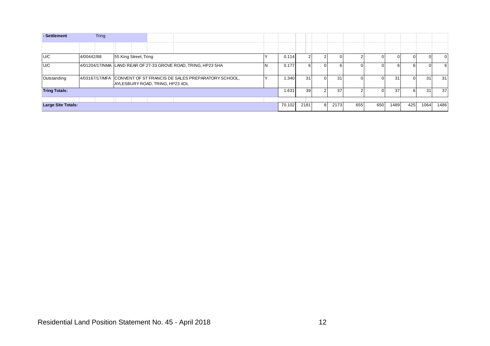| - Settlement              | <b>Tring</b> |                       |                                 |                                                                   |        |                 |          |      |     |             |      |     |      |          |
|---------------------------|--------------|-----------------------|---------------------------------|-------------------------------------------------------------------|--------|-----------------|----------|------|-----|-------------|------|-----|------|----------|
|                           |              |                       |                                 |                                                                   |        |                 |          |      |     |             |      |     |      |          |
| U/C                       | 4/00442/88   | 55 King Street, Tring |                                 |                                                                   | 0.114  |                 |          |      |     |             |      |     |      | $\Omega$ |
| U/C                       |              |                       |                                 | 4/01204/17/NMA LAND REAR OF 27-33 GROVE ROAD, TRING, HP23 5HA     | 0.177  | 61              |          | 6    |     | $^{\prime}$ | 61   | 61  |      | 6        |
| <b>Outstanding</b>        |              |                       | AYLESBURY ROAD, TRING, HP23 4DL | 4/03167/17/MFA CONVENT OF ST FRANCIS DE SALES PREPARATORY SCHOOL, | 1.340  | 31              | $\Omega$ | 31   |     | 01          | 31   | 01  | 31   | 31       |
| <b>Tring Totals:</b>      |              |                       |                                 |                                                                   | 1.631  | 39 <sup>°</sup> |          | 37   |     |             | 37   | b   |      | 37       |
|                           |              |                       |                                 |                                                                   |        |                 |          |      |     |             |      |     |      |          |
| <b>Large Site Totals:</b> |              |                       |                                 |                                                                   | 70.102 | 2181            | 8        | 2173 | 655 | 650         | 1489 | 425 | 1064 | 1486     |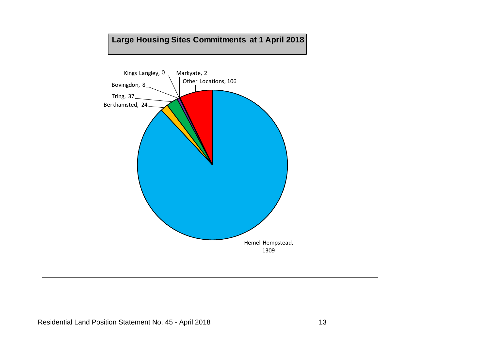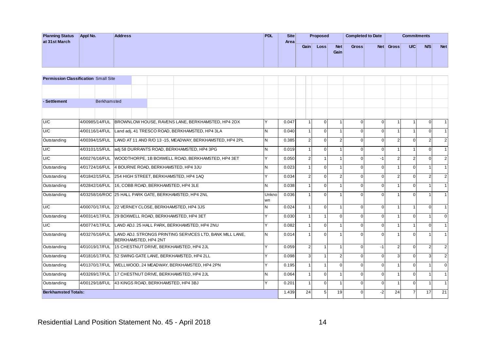| <b>Planning Status</b><br>at 31st March | Appl No. | <b>Address</b> | <b>PDL</b> | Site<br>Areal |      | Proposed |                    | Completed to Date |            |       | <b>Commitments</b> |            |            |
|-----------------------------------------|----------|----------------|------------|---------------|------|----------|--------------------|-------------------|------------|-------|--------------------|------------|------------|
|                                         |          |                |            |               | Gain | Loss     | <b>Net</b><br>Gain | <b>Gross</b>      | <b>Net</b> | Gross | U/C                | <b>N/S</b> | <b>Net</b> |

|                            |                                             |                      |                                                          |             |       | Gain           | <b>Loss</b>     | <b>Net</b><br>Gain | Gross          |                | Net Gross      | <b>U/C</b>              | <b>N/S</b>     | <b>Net</b>     |
|----------------------------|---------------------------------------------|----------------------|----------------------------------------------------------|-------------|-------|----------------|-----------------|--------------------|----------------|----------------|----------------|-------------------------|----------------|----------------|
|                            |                                             |                      |                                                          |             |       |                |                 |                    |                |                |                |                         |                |                |
|                            | <b>Permission Classification Small Site</b> |                      |                                                          |             |       |                |                 |                    |                |                |                |                         |                |                |
|                            |                                             |                      |                                                          |             |       |                |                 |                    |                |                |                |                         |                |                |
| - Settlement               | Berkhamsted                                 |                      |                                                          |             |       |                |                 |                    |                |                |                |                         |                |                |
|                            |                                             |                      |                                                          |             |       |                |                 |                    |                |                |                |                         |                |                |
| U/C                        | 4/00985/14/FUL                              |                      | BROWNLOW HOUSE, RAVENS LANE, BERKHAMSTED, HP4 2DX        | Y           | 0.047 | $\mathbf{1}$   | $\mathbf 0$     | $\overline{1}$     | $\mathbf{0}$   | $\mathbf 0$    |                | $\overline{\mathbf{1}}$ | $\mathbf 0$    | $\overline{1}$ |
| U/C                        | 4/00116/14/FUL                              |                      | Land adj, 41 TRESCO ROAD, BERKHAMSTED, HP4 3LA           | N.          | 0.040 | 1              | $\mathbf{0}$    | $\overline{1}$     | $\overline{0}$ | $\mathbf 0$    |                |                         | $\mathbf 0$    | $\overline{1}$ |
| Outstanding                | 4/00394/15/FUL                              |                      | LAND AT 11 AND R/O 13 -15, MEADWAY, BERKHAMSTED, HP4 2PL | N           | 0.385 | $\overline{2}$ | $\mathbf 0$     | $\overline{2}$     | $\overline{0}$ | 0              | 2              | $\mathbf 0$             | $\overline{2}$ | $\overline{2}$ |
| U/C                        | 4/03101/15/FUL                              |                      | adj 58 DURRANTS ROAD, BERKHAMSTED, HP4 3PG               | N           | 0.019 | $\mathbf{1}$   | $\mathbf 0$     | $\overline{1}$     | $\overline{0}$ | $\mathbf{0}$   |                | $\overline{\mathbf{1}}$ | $\mathbf 0$    | $\overline{1}$ |
| U/C                        | 4/00276/16/FUL                              |                      | WOODTHORPE, 1B BOXWELL ROAD, BERKHAMSTED, HP4 3ET        | Y           | 0.050 | $\overline{2}$ | $\mathbf{1}$    | -1                 | $\overline{0}$ | $-1$           | 2              | $\overline{2}$          | $\mathbf 0$    | $\overline{2}$ |
| Outstanding                | 4/01724/16/FUL                              |                      | 4 BOURNE ROAD, BERKHAMSTED, HP4 3JU                      | N           | 0.023 | $\mathbf{1}$   | $\mathbf 0$     | $\mathbf{1}$       | $\overline{0}$ | $\mathbf 0$    |                | $\mathbf 0$             | $\mathbf{1}$   | $\overline{1}$ |
| Outstanding                | 4/01842/15/FUL                              |                      | 254 HIGH STREET, BERKHAMSTED, HP4 1AQ                    | Y           | 0.034 | $\overline{2}$ | $\overline{0}$  | 2 <sup>1</sup>     | $\overline{0}$ | $\overline{0}$ | 2              | $\mathbf 0$             | $\overline{2}$ | $\overline{2}$ |
| Outstanding                | 4/02842/16/FUL                              |                      | 16, COBB ROAD, BERKHAMSTED, HP4 3LE                      | N           | 0.038 | $\mathbf{1}$   | $\mathbf 0$     | 1                  | $\mathbf{0}$   | 0              |                | $\Omega$                | $\overline{1}$ | $\overline{1}$ |
| Outstanding                |                                             |                      | 4/03258/16/ROC 25 HALL PARK GATE, BERKHAMSTED, HP4 2NL   | Unkno<br>wn | 0.036 | $\overline{1}$ | $\overline{0}$  | 1                  | $\Omega$       | $\Omega$       |                | $\Omega$                | $\overline{1}$ | $\overline{1}$ |
| U/C                        | 4/00070/17/FUL                              |                      | 22 VERNEY CLOSE, BERKHAMSTED, HP4 3JS                    | N           | 0.024 | $\mathbf{1}$   | $\mathbf 0$     | 1                  | $\overline{0}$ | 0              |                |                         | $\mathbf 0$    | $\overline{1}$ |
| Outstanding                | 4/00314/17/FUL                              |                      | 29 BOXWELL ROAD, BERKHAMSTED, HP4 3ET                    | Y           | 0.030 | $\mathbf{1}$   | $\mathbf{1}$    | $\Omega$           | $\Omega$       | $\Omega$       |                | $\Omega$                | $\overline{1}$ | $\mathbf 0$    |
| U/C                        | 4/00774/17/FUL                              |                      | LAND ADJ. 25 HALL PARK, BERKHAMSTED, HP4 2NU             | Y           | 0.082 | $\mathbf{1}$   | $\overline{0}$  | $\overline{1}$     | $\overline{0}$ | $\overline{0}$ |                | $\overline{\mathbf{1}}$ | $\mathbf 0$    | $\overline{1}$ |
| Outstanding                | 4/03276/16/FUL                              | BERKHAMSTED, HP4 2NT | LAND ADJ. STRONGS PRINTING SERVICES LTD, BANK MILL LANE, | N           | 0.014 | $\mathbf{1}$   | $\mathbf{0}$    | 1                  | $\Omega$       | $\Omega$       |                | $\Omega$                | $\overline{1}$ | $\overline{1}$ |
| Outstanding                |                                             |                      | 4/01019/17/FUL 15 CHESTNUT DRIVE, BERKHAMSTED, HP4 2JL   | Y           | 0.059 | $\overline{2}$ | $\mathbf{1}$    | $\overline{1}$     | $\overline{0}$ | $-1$           | 2              | $\Omega$                | 2              | $\overline{2}$ |
| Outstanding                | 4/01816/17/FUL                              |                      | 52 SWING GATE LANE, BERKHAMSTED, HP4 2LL                 | Y           | 0.098 | 3              | $\mathbf{1}$    | $\overline{2}$     | $\Omega$       | $\Omega$       | 3              | $\Omega$                | 3              | $\overline{2}$ |
| Outstanding                | 4/01370/17/FUL                              |                      | WELLWOOD, 24 MEADWAY, BERKHAMSTED, HP4 2PN               | Y           | 0.195 | $\mathbf{1}$   | $\mathbf{1}$    | $\Omega$           | $\Omega$       | $\Omega$       |                | $\Omega$                | $\overline{1}$ | $\mathbf 0$    |
| Outstanding                | 4/03269/17/FUL                              |                      | 17 CHESTNUT DRIVE, BERKHAMSTED, HP4 2JL                  | N.          | 0.064 | $\mathbf{1}$   | $\overline{0}$  | $\overline{1}$     | $\overline{0}$ | $\overline{0}$ | $\overline{1}$ | $\Omega$                | $\overline{1}$ | $\overline{1}$ |
| Outstanding                | 4/00129/18/FUL                              |                      | 43 KINGS ROAD, BERKHAMSTED, HP4 3BJ                      | Y           | 0.201 | $\mathbf{1}$   | $\overline{0}$  | $\mathbf{1}$       | $\mathbf{0}$   | $\mathbf{0}$   |                | $\mathbf 0$             | $\mathbf{1}$   | $\overline{1}$ |
| <b>Berkhamsted Totals:</b> |                                             |                      |                                                          |             | 1.439 | 24             | $5\phantom{.0}$ | 19                 | $\overline{0}$ | $-2$           | 24             | $\overline{7}$          | 17             | 21             |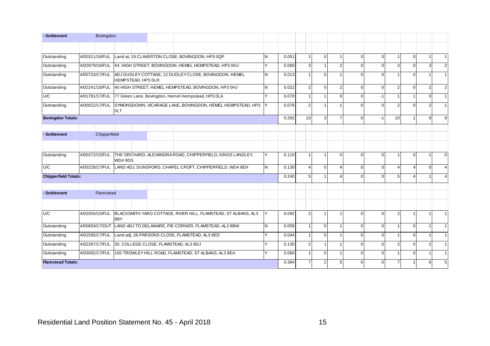| - Settlement                | Bovingdon      |                                       |                                                                |              |       |                       |                |                |          |          |                |             |                |                |
|-----------------------------|----------------|---------------------------------------|----------------------------------------------------------------|--------------|-------|-----------------------|----------------|----------------|----------|----------|----------------|-------------|----------------|----------------|
|                             |                |                                       |                                                                |              |       |                       |                |                |          |          |                |             |                |                |
| Outstanding                 | 4/00311/16/FUL |                                       | Land at, 19 CLAVERTON CLOSE, BOVINGDON, HP3 0QP                | <b>N</b>     | 0.051 |                       | $\mathbf{0}$   | $\mathbf 1$    | $\Omega$ | $\Omega$ |                | $\mathbf 0$ |                |                |
| Outstanding                 | 4/02979/16/FUL |                                       | 44, HIGH STREET, BOVINGDON, HEMEL HEMPSTEAD, HP3 0HJ           | Y            | 0.060 | 3                     | $\overline{1}$ | 2              |          | $\Omega$ | 3              | $\Omega$    | 3              | $\mathfrak{p}$ |
| Outstanding                 | 4/00733/17/FUL | HEMPSTEAD, HP3 OLR                    | ADJ DUDLEY COTTAGE, 12 DUDLEY CLOSE, BOVINGDON, HEMEL          | N            | 0.013 |                       | $\Omega$       |                |          | $\Omega$ |                | $\Omega$    |                |                |
| Outstanding                 | 4/02241/16/FUL |                                       | 40 HIGH STREET, HEMEL HEMPSTEAD, BOVINGDON, HP3 0HJ            | <b>N</b>     | 0.022 | $\overline{2}$        | $\Omega$       | $\mathfrak{p}$ |          | $\Omega$ | $\overline{2}$ | $\Omega$    | $\mathfrak{p}$ | 2              |
| U/C                         | 4/01781/17/FUL |                                       | 77 Green Lane, Bovingdon, Hemel Hempstead, HP3 0LA             | $\checkmark$ | 0.070 |                       | $\overline{1}$ | $\Omega$       |          | $-1$     |                |             | $\Omega$       |                |
| Outstanding                 | 4/00022/17/FUL | 0LT                                   | SYMONSDOWN, VICARAGE LANE, BOVINGDON, HEMEL HEMPSTEAD, HP3     |              | 0.076 | 2                     |                |                |          | $\Omega$ | 2              | $\Omega$    |                |                |
| <b>Bovingdon Totals:</b>    |                |                                       |                                                                |              | 0.292 | 10                    | 3              | 7              |          | $-1$     | 10             |             | q              | 8              |
| - Settlement                | Chipperfield   |                                       |                                                                |              |       |                       |                |                |          |          |                |             |                |                |
|                             |                |                                       |                                                                |              |       |                       |                |                |          |          |                |             |                |                |
| Outstanding                 | 4/00372/15/FUL | WD4 9DS                               | THE ORCHARD, ALEXANDRA ROAD, CHIPPERFIELD, KINGS LANGLEY,      | Υ            | 0.110 |                       | $\overline{1}$ | $\Omega$       | $\Omega$ | $\Omega$ |                | $\Omega$    |                | $\Omega$       |
| U/C                         | 4/00228/17/FUL |                                       | LAND ADJ. DUNSFORD, CHAPEL CROFT, CHIPPERFIELD, WD4 9EH        | IN.          | 0.130 | $\boldsymbol{\Delta}$ | $\Omega$       |                |          | $\Omega$ | $\Delta$       |             | $\Omega$       |                |
| <b>Chipperfield Totals:</b> |                |                                       |                                                                |              | 0.240 | 5                     | $\overline{1}$ |                | $\Omega$ | $\Omega$ | 5              | Δ           |                |                |
| - Settlement                | Flamstead      |                                       |                                                                |              |       |                       |                |                |          |          |                |             |                |                |
|                             |                |                                       |                                                                |              |       |                       |                |                |          |          |                |             |                |                |
| U/C                         | 4/02055/15/FUL | 8BY                                   | BLACKSMITH YARD COTTAGE, RIVER HILL, FLAMSTEAD, ST ALBANS, AL3 | l Y          | 0.092 | 2                     | $\overline{1}$ |                | $\Omega$ | $\Omega$ | $\overline{2}$ |             |                |                |
| Outstanding                 | 4/00659/17/OUT |                                       | LAND ADJ TO DELAWARE, PIE CORNER, FLAMSTEAD, AL3 8BW           | N            | 0.058 |                       | $\Omega$       |                |          | $\Omega$ |                | $\Omega$    |                |                |
| Outstanding                 | 4/01595/17/FUL |                                       | Land adj, 26 PARSONS CLOSE, FLAMSTEAD, AL3 8ED                 | $\checkmark$ | 0.044 |                       | $\mathbf 0$    | $\overline{1}$ |          | $\Omega$ |                | $\Omega$    |                |                |
| Outstanding                 | 4/02287/17/FUL | 30, COLLEGE CLOSE, FLAMSTEAD, AL3 8DJ |                                                                | v            | 0.130 | 2                     | $\mathbf 1$    |                |          | $\Omega$ | $\mathcal{P}$  | $\Omega$    | 2              |                |
| Outstanding                 | 4/03092/17/FUL |                                       | 100 TROWLEY HILL ROAD, FLAMSTEAD, ST ALBANS, AL3 8EA           | Y            | 0.060 |                       | $\mathbf 0$    |                |          | $\Omega$ |                | $\Omega$    |                |                |
| <b>Flamstead Totals:</b>    |                |                                       |                                                                |              | 0.384 |                       | $\overline{2}$ |                |          | $\Omega$ |                |             |                | 5              |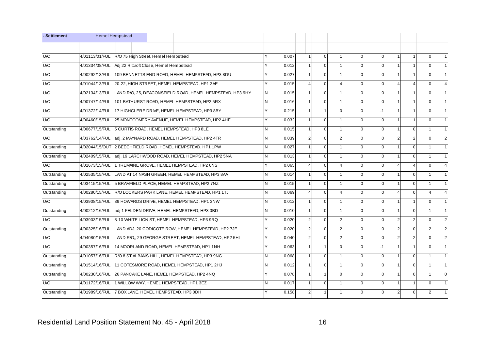| - Settlement |                                                    | <b>Hemel Hempstead</b>                              |                                                                 |   |       |                |                |                |                |                |                         |                         |                |                |
|--------------|----------------------------------------------------|-----------------------------------------------------|-----------------------------------------------------------------|---|-------|----------------|----------------|----------------|----------------|----------------|-------------------------|-------------------------|----------------|----------------|
|              |                                                    |                                                     |                                                                 |   |       |                |                |                |                |                |                         |                         |                |                |
| U/C          | 4/01113/01/FUL R/O 75 High Street, Hemel Hempstead |                                                     |                                                                 |   | 0.007 | $\mathbf{1}$   | $\overline{0}$ | 1              | $\Omega$       | $\Omega$       | $\mathbf{1}$            | $\mathbf{1}$            | $\Omega$       | $\vert$ 1      |
| U/C          | 4/01334/08/FUL                                     | Adj 22 Ritcroft Close, Hemel Hempstead              |                                                                 |   | 0.012 |                | $\mathbf 0$    | 1              | $\Omega$       | $\Omega$       |                         | 1                       | $\mathbf{0}$   | 1              |
| U/C          | 4/00292/13/FUL                                     |                                                     | 109 BENNETTS END ROAD, HEMEL HEMPSTEAD, HP3 8DU                 |   | 0.027 |                | $\mathbf 0$    | 1              | $\overline{0}$ | $\overline{0}$ |                         | 1                       | $\mathbf{0}$   | 1              |
| U/C          | 4/01044/13/FUL                                     |                                                     | 20-22, HIGH STREET, HEMEL HEMPSTEAD, HP1 3AE                    |   | 0.015 |                | $\mathbf 0$    | $\overline{4}$ | $\mathbf{0}$   | $\overline{0}$ | $\overline{4}$          | $\overline{\mathbf{4}}$ | $\mathbf{0}$   | $\overline{4}$ |
| U/C          | 4/02134/13/FUL                                     |                                                     | LAND R/O, 25, DEACONSFIELD ROAD, HEMEL HEMPSTEAD, HP3 9HY       | N | 0.015 |                | $\overline{0}$ | $\mathbf{1}$   | $\overline{0}$ | $\Omega$       | $\mathbf{1}$            | 1                       | $\mathbf{0}$   | 1              |
| U/C          | 4/00747/14/FUL                                     |                                                     | 101 BATHURST ROAD, HEMEL HEMPSTEAD, HP2 5RX                     | N | 0.016 | 1              | $\Omega$       | $\mathbf{1}$   | $\Omega$       | $\Omega$       | $\overline{1}$          | $\mathbf{1}$            | $\Omega$       | 1              |
| U/C          |                                                    |                                                     | 4/01372/14/FUL 17 HIGHCLERE DRIVE, HEMEL HEMPSTEAD, HP3 8BY     |   | 0.215 |                | $\overline{1}$ | $\Omega$       | $\Omega$       | $-1$           |                         | 1                       | $\Omega$       | 1              |
| U/C          | 4/00460/15/FUL                                     |                                                     | 25 MONTGOMERY AVENUE, HEMEL HEMPSTEAD, HP2 4HE                  |   | 0.032 |                | $\mathbf{0}$   | 1              | $\Omega$       | $\Omega$       | $\overline{\mathbf{1}}$ | 1                       | $\Omega$       | 1              |
| Outstanding  |                                                    |                                                     | 4/00677/15/FUL 5 CURTIS ROAD, HEMEL HEMPSTEAD, HP3 8LE          | N | 0.015 |                | $\mathbf{0}$   | 1              | $\Omega$       | $\Omega$       |                         | $\mathbf 0$             |                | 1              |
| U/C          |                                                    |                                                     | 4/03762/14/FUL adj. 2 MAYNARD ROAD, HEMEL HEMPSTEAD, HP2 4TR    | N | 0.039 | $\overline{2}$ | $\mathbf{0}$   | $\overline{2}$ | $\Omega$       | $\Omega$       | 2                       | $\overline{2}$          | $\Omega$       | $\overline{2}$ |
| Outstanding  |                                                    |                                                     | 4/02044/15/OUT 2 BEECHFIELD ROAD, HEMEL HEMPSTEAD, HP1 1PW      | N | 0.027 |                | $\mathbf 0$    | $\mathbf{1}$   | $\Omega$       | $\Omega$       |                         | $\mathbf 0$             |                | 1              |
| Outstanding  |                                                    |                                                     | 4/02409/15/FUL adj. 19 LARCHWOOD ROAD, HEMEL HEMPSTEAD, HP2 5NA | N | 0.013 | $\mathbf{1}$   | $\overline{0}$ | 1              | $\overline{0}$ | $\Omega$       | $\mathbf{1}$            | $\mathbf 0$             |                | 1              |
| U/C          | 4/01673/15/FUL                                     |                                                     | 1 TREMAINE GROVE, HEMEL HEMPSTEAD, HP2 6NS                      |   | 0.065 |                | $\mathbf{0}$   | 4              | $\mathbf{0}$   | $\overline{0}$ | $\boldsymbol{\Delta}$   | 4                       | $\overline{0}$ | $\overline{4}$ |
| Outstanding  | 4/02535/15/FUL                                     |                                                     | LAND AT 14 NASH GREEN, HEMEL HEMPSTEAD, HP3 8AA                 | N | 0.014 |                | $\mathbf{0}$   | 1              | $\overline{0}$ | $\overline{0}$ |                         | $\mathbf 0$             |                | 1              |
| Outstanding  | 4/03415/15/FUL                                     |                                                     | 5 BRAMFIELD PLACE, HEMEL HEMPSTEAD, HP2 7NZ                     | N | 0.015 |                | $\mathbf{0}$   | 1              | $\Omega$       | $\Omega$       | $\overline{\mathbf{1}}$ | $\Omega$                |                | 1              |
| Outstanding  | 4/00280/15/FUL                                     |                                                     | R/O LOCKERS PARK LANE, HEMEL HEMPSTEAD, HP1 1TJ                 | N | 0.069 | $\overline{4}$ | $\Omega$       | $\overline{4}$ | $\Omega$       | $\Omega$       | $\overline{4}$          | $\Omega$                | $\overline{4}$ | $\overline{4}$ |
| U/C          | 4/03908/15/FUL                                     |                                                     | 39 HOWARDS DRIVE, HEMEL HEMPSTEAD, HP1 3NW                      | N | 0.012 |                | $\Omega$       | $\mathbf{1}$   | $\Omega$       | $\Omega$       | $\overline{1}$          | $\mathbf{1}$            | $\Omega$       | 1              |
| Outstanding  | 4/00212/16/FUL                                     |                                                     | adj 1 FELDEN DRIVE, HEMEL HEMPSTEAD, HP3 0BD                    | N | 0.010 |                | $\mathbf{0}$   | 1              | $\Omega$       | $\Omega$       |                         | $\mathbf 0$             |                | 1              |
| U/C          | 4/03903/15/FUL                                     |                                                     | 8-10 WHITE LION ST, HEMEL HEMPSTEAD, HP3 9RQ                    |   | 0.020 | 2 <sup>1</sup> | $\mathbf{0}$   | $\overline{2}$ | $\overline{0}$ | $\Omega$       | $\overline{2}$          | $\overline{2}$          | $\Omega$       | $\overline{2}$ |
| Outstanding  | 4/00325/16/FUL                                     |                                                     | LAND ADJ, 20 CODICOTE ROW, HEMEL HEMPSTEAD, HP2 7JE             |   | 0.020 | $\overline{2}$ | $\mathbf 0$    | $\overline{2}$ | $\overline{0}$ | $\Omega$       | $\overline{2}$          | $\mathbf 0$             | $\overline{2}$ | $\overline{2}$ |
| U/C          | 4/04080/15/FUL                                     |                                                     | LAND R/O,, 29 GEORGE STREET, HEMEL HEMPSTEAD, HP2 5HL           |   | 0.040 | $\overline{2}$ | $\mathbf{0}$   | $\overline{2}$ | $\overline{0}$ | $\Omega$       | 2                       | $\overline{2}$          | $\Omega$       | $\overline{2}$ |
| U/C          | 4/00357/16/FUL                                     |                                                     | 14 MOORLAND ROAD, HEMEL HEMPSTEAD, HP1 1NH                      |   | 0.063 |                | $\mathbf{1}$   | $\mathbf{0}$   | $\overline{0}$ | $-1$           | $\overline{1}$          | $\mathbf{1}$            | $\mathbf 0$    | 1              |
| Outstanding  | 4/01057/16/FUL                                     |                                                     | R/O 8 ST ALBANS HILL, HEMEL HEMPSTEAD, HP3 9NG                  | N | 0.068 | $\mathbf{1}$   | $\Omega$       | 1              | $\Omega$       | $\Omega$       | $\mathbf{1}$            | $\Omega$                |                | 1              |
| Outstanding  | 4/01514/16/FUL                                     |                                                     | 11 COTESMORE ROAD, HEMEL HEMPSTEAD, HP1 2HJ                     | N | 0.012 |                | $\mathbf 0$    | 1              | $\Omega$       | $\Omega$       |                         | $\mathbf 0$             |                | 1              |
| Outstanding  | 4/00230/16/FUL                                     |                                                     | 26 PANCAKE LANE, HEMEL HEMPSTEAD, HP2 4NQ                       |   | 0.078 |                | $\mathbf{1}$   | $\overline{0}$ | $\Omega$       | $\Omega$       |                         | $\Omega$                |                | $\mathbf{0}$   |
| U/C          | 4/01172/16/FUL                                     |                                                     | 1 WILLOW WAY, HEMEL HEMPSTEAD, HP1 3EZ                          | N | 0.017 |                | $\mathbf{0}$   | 1              | $\Omega$       | $\Omega$       | $\overline{1}$          | 1                       | $\Omega$       | 1              |
| Outstanding  |                                                    | 4/01989/16/FUL 7 BOX LANE, HEMEL HEMPSTEAD, HP3 0DH |                                                                 |   | 0.158 | 2 <sub>1</sub> | $\overline{1}$ | 1              | $\Omega$       | $\Omega$       | 2                       | $\Omega$                | $\overline{2}$ | $\vert$ 1      |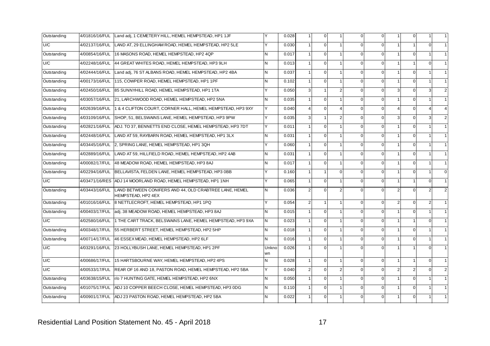| Outstanding | 4/01816/16/FUL | Land adj, 1 CEMETERY HILL, HEMEL HEMPSTEAD, HP1 1JF                          |              | 0.028 |                | $\mathbf{0}$   |                         | $\Omega$       | $\Omega$    | $\overline{1}$ | $\overline{0}$ |                |                |
|-------------|----------------|------------------------------------------------------------------------------|--------------|-------|----------------|----------------|-------------------------|----------------|-------------|----------------|----------------|----------------|----------------|
| U/C         | 4/02137/16/FUL | LAND AT, 29 ELLINGHAM ROAD, HEMEL HEMPSTEAD, HP2 5LE                         | Y            | 0.030 | 1              | $\mathbf{0}$   | $\mathbf 1$             | $\overline{0}$ | $\Omega$    | $\mathbf{1}$   | $\mathbf{1}$   | $\overline{0}$ |                |
| Outstanding | 4/00854/16/FUL | 16 MASONS ROAD, HEMEL HEMPSTEAD, HP2 4QP                                     | IN.          | 0.017 | 1              | $\overline{0}$ |                         | $\overline{0}$ | $\Omega$    | $\overline{1}$ | $\overline{0}$ |                |                |
| U/C         | 4/02248/16/FUL | 44 GREAT WHITES ROAD, HEMEL HEMPSTEAD, HP3 9LH                               | IN.          | 0.013 |                | $\mathbf{0}$   |                         | $\Omega$       | $\Omega$    | $\overline{1}$ | $\mathbf{1}$   | $\Omega$       |                |
| Outstanding | 4/02444/16/FUL | Land adj, 76 ST ALBANS ROAD, HEMEL HEMPSTEAD, HP2 4BA                        | IN.          | 0.037 |                | $\overline{0}$ |                         | $\Omega$       | $\Omega$    | $\mathbf{1}$   | $\overline{0}$ |                |                |
| Outstanding | 4/00173/16/FUL | 115, COWPER ROAD, HEMEL HEMPSTEAD, HP1 1PF                                   | IN.          | 0.102 |                | $\Omega$       |                         | $\Omega$       | $\Omega$    | $\overline{1}$ | $\Omega$       |                |                |
| Outstanding | 4/02450/16/FUL | 85 SUNNYHILL ROAD, HEMEL HEMPSTEAD, HP1 1TA                                  | $\checkmark$ | 0.050 | $\overline{3}$ | $\mathbf{1}$   | $\overline{2}$          | $\overline{0}$ | $\Omega$    | 3              | $\overline{0}$ | 3              | 2 <sub>l</sub> |
| Outstanding | 4/03057/16/FUL | 21, LARCHWOOD ROAD, HEMEL HEMPSTEAD, HP2 5NA                                 | <b>N</b>     | 0.035 |                | $\mathbf{0}$   |                         | $\Omega$       | $\Omega$    | $\overline{1}$ | $\overline{0}$ |                |                |
| Outstanding | 4/02639/16/FUL | 1 & 4 CLIFTON COURT, CORNER HALL, HEMEL HEMPSTEAD, HP3 9XY                   | Υ            | 0.040 | $\overline{4}$ | $\Omega$       | $\overline{\mathbf{4}}$ | $\Omega$       | $\Omega$    | $\overline{4}$ | $\Omega$       | $\overline{4}$ |                |
| Outstanding | 4/03109/16/FUL | SHOP, 51, BELSWAINS LANE, HEMEL HEMPSTEAD, HP3 9PW                           |              | 0.035 | $\overline{3}$ | $\overline{1}$ | $\overline{2}$          | $\Omega$       | $\Omega$    | 3              | $\overline{0}$ | $\overline{3}$ | 2 <sub>l</sub> |
| Outstanding | 4/02821/16/FUL | ADJ. TO 37, BENNETTS END CLOSE, HEMEL HEMPSTEAD, HP3 7DT                     | v            | 0.011 |                | $\overline{0}$ |                         | $\Omega$       | $\Omega$    | $\overline{1}$ | $\overline{0}$ |                |                |
| Outstanding | 4/02448/16/FUL | LAND AT 59, RAYBARN ROAD, HEMEL HEMPSTEAD, HP1 3LX                           | IN.          | 0.031 |                | $\Omega$       |                         | $\Omega$       | $\Omega$    | $\overline{1}$ | $\overline{0}$ |                |                |
| Outstanding | 4/03445/16/FUL | 2, SPRING LANE, HEMEL HEMPSTEAD, HP1 3QH                                     |              | 0.060 |                | $\overline{0}$ |                         | $\Omega$       | $\Omega$    | $\overline{1}$ | $\overline{0}$ |                |                |
| Outstanding | 4/02889/16/FUL | LAND AT 59, HILLFIELD ROAD, HEMEL HEMPSTEAD, HP2 4AB                         | N            | 0.031 |                | $\Omega$       |                         | $\Omega$       | $\Omega$    | $\overline{1}$ | $\overline{0}$ |                |                |
| Outstanding | 4/00082/17/FUL | 48 MEADOW ROAD, HEMEL HEMPSTEAD, HP3 8AJ                                     | N            | 0.017 |                | $\mathbf 0$    | -1                      | $\overline{0}$ | $\mathbf 0$ | $\mathbf 1$    | $\mathbf{0}$   |                |                |
| Outstanding | 4/02294/16/FUL | BELLAVISTA, FELDEN LANE, HEMEL HEMPSTEAD, HP3 OBB                            |              | 0.160 |                | $\overline{1}$ | $\mathbf 0$             | $\Omega$       | $\Omega$    | $\mathbf{1}$   | $\overline{0}$ |                | $\overline{0}$ |
| U/C         |                | 4/03471/16/RES ADJ 14 MOORLAND ROAD, HEMEL HEMPSTEAD, HP1 1NH                | v            | 0.065 |                | $\mathbf{0}$   |                         | $\Omega$       | $\Omega$    | $\overline{1}$ | $\mathbf{1}$   | $\Omega$       |                |
| Outstanding | 4/03443/16/FUL | LAND BETWEEN CONIFERS AND 44, OLD CRABTREE LANE, HEMEL<br>HEMPSTEAD, HP2 4EX | IN.          | 0.036 | $\mathfrak{p}$ | $\Omega$       | 2                       | $\Omega$       | $\Omega$    | $\overline{2}$ | $\overline{0}$ | 2 <sub>l</sub> | $\overline{2}$ |
| Outstanding | 4/01016/16/FUL | 8 NETTLECROFT, HEMEL HEMPSTEAD, HP1 1PQ                                      |              | 0.054 | $\overline{2}$ | $\overline{1}$ | -1                      | $\Omega$       | $\Omega$    | $\overline{2}$ | $\mathbf{0}$   | $\overline{2}$ | 11             |
| Outstanding | 4/00403/17/FUL | adj. 38 MEADOW ROAD, HEMEL HEMPSTEAD, HP3 8AJ                                | IN.          | 0.015 | $\overline{1}$ | $\overline{0}$ | $\mathbf 1$             | $\overline{0}$ | $\Omega$    | $\mathbf{1}$   | $\overline{0}$ | $\mathbf{1}$   |                |
| U/C         | 4/02580/16/FUL | 1 THE CART TRACK, BELSWAINS LANE, HEMEL HEMPSTEAD, HP3 9XA                   | IN.          | 0.023 |                | $\mathbf{0}$   |                         | $\Omega$       | $\Omega$    | $\overline{1}$ | $\mathbf{1}$   | $\Omega$       |                |
| Outstanding | 4/00348/17/FUL | 55 HERBERT STREET, HEMEL HEMPSTEAD, HP2 5HP                                  | IN.          | 0.018 | 1              | $\mathbf{0}$   |                         | $\overline{0}$ | $\Omega$    | $\mathbf{1}$   | $\overline{0}$ |                |                |
| Outstanding | 4/00714/17/FUL | 46 ESSEX MEAD, HEMEL HEMPSTEAD, HP2 6LF                                      | IN.          | 0.016 |                | $\mathbf{0}$   |                         | $\Omega$       | $\Omega$    | $\overline{1}$ | $\overline{0}$ |                |                |
| U/C         | 4/03291/16/FUL | 23 HOLLYBUSH LANE, HEMEL HEMPSTEAD, HP1 2PF                                  | Unkno<br>wn  | 0.026 |                | $\Omega$       |                         | $\Omega$       | $\Omega$    | $\overline{1}$ | $\mathbf{1}$   | $\Omega$       |                |
| U/C         | 4/00686/17/FUL | 15 HARTSBOURNE WAY, HEMEL HEMPSTEAD, HP2 4PS                                 | N            | 0.028 |                | $\mathbf 0$    |                         | $\Omega$       | $\Omega$    | $\overline{1}$ | $\mathbf{1}$   | $\Omega$       |                |
| U/C         | 4/00533/17/FUL | REAR OF 16 AND 18, PASTON ROAD, HEMEL HEMPSTEAD, HP2 5BA                     | Y            | 0.040 | $\overline{2}$ | $\mathbf 0$    | $\overline{2}$          | $\overline{0}$ | $\mathbf 0$ | $\overline{2}$ | $\overline{2}$ | $\overline{0}$ | 2 <sub>1</sub> |
| Outstanding | 4/03638/15/FUL | r/o 7 HUNTING GATE, HEMEL HEMPSTEAD, HP2 6NX                                 | IN.          | 0.050 |                | $\mathbf 0$    | 1                       | $\overline{0}$ | $\Omega$    | $\overline{1}$ | $\mathbf{0}$   |                |                |
| Outstanding | 4/01075/17/FUL | ADJ 10 COPPER BEECH CLOSE, HEMEL HEMPSTEAD, HP3 0DG                          | <b>N</b>     | 0.110 |                | $\mathbf 0$    |                         | $\overline{0}$ | $\mathbf 0$ | $\mathbf{1}$   | $\mathbf 0$    |                |                |
| Outstanding | 4/00901/17/FUL | ADJ 23 PASTON ROAD, HEMEL HEMPSTEAD, HP2 5BA                                 | N            | 0.022 |                | $\mathbf{0}$   |                         | $\Omega$       | $\Omega$    | $\mathbf{1}$   | $\overline{0}$ |                |                |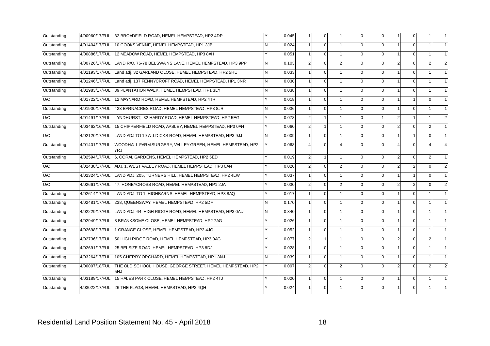| Outstanding | 4/00960/17/FUL | 32 BROADFIELD ROAD, HEMEL HEMPSTEAD, HP2 4DP                     | Y   | 0.045 |                | $\mathbf{0}$ |                | $\overline{0}$ | $\Omega$ |                         | 0              |                | $\mathbf{1}$   |
|-------------|----------------|------------------------------------------------------------------|-----|-------|----------------|--------------|----------------|----------------|----------|-------------------------|----------------|----------------|----------------|
| Outstanding | 4/01404/17/FUL | 10 COOKS VENNE, HEMEL HEMPSTEAD, HP1 3JB                         | N   | 0.024 |                | $\Omega$     | $\overline{1}$ | $\Omega$       | $\Omega$ | $\overline{1}$          | $\mathbf 0$    |                | 1              |
| Outstanding | 4/00886/17/FUL | 12 MEADOW ROAD, HEMEL HEMPSTEAD, HP3 8AH                         | v   | 0.051 |                | $\mathbf 0$  |                | 0              | $\Omega$ |                         | $\Omega$       |                | 1              |
| Outstanding | 4/00726/17/FUL | LAND R/O, 76-78 BELSWAINS LANE, HEMEL HEMPSTEAD, HP3 9PP         | IN. | 0.103 | $\overline{2}$ | $\mathbf{0}$ | 2              | $\overline{0}$ | $\Omega$ | 2                       | $\mathbf 0$    | 2              | $\overline{2}$ |
| Outstanding | 4/01193/17/FUL | Land adj, 32 GARLAND CLOSE, HEMEL HEMPSTEAD, HP2 5HU             | N.  | 0.033 |                | $\mathbf 0$  | $\mathbf{1}$   | $\Omega$       | $\Omega$ |                         | 0              |                | 1              |
| Outstanding | 4/01246/17/FUL | Land adj, 137 FENNYCROFT ROAD, HEMEL HEMPSTEAD, HP1 3NR          | IN. | 0.030 |                | $\mathbf{0}$ |                | $\overline{0}$ | $\Omega$ |                         | $\mathbf 0$    |                | 1              |
| Outstanding | 4/01983/17/FUL | 39 PLANTATION WALK, HEMEL HEMPSTEAD, HP1 3LY                     | N.  | 0.038 |                | $\Omega$     |                | $\Omega$       | $\Omega$ |                         | $\mathbf 0$    |                | 1              |
| U/C         | 4/01722/17/FUL | 12 MAYNARD ROAD, HEMEL HEMPSTEAD, HP2 4TR                        | v   | 0.018 |                | $\Omega$     |                | $\Omega$       | $\Omega$ |                         | 1              | $\mathbf 0$    | 1              |
| Outstanding | 4/01900/17/FUL | 423 BARNACRES ROAD, HEMEL HEMPSTEAD, HP3 8JR                     | N   | 0.036 |                | $\Omega$     |                | $\overline{0}$ | $\Omega$ |                         | $\mathbf 0$    |                | 1              |
| U/C         | 4/01491/17/FUL | LYNDHURST,, 32 HARDY ROAD, HEMEL HEMPSTEAD, HP2 5EG              | Y   | 0.078 | $\overline{2}$ |              |                | 0              | $-1$     | $\overline{2}$          | $\mathbf{1}$   |                | $\overline{2}$ |
| Outstanding | 4/03462/16/FUL | 15 CHIPPERFIELD ROAD, APSLEY, HEMEL HEMPSTEAD, HP3 0AH           | Y   | 0.060 | 2 <sub>1</sub> |              |                | $\overline{0}$ | $\Omega$ | $\overline{2}$          | 0              | $\overline{2}$ | 1              |
| U/C         | 4/02120/17/FUL | LAND ADJ TO 19 ALLDICKS ROAD, HEMEL HEMPSTEAD, HP3 9JJ           | N.  | 0.009 |                | $\Omega$     |                | $\Omega$       | $\Omega$ |                         | $\mathbf{1}$   | $\Omega$       | 1              |
| Outstanding | 4/01401/17/FUL | WOODHALL FARM SURGERY, VALLEY GREEN, HEMEL HEMPSTEAD, HP2<br>7RJ | Y   | 0.068 |                | $\Omega$     |                | U              | $\Omega$ |                         | $\Omega$       |                | $\overline{4}$ |
| Outstanding | 4/02594/17/FUL | 6, CORAL GARDENS, HEMEL HEMPSTEAD, HP2 5ED                       | Y   | 0.019 | $\overline{2}$ | $\mathbf{1}$ | $\mathbf{1}$   | $\overline{0}$ | $\Omega$ | $\overline{2}$          | $\mathbf 0$    | $\overline{2}$ | 1              |
| U/C         | 4/02438/17/FUL | ADJ. 1, WEST VALLEY ROAD, HEMEL HEMPSTEAD, HP3 0AN               | Y   | 0.020 | $\overline{2}$ | $\mathbf 0$  | $\overline{2}$ | $\Omega$       | $\Omega$ | $\overline{2}$          | $\overline{2}$ | $\mathbf 0$    | $\overline{c}$ |
| U/C         | 4/02324/17/FUL | LAND ADJ. 205, TURNERS HILL, HEMEL HEMPSTEAD, HP2 4LW            | Y   | 0.037 |                | $\Omega$     | $\mathbf{1}$   | $\Omega$       | $\Omega$ | $\overline{\mathbf{1}}$ | $\mathbf{1}$   | $\Omega$       | 1              |
| U/C         | 4/02661/17/FUL | 47, HONEYCROSS ROAD, HEMEL HEMPSTEAD, HP1 2JA                    | Y   | 0.030 | 2              | $\Omega$     | $\overline{2}$ | $\Omega$       | $\Omega$ | $\overline{2}$          | $\overline{2}$ | $\Omega$       | $\overline{2}$ |
| Outstanding | 4/02614/17/FUL | LAND ADJ. TO 1, HIGHBARNS, HEMEL HEMPSTEAD, HP3 8AQ              | Y   | 0.017 |                | $\Omega$     |                | $\Omega$       | $\Omega$ |                         | 0              |                | 1              |
| Outstanding | 4/02481/17/FUL | 238, QUEENSWAY, HEMEL HEMPSTEAD, HP2 5DF                         | IN. | 0.170 |                | $\Omega$     | $\overline{1}$ | $\Omega$       | $\Omega$ | $\overline{1}$          | $\mathbf 0$    | $\mathbf{1}$   | 1              |
| Outstanding | 4/02229/17/FUL | LAND ADJ. 64, HIGH RIDGE ROAD, HEMEL HEMPSTEAD, HP3 0AU          | N.  | 0.340 |                | $\Omega$     | $\mathbf{1}$   | $\Omega$       | $\Omega$ |                         | 0              |                | 1              |
| Outstanding | 4/02949/17/FUL | 8 BRANKSOME CLOSE, HEMEL HEMPSTEAD, HP2 7AG                      | Y   | 0.026 |                | $\mathbf{0}$ |                | $\Omega$       | $\Omega$ |                         | 0              |                | 1              |
| Outstanding | 4/02698/17/FUL | 1 GRANGE CLOSE, HEMEL HEMPSTEAD, HP2 4JG                         | Y   | 0.052 |                | $\Omega$     |                | $\Omega$       | $\Omega$ | $\overline{1}$          | $\Omega$       |                | 1              |
| Outstanding | 4/02736/17/FUL | 50 HIGH RIDGE ROAD, HEMEL HEMPSTEAD, HP3 0AG                     | v   | 0.077 | $\overline{2}$ |              |                | $\Omega$       | $\Omega$ | $\overline{2}$          | $\Omega$       | $\overline{2}$ | 1              |
| Outstanding | 4/02691/17/FUL | 25 BELSIZE ROAD, HEMEL HEMPSTEAD, HP3 8DJ                        | Y   | 0.028 |                | $\Omega$     | $\overline{1}$ | $\Omega$       | $\Omega$ |                         | $\Omega$       |                | 1              |
| Outstanding | 4/03264/17/FUL | 105 CHERRY ORCHARD, HEMEL HEMPSTEAD, HP1 3NJ                     | N.  | 0.039 |                | $\Omega$     |                | $\Omega$       | $\Omega$ |                         | 0              |                | 1              |
| Outstanding | 4/00007/18/FUL | THE OLD SCHOOL HOUSE, GEORGE STREET, HEMEL HEMPSTEAD, HP2<br>5HJ | lY. | 0.097 |                | $\Omega$     | $\overline{2}$ |                | $\Omega$ | $\mathcal{P}$           | $\Omega$       |                | $\overline{2}$ |
| Outstanding | 4/03189/17/FUL | 15 HALES PARK CLOSE. HEMEL HEMPSTEAD. HP2 4TJ                    | Y   | 0.020 |                | $\Omega$     |                | $\Omega$       | $\Omega$ |                         | $\Omega$       |                | 1              |
| Outstanding | 4/03022/17/FUL | 26 THE FLAGS, HEMEL HEMPSTEAD, HP2 4QH                           |     | 0.024 |                | $\Omega$     |                | 0              | $\Omega$ |                         | $\Omega$       |                | 1              |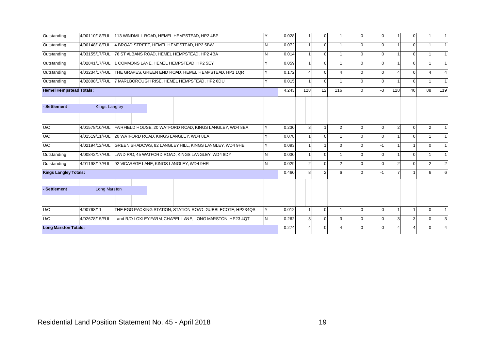| Outstanding                    | 4/00110/18/FUL |                      |  |  |  | 113 WINDMILL ROAD, HEMEL HEMPSTEAD, HP2 4BP                | $\checkmark$ | 0.028 |     | $\Omega$ |                | $\Omega$ | $\Omega$ |                | $\mathbf 0$ |                | $\vert$ 1      |
|--------------------------------|----------------|----------------------|--|--|--|------------------------------------------------------------|--------------|-------|-----|----------|----------------|----------|----------|----------------|-------------|----------------|----------------|
| Outstanding                    | 4/00148/18/FUL |                      |  |  |  | 4 BROAD STREET, HEMEL HEMPSTEAD, HP2 5BW                   | N            | 0.072 |     | $\Omega$ |                | 0        | $\Omega$ |                | $\Omega$    |                | 1              |
| Outstanding                    | 4/03155/17/FUL |                      |  |  |  | 76 ST ALBANS ROAD, HEMEL HEMPSTEAD, HP2 4BA                | IN.          | 0.014 |     | $\Omega$ |                | U        | $\Omega$ |                | $\Omega$    |                | $1 \vert$      |
| Outstanding                    | 4/02841/17/FUL |                      |  |  |  | 1 COMMONS LANE, HEMEL HEMPSTEAD, HP2 5EY                   | Υ            | 0.059 |     | $\Omega$ |                | 0        | $\Omega$ |                | $\Omega$    |                | $\vert$ 1      |
| Outstanding                    | 4/03234/17/FUL |                      |  |  |  | THE GRAPES, GREEN END ROAD, HEMEL HEMPSTEAD, HP1 1QR       | v            | 0.172 |     | $\Omega$ |                | U        | 0        |                | $\Omega$    |                | $\overline{4}$ |
| Outstanding                    | 4/02808/17/FUL |                      |  |  |  | 7 MARLBOROUGH RISE, HEMEL HEMPSTEAD, HP2 6DU               | v            | 0.015 |     | $\Omega$ |                | 0        | $\Omega$ |                | $\Omega$    |                | $1 \vert$      |
| <b>Hemel Hempstead Totals:</b> |                |                      |  |  |  |                                                            |              | 4.243 | 128 | 12       | 116            | $\Omega$ | $-3$     | 128            | 40          | 88             | 119            |
|                                |                |                      |  |  |  |                                                            |              |       |     |          |                |          |          |                |             |                |                |
| - Settlement                   |                | <b>Kings Langley</b> |  |  |  |                                                            |              |       |     |          |                |          |          |                |             |                |                |
|                                |                |                      |  |  |  |                                                            |              |       |     |          |                |          |          |                |             |                |                |
| U/C                            | 4/01578/10/FUL |                      |  |  |  | FAIRFIELD HOUSE, 20 WATFORD ROAD, KINGS LANGLEY, WD4 8EA   | v            | 0.230 |     |          | $\overline{2}$ | U        | $\Omega$ | $\overline{2}$ | 0           | $\overline{2}$ | $\mathbf{1}$   |
| U/C                            | 4/01519/11/FUL |                      |  |  |  | 20 WATFORD ROAD, KINGS LANGLEY, WD4 8EA                    | v            | 0.078 |     | $\Omega$ |                | 0        | $\Omega$ |                | $\Omega$    |                | 1              |
| U/C                            | 4/02194/12/FUL |                      |  |  |  | GREEN SHADOWS, 82 LANGLEY HILL, KINGS LANGLEY, WD4 9HE     | $\checkmark$ | 0.093 |     |          | $\Omega$       | U        | $-1$     |                |             | $\mathbf 0$    |                |
| Outstanding                    | 4/00842/17/FUL |                      |  |  |  | LAND R/O, 45 WATFORD ROAD, KINGS LANGLEY, WD4 8DY          | N            | 0.030 |     | $\Omega$ |                | 0        | $\Omega$ |                | $\Omega$    |                | 1              |
| Outstanding                    | 4/01198/17/FUL |                      |  |  |  | 92 VICARAGE LANE, KINGS LANGLEY, WD4 9HR                   | N            | 0.029 |     | $\Omega$ | $\mathfrak{p}$ |          | $\Omega$ | $\mathcal{P}$  | $\Omega$    | 2              | $\overline{2}$ |
| <b>Kings Langley Totals:</b>   |                |                      |  |  |  |                                                            |              | 0.460 | 8   | 2        | ี              | U        | -1       |                |             | 6              | 6              |
|                                |                |                      |  |  |  |                                                            |              |       |     |          |                |          |          |                |             |                |                |
| - Settlement                   |                | <b>Long Marston</b>  |  |  |  |                                                            |              |       |     |          |                |          |          |                |             |                |                |
|                                |                |                      |  |  |  |                                                            |              |       |     |          |                |          |          |                |             |                |                |
| U/C                            | 4/00768/11     |                      |  |  |  | THE EGG PACKING STATION, STATION ROAD, GUBBLECOTE, HP234QS | IY           | 0.012 |     | $\Omega$ |                | $\Omega$ | $\Omega$ |                | 1           | $\Omega$       | 1              |
| U/C                            | 4/02678/15/FUL |                      |  |  |  | Land R/O LOXLEY FARM, CHAPEL LANE, LONG MARSTON, HP23 4QT  | IN.          | 0.262 |     | $\Omega$ | 3              | U        | 0        | 3              | 3           | $\overline{0}$ | 3              |
| <b>Long Marston Totals:</b>    |                |                      |  |  |  |                                                            |              | 0.274 |     | $\Omega$ |                |          |          |                |             |                | $\overline{4}$ |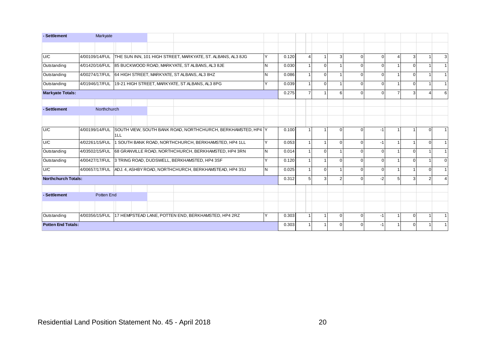| - Settlement              | Markyate              |                                                                       |              |       |                |          |              |          |   |          |                |                |
|---------------------------|-----------------------|-----------------------------------------------------------------------|--------------|-------|----------------|----------|--------------|----------|---|----------|----------------|----------------|
|                           |                       |                                                                       |              |       |                |          |              |          |   |          |                |                |
| U/C                       | 4/00109/14/FUL        | THE SUN INN, 101 HIGH STREET, MARKYATE, ST. ALBANS, AL3 8JG           |              | 0.120 |                | 3        | <sup>n</sup> | $\Omega$ |   | 3        |                | 3              |
| Outstanding               |                       | 4/01420/16/FUL 85 BUCKWOOD ROAD, MARKYATE, ST ALBANS, AL3 8JE         | <b>N</b>     | 0.030 | $\mathbf 0$    |          | <sup>n</sup> | $\Omega$ |   | $\Omega$ |                | 1              |
| Outstanding               |                       | 4/00274/17/FUL 64 HIGH STREET, MARKYATE, ST ALBANS, AL3 8HZ           | <b>N</b>     | 0.086 | $\mathbf 0$    |          |              | $\Omega$ |   | $\Omega$ |                | $1 \vert$      |
| Outstanding               |                       | 4/01946/17/FUL 19-21 HIGH STREET, MARKYATE, ST ALBANS, AL3 8PG        | v            | 0.039 | $\Omega$       |          | $\Omega$     | $\Omega$ |   | $\Omega$ |                | $\vert$ 1      |
| <b>Markyate Totals:</b>   |                       |                                                                       |              | 0.275 |                |          |              | $\Omega$ |   | 3        |                | 6              |
| - Settlement              | Northchurch           |                                                                       |              |       |                |          |              |          |   |          |                |                |
| U/C                       | 4/00199/14/FUL<br>1LL | SOUTH VIEW, SOUTH BANK ROAD, NORTHCHURCH, BERKHAMSTED, HP4 Y          |              | 0.100 |                | $\Omega$ | $\Omega$     | $-1$     |   |          | $\Omega$       | 1              |
| U/C                       | 4/02261/15/FUL        | 1 SOUTH BANK ROAD, NORTHCHURCH, BERKHAMSTED, HP4 1LL                  | v            | 0.053 | $\overline{1}$ | $\Omega$ | $\Omega$     | $-1$     |   | 1        | $\Omega$       | 1              |
| Outstanding               |                       | 4/03502/15/FUL 68 GRANVILLE ROAD, NORTHCHURCH, BERKHAMSTED, HP4 3RN   | IN.          | 0.014 | $\Omega$       |          | $\Omega$     | $\Omega$ |   | $\Omega$ |                | 1              |
| Outstanding               |                       | 4/00427/17/FUL 3 TRING ROAD, DUDSWELL, BERKHAMSTED, HP4 3SF           | $\checkmark$ | 0.120 | -1             | $\Omega$ | <sup>n</sup> | $\Omega$ |   | $\Omega$ |                | $\mathbf{0}$   |
| U/C                       |                       | 4/00657/17/FUL ADJ. 4, ASHBY ROAD, NORTHCHURCH, BERKHAMSTEAD, HP4 3SJ | IN.          | 0.025 | $\mathbf 0$    |          | $\Omega$     | $\Omega$ |   |          | $\overline{0}$ | 1              |
| Northchurch Totals:       |                       |                                                                       |              | 0.312 | 3              |          |              | $-2$     | 5 | 3        | 2              | $\overline{4}$ |
| - Settlement              | Potten End            |                                                                       |              |       |                |          |              |          |   |          |                |                |
| Outstanding               |                       | 4/00356/15/FUL 17 HEMPSTEAD LANE, POTTEN END, BERKHAMSTED, HP4 2RZ    |              | 0.303 |                | $\Omega$ | $\Omega$     | $-1$     |   | $\Omega$ |                |                |
| <b>Potten End Totals:</b> |                       |                                                                       |              | 0.303 |                |          |              | -1       |   | $\Omega$ |                | $1 \vert$      |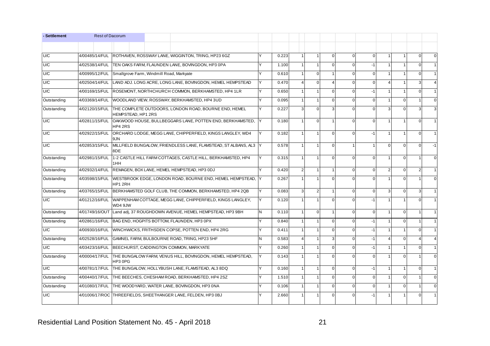| - Settlement | <b>Rest of Dacorum</b> |                                          |                                                               |                                                                           |     |       |                       |                |              |          |                |                         |                |          |             |
|--------------|------------------------|------------------------------------------|---------------------------------------------------------------|---------------------------------------------------------------------------|-----|-------|-----------------------|----------------|--------------|----------|----------------|-------------------------|----------------|----------|-------------|
|              |                        |                                          |                                                               |                                                                           |     |       |                       |                |              |          |                |                         |                |          |             |
| U/C          | 4/00485/14/FUL         |                                          | ROTHAVEN, ROSSWAY LANE, WIGGINTON, TRING, HP23 6GZ            |                                                                           |     | 0.223 |                       |                | $\mathbf{0}$ | $\Omega$ | $\mathbf 0$    | 1                       | 1              | $\Omega$ | $\mathbf 0$ |
| U/C          | 4/02538/14/FUL         |                                          | <b>ITEN OAKS FARM. FLAUNDEN LANE. BOVINGDON. HP3 OPA</b>      |                                                                           | Υ   | 1.100 |                       |                | $\Omega$     | $\Omega$ | $-1$           |                         |                | $\Omega$ |             |
| U/C          | 4/00995/12/FUL         | Smallgrove Farm, Windmill Road, Markyate |                                                               |                                                                           | Y   | 0.610 |                       | $\Omega$       |              | ∩        | $\Omega$       | 1                       |                | ∩        |             |
| U/C          | 4/02504/14/FUL         |                                          |                                                               | LAND ADJ. LONG ACRE, LONG LANE, BOVINGDON, HEMEL HEMPSTEAD                | IY. | 0.470 | $\boldsymbol{\Delta}$ | $\Omega$       |              | $\Omega$ | $\mathbf 0$    | $\overline{\mathbf{4}}$ | 1              |          |             |
| U/C          | 4/00169/15/FUL         |                                          | ROSEMONT, NORTHCHURCH COMMON, BERKHAMSTED, HP4 1LR            |                                                                           | Υ   | 0.650 |                       |                | $\Omega$     | $\Omega$ | $-1$           | 1                       | $\overline{1}$ | $\Omega$ |             |
| Outstanding  | 4/03369/14/FUL         |                                          | WOODLAND VIEW, ROSSWAY, BERKHAMSTED, HP4 3UD                  |                                                                           | Y   | 0.095 |                       |                | $\Omega$     | $\Omega$ | $\Omega$       | 1                       | $\Omega$       |          | $\Omega$    |
| Outstanding  |                        | HEMPSTEAD, HP1 2RS                       |                                                               | 4/02120/15/FUL THE COMPLETE OUTDOORS. LONDON ROAD, BOURNE END, HEMEL      | Y   | 0.227 | $\mathbf{3}$          | $\Omega$       | з            | 0        | $\Omega$       | 3                       | $\Omega$       |          |             |
| U/C          | 4/02811/15/FUL         | HP4 2RS                                  |                                                               | OAKWOOD HOUSE, BULLBEGGARS LANE, POTTEN END, BERKHAMSTED,                 | IY  | 0.180 |                       | $\mathbf 0$    |              | $\Omega$ | $\mathbf 0$    | 1                       |                | $\Omega$ |             |
| U/C          | 4/02922/15/FUL         | 9JN                                      |                                                               | ORCHARD LODGE, MEGG LANE, CHIPPERFIELD, KINGS LANGLEY, WD4                | IY. | 0.182 |                       |                | $\Omega$     | $\Omega$ | $-1$           | 1                       | $\mathbf{1}$   | $\Omega$ |             |
| U/C          | 4/02853/15/FUL         | 8DE                                      |                                                               | MILLFIELD BUNGALOW, FRIENDLESS LANE, FLAMSTEAD, ST ALBANS, AL3 Y          |     | 0.578 |                       |                | O            |          |                | $\overline{0}$          | $\Omega$       | $\Omega$ | $-1$        |
| Outstanding  | 4/02981/15/FUL         | 1HH                                      |                                                               | 1-2 CASTLE HILL FARM COTTAGES, CASTLE HILL, BERKHAMSTED, HP4              | Y   | 0.315 |                       |                | $\Omega$     | ∩        | $\mathbf 0$    | 1                       | $\overline{0}$ |          | $\Omega$    |
| Outstanding  | 4/02932/14/FUL         |                                          | <b>IREMAGEN, BOX LANE, HEMEL HEMPSTEAD, HP3 ODJ</b>           |                                                                           | Υ   | 0.420 | $\overline{2}$        |                |              | $\Omega$ | $\overline{0}$ | $\overline{2}$          | $\Omega$       |          |             |
| Outstanding  | 4/03598/15/FUL         | HP1 2RH                                  |                                                               | WESTBROOK EDGE, LONDON ROAD, BOURNE END, HEMEL HEMPSTEAD, Y               |     | 0.267 |                       |                | $\Omega$     |          | $\mathbf 0$    |                         | $\mathbf{0}$   |          |             |
| Outstanding  | 4/03765/15/FUL         |                                          |                                                               | BERKHAMSTED GOLF CLUB. THE COMMON. BERKHAMSTED. HP4 2QB                   | Y   | 0.083 | 3                     | $\overline{2}$ |              | $\Omega$ | $\Omega$       | $\overline{3}$          | $\Omega$       | 3        |             |
| U/C          |                        | WD4 9JW                                  |                                                               | 4/01212/16/FUL WAPPENHAM COTTAGE, MEGG LANE, CHIPPERFIELD, KINGS LANGLEY, | Y   | 0.120 |                       |                | $\Omega$     | $\Omega$ | $-1$           |                         |                | $\Omega$ |             |
| Outstanding  |                        |                                          |                                                               | 4/01749/16/OUT Land adj, 37 ROUGHDOWN AVENUE, HEMEL HEMPSTEAD, HP3 9BH    | N   | 0.110 |                       | $\mathbf 0$    |              | $\Omega$ | $\mathbf{0}$   | 1                       | $\overline{0}$ |          |             |
| Outstanding  | 4/02861/16/FUL         |                                          | BAG END. HOGPITS BOTTOM. FLAUNDEN. HP3 0PX                    |                                                                           | Υ   | 0.840 |                       |                | $\Omega$     | $\Omega$ | $-1$           |                         | $\Omega$       |          |             |
| U/C          | 4/00930/16/FUL         |                                          | WINCHWICKS, FRITHSDEN COPSE, POTTEN END, HP4 2RG              |                                                                           | Y   | 0.411 |                       |                | $\Omega$     | $\Omega$ | $-1$           | 1                       | $\mathbf{1}$   | $\Omega$ |             |
| Outstanding  | 4/02528/16/FUL         |                                          | GAMNEL FARM, BULBOURNE ROAD, TRING, HP23 5HF                  |                                                                           | N   | 0.583 | $\overline{4}$        |                | 3            | $\Omega$ | $-1$           | 4                       | $\Omega$       |          |             |
| U/C          | 4/03423/16/FUL         |                                          | BEECHURST, CADDINGTON COMMON, MARKYATE                        |                                                                           | v   | 0.260 |                       |                | O            | $\Omega$ | $-1$           |                         |                | $\Omega$ |             |
| Outstanding  | 4/00004/17/FUL         | HP3 0PG                                  |                                                               | THE BUNGALOW FARM, VENUS HILL, BOVINGDON, HEMEL HEMPSTEAD,                | IY  | 0.143 | $\mathbf{1}$          |                | $\Omega$     | $\Omega$ | $\Omega$       | $\mathbf{1}$            | $\Omega$       |          | $\Omega$    |
| U/C          | 4/00781/17/FUL         |                                          | THE BUNGALOW, HOLLYBUSH LANE, FLAMSTEAD, AL3 8DQ              |                                                                           | Y   | 0.160 |                       |                | $\Omega$     | $\Omega$ | $-1$           | $\overline{1}$          | $\overline{1}$ | $\Omega$ |             |
| Outstanding  | 4/00440/17/FUL         |                                          | ITHE BEECHES. CHESHAM ROAD. BERKHAMSTED. HP4 2SZ              |                                                                           | Υ   | 1.510 |                       |                | $\Omega$     | $\Omega$ | $\Omega$       | $\mathbf{1}$            | $\Omega$       |          | $\Omega$    |
| Outstanding  | 4/01080/17/FUL         |                                          | THE WOODYARD, WATER LANE, BOVINGDON, HP3 0NA                  |                                                                           | Υ   | 0.106 |                       |                | O            | 0        | $\mathbf{0}$   | 1                       | $\mathbf{0}$   |          | $\Omega$    |
| U/C          |                        |                                          | 4/01006/17/ROC THREEFIELDS, SHEETHANGER LANE, FELDEN, HP3 0BJ |                                                                           | v   | 2.660 |                       |                | ∩            |          | $-1$           | 1                       |                |          |             |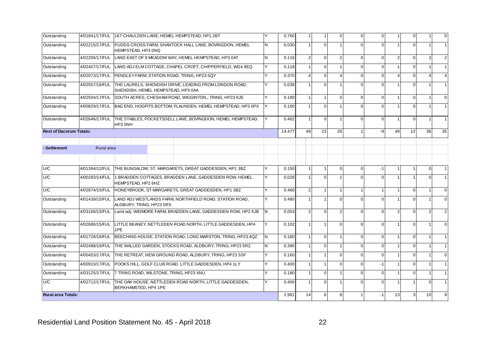| Outstanding                    | 4/01841/17/FUL | 167 CHAULDEN LANE, HEMEL HEMPSTEAD, HP1 2BT                                                  |    | 0.760  | $\overline{\mathbf{1}}$ | $\mathbf{1}$     | $\mathbf{0}$   | $\Omega$ | $\Omega$    |                       | 0           |          | $\Omega$ |
|--------------------------------|----------------|----------------------------------------------------------------------------------------------|----|--------|-------------------------|------------------|----------------|----------|-------------|-----------------------|-------------|----------|----------|
| Outstanding                    | 4/02215/17/FUL | PUDDS CROSS FARM, SHANTOCK HALL LANE, BOVINGDON, HEMEL<br>HEMPSTEAD, HP3 0NQ                 | N  | 0.030  | -1                      | $\mathbf{0}$     |                | $\Omega$ | $\Omega$    |                       | $\Omega$    |          |          |
| Outstanding                    | 4/02206/17/FUL | LAND EAST OF 9 MEADOW WAY. HEMEL HEMPSTEAD, HP3 0AT                                          | N  | 0.116  | $\overline{2}$          | $\mathbf{0}$     | $\overline{2}$ | $\Omega$ | $\Omega$    | $\overline{2}$        | $\Omega$    |          |          |
| Outstanding                    | 4/02407/17/FUL | LAND ADJ ELM COTTAGE, CHAPEL CROFT, CHIPPERFIELD, WD4 9EQ                                    |    | 0.118  |                         | $\mathbf 0$      |                |          | $\Omega$    |                       | $\Omega$    |          |          |
| Outstanding                    | 4/02073/17/FUL | PENDLEY FARM, STATION ROAD, TRING, HP23 5QY                                                  |    | 0.370  |                         | $\mathbf 0$      | 4              | $\Omega$ | $\mathbf 0$ | $\boldsymbol{\Delta}$ | $\mathbf 0$ |          |          |
| Outstanding                    | 4/02557/16/FUL | THE LAURELS, SHENDISH DRIVE, LEADING FROM LONDON ROAD,<br>SHENDISH, HEMEL HEMPSTEAD, HP3 0AA |    | 0.038  |                         | $\mathbf 0$      |                |          | $\Omega$    |                       | $\Omega$    |          |          |
| Outstanding                    | 4/02504/17/FUL | SOUTH ACRES, CHESHAM ROAD, WIGGINTON, TRING, HP23 6JE                                        |    | 0.180  | -1                      | $\mathbf{1}$     | $\overline{0}$ | $\Omega$ | $\Omega$    |                       | $\Omega$    |          |          |
| Outstanding                    | 4/00829/17/FUL | BAG END, HOGPITS BOTTOM, FLAUNDEN, HEMEL HEMPSTEAD, HP3 0PX                                  |    | 0.100  |                         | $\mathbf 0$      |                |          | $\Omega$    |                       | $\Omega$    |          |          |
| Outstanding                    | 4/02646/17/FUL | THE STABLES, POCKETSDELL LANE, BOVINGDON, HEMEL HEMPSTEAD,<br>HP3 0NH                        |    | 0.462  | $\overline{1}$          | $\mathbf{0}$     | 1              | $\Omega$ | $\Omega$    |                       | $\Omega$    |          |          |
| <b>Rest of Dacorum Totals:</b> |                |                                                                                              |    | 14.477 | 49                      | 23               | 26             |          | -9          | 48                    | 12          | 36       | 35       |
|                                |                |                                                                                              |    |        |                         |                  |                |          |             |                       |             |          |          |
| - Settlement                   | Rural area     |                                                                                              |    |        |                         |                  |                |          |             |                       |             |          |          |
|                                |                |                                                                                              |    |        |                         |                  |                |          |             |                       |             |          |          |
| U/C                            | 4/01394/12/FUL | THE BUNGALOW, ST. MARGARETS, GREAT GADDESDEN, HP1 3BZ                                        |    | 0.150  | -1                      | $\mathbf{1}$     | $\overline{0}$ | $\Omega$ | $-1$        |                       |             | $\Omega$ |          |
| U/C                            | 4/00293/14/FUL | 1 BRADDEN COTTAGES, BRADDEN LANE, GADDESDEN ROW, HEMEL<br>HEMPSTEAD, HP2 6HZ                 |    | 0.026  |                         | $\Omega$         |                | $\Omega$ | $\Omega$    |                       |             |          |          |
| U/C                            |                | 4/02874/15/FUL HONEYBROOK, ST MARGARETS, GREAT GADDESDEN, HP1 3BZ                            |    | 0.460  | $\overline{2}$          | $\mathbf{1}$     | 1              |          |             |                       | $\mathbf 0$ |          | U        |
| Outstanding                    | 4/01439/15/FUL | LAND ADJ WESTLANDS FARM, NORTHFIELD ROAD, STATION ROAD,<br>ALDBURY, TRING, HP23 5RS          |    | 0.480  |                         | $\overline{1}$   | $\Omega$       | $\Omega$ | $\Omega$    |                       | $\Omega$    |          |          |
| Outstanding                    | 4/03166/15/FUL | Land adj, WIDMORE FARM, BRADDEN LANE, GADDESDEN ROW, HP2 6JB                                 | N  | 0.053  | $\overline{2}$          | $\boldsymbol{0}$ | $\mathfrak{p}$ | $\Omega$ | $\Omega$    | $\overline{2}$        | $\mathbf 0$ | 2        |          |
| Outstanding                    | 4/02680/15/FUL | LITTLE BEANEY, NETTLEDEN ROAD NORTH, LITTLE GADDESDEN, HP4<br>1PE                            |    | 0.102  |                         | $\overline{1}$   | $\overline{0}$ |          | $\Omega$    |                       | $\Omega$    |          |          |
| Outstanding                    | 4/01728/16/FUL | BEECHING HOUSE, STATION ROAD, LONG MARSTON, TRING, HP23 4QZ                                  | N. | 0.180  | $\overline{1}$          | $\mathbf 0$      | 1              | $\Omega$ | $\Omega$    |                       | $\mathbf 0$ |          |          |
| Outstanding                    | 4/02488/16/FUL | THE WALLED GARDEN, STOCKS ROAD, ALDBURY, TRING, HP23 5RZ                                     | N  | 0.390  |                         | $\mathbf{0}$     |                | $\Omega$ | $\Omega$    |                       | $\Omega$    |          |          |
| Outstanding                    | 4/00453/17/FUL | THE RETREAT, NEW GROUND ROAD, ALDBURY, TRING, HP23 5SF                                       |    | 0.160  | $\overline{1}$          | $\mathbf{1}$     | $\overline{0}$ | $\Omega$ | $\Omega$    |                       | $\mathbf 0$ |          |          |
| Outstanding                    | 4/00910/17/FUL | POOKS HILL, GOLF CLUB ROAD, LITTLE GADDESDEN, HP4 1LY                                        |    | 0.400  |                         | $\mathbf{1}$     | $\overline{0}$ |          | $-1$        |                       | $\Omega$    |          |          |
| Outstanding                    | 4/03125/17/FUL | 7 TRING ROAD, WILSTONE, TRING, HP23 4NU                                                      |    | 0.180  | $\overline{1}$          | $\mathbf{0}$     | 1              | $\Omega$ | $\Omega$    |                       | $\mathbf 0$ |          |          |
| U/C                            | 4/02712/17/FUL | THE OAK HOUSE, NETTLEDEN ROAD NORTH, LITTLE GADDESDEN,<br>BERKHAMSTED, HP4 1PE               |    | 0.400  |                         | $\mathbf 0$      |                |          | $\Omega$    |                       |             |          |          |
| <b>Rural area Totals:</b>      |                |                                                                                              |    | 2.981  | 14                      | 6                | 8              |          | $-1$        | 13                    | 3           | 10       | 9        |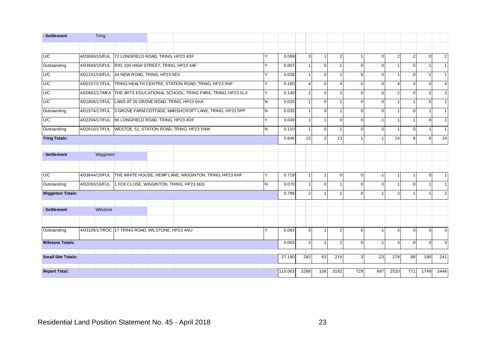| - Settlement              | Tring                                             |  |                                       |                                                          |   |         |                         |                |                |          |          |                       |              |          |                         |
|---------------------------|---------------------------------------------------|--|---------------------------------------|----------------------------------------------------------|---|---------|-------------------------|----------------|----------------|----------|----------|-----------------------|--------------|----------|-------------------------|
|                           |                                                   |  |                                       |                                                          |   |         |                         |                |                |          |          |                       |              |          |                         |
| U/C                       | 4/03690/15/FUL                                    |  | 72 LONGFIELD ROAD, TRING, HP23 4DF    |                                                          |   | 0.099   | 3                       | $\mathbf{1}$   | $\overline{2}$ |          | $\Omega$ | $\overline{2}$        | $\mathbf{2}$ | $\Omega$ | $\overline{2}$          |
| Outstanding               | 4/03949/15/FUL                                    |  | R/O, 100 HIGH STREET, TRING, HP23 4AF |                                                          |   | 0.007   |                         | $\mathbf 0$    |                | $\Omega$ | $\Omega$ |                       | $\Omega$     |          |                         |
| U/C                       | 4/01241/16/FUL                                    |  | 44 NEW ROAD, TRING, HP23 5EX          |                                                          |   | 0.028   |                         | $\overline{0}$ |                | $\Omega$ | $\Omega$ |                       | $\Omega$     |          |                         |
| U/C                       | 4/00157/17/FUL                                    |  |                                       | TRING HEALTH CENTRE, STATION ROAD, TRING, HP23 5NF       | Ÿ | 0.160   | $\Delta$                | $\Omega$       | 4              | $\Omega$ | $\Omega$ | $\boldsymbol{\Delta}$ | 4            | $\Omega$ | 4                       |
| U/C                       | 4/00883/17/MFA                                    |  |                                       | THE ARTS EDUCATIONAL SCHOOL, TRING PARK, TRING, HP23 5LX | v | 0.140   | $\overline{2}$          | $\mathbf{0}$   | $\overline{2}$ | $\Omega$ | $\Omega$ | $\overline{2}$        | $\Omega$     |          | $\overline{2}$          |
| U/C                       | 4/01806/17/FUL                                    |  |                                       | LAND AT 35 GROVE ROAD, TRING, HP23 5HA                   | N | 0.020   | $\overline{1}$          | $\mathbf{0}$   | $\overline{1}$ | $\Omega$ | $\Omega$ |                       |              | $\Omega$ |                         |
| Outstanding               | 4/01574/17/FUL                                    |  |                                       | 3 GROVE FARM COTTAGE, MARSHCROFT LANE, TRING, HP23 5PP   | N | 0.035   | -1                      | $\overline{0}$ |                | $\Omega$ | $\Omega$ |                       | $\Omega$     |          | -1                      |
| U/C                       | 4/02204/17/FUL 86 LONGFIELD ROAD, TRING, HP23 4DF |  |                                       |                                                          | Y | 0.049   | $\overline{1}$          | $\mathbf{1}$   | $\Omega$       | $\Omega$ | $-1$     |                       | $\mathbf{1}$ | $\Omega$ | $\overline{\mathbf{1}}$ |
| Outstanding               | 4/02610/17/FUL                                    |  |                                       | WESTOE, 51, STATION ROAD, TRING, HP23 5NW                | N | 0.110   | $\overline{\mathbf{1}}$ | $\mathbf{0}$   | $\overline{1}$ | $\Omega$ | $\Omega$ |                       | $\Omega$     |          | -1                      |
| <b>Tring Totals:</b>      |                                                   |  |                                       |                                                          |   | 0.648   | 15                      | 2              | 13             |          | $-1$     | 14                    | 8            | 6        | 14                      |
|                           |                                                   |  |                                       |                                                          |   |         |                         |                |                |          |          |                       |              |          |                         |
| - Settlement              | Wigginton                                         |  |                                       |                                                          |   |         |                         |                |                |          |          |                       |              |          |                         |
|                           |                                                   |  |                                       |                                                          |   |         |                         |                |                |          |          |                       |              |          |                         |
| U/C                       | 4/03844/15/FUL                                    |  |                                       | THE WHITE HOUSE, HEMP LANE, WIGGINTON, TRING, HP23 6HF   |   | 0.729   | $\overline{\mathbf{1}}$ | $\mathbf{1}$   | $\Omega$       | $\Omega$ | $-1$     |                       |              | $\Omega$ | $\overline{\mathbf{1}}$ |
| Outstanding               | 4/02093/16/FUL                                    |  |                                       | 1 FOX CLOSE, WIGGINTON, TRING, HP23 6ED                  | N | 0.070   | 1                       | $\mathbf{0}$   | $\mathbf 1$    | $\Omega$ | $\Omega$ |                       | $\Omega$     |          |                         |
| <b>Wigginton Totals:</b>  |                                                   |  |                                       |                                                          |   | 0.799   | 2                       | $\overline{1}$ |                | $\Omega$ | $-1$     | 2                     |              |          | 2                       |
| - Settlement              | Wilstone                                          |  |                                       |                                                          |   |         |                         |                |                |          |          |                       |              |          |                         |
|                           |                                                   |  |                                       |                                                          | v |         | 3                       | $\mathbf{1}$   |                | $\Omega$ |          |                       |              | 3        |                         |
| Outstanding               | 4/03106/17/ROC 17 TRING ROAD, WILSTONE, HP23 4NU  |  |                                       |                                                          |   | 0.063   |                         |                | $\overline{2}$ |          | $-1$     | 3                     | $\Omega$     |          | 3                       |
| <b>Wilstone Totals:</b>   |                                                   |  |                                       |                                                          |   | 0.063   | 3                       | $\mathbf{1}$   | $\overline{2}$ | $\Omega$ | $-1$     | 3                     | $\Omega$     | 3        | 3                       |
| <b>Small Site Totals:</b> |                                                   |  |                                       |                                                          |   | 27.190  | 282                     | 63             | 219            | 3        | $-23$    | 278                   | 88           | 190      | 241                     |
| <b>Report Total:</b>      |                                                   |  |                                       |                                                          |   | 110.063 | 3288                    | 106            | 3182           | 729      | 697      | 2520                  | 771          | 1749     | 2446                    |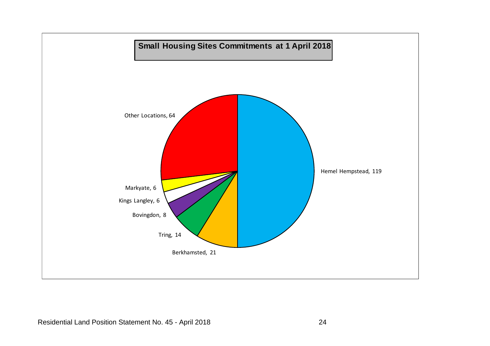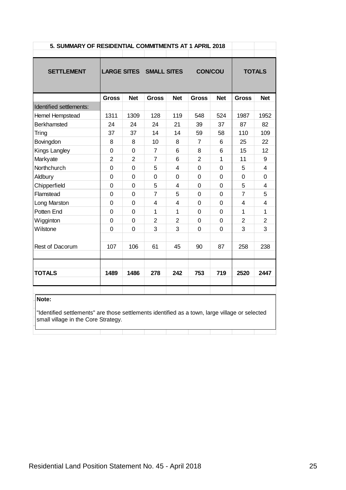|                                                                                                                                       | 5. SUMMARY OF RESIDENTIAL COMMITMENTS AT 1 APRIL 2018 |                |                                |                         |                |              |                |                         |  |  |  |  |  |
|---------------------------------------------------------------------------------------------------------------------------------------|-------------------------------------------------------|----------------|--------------------------------|-------------------------|----------------|--------------|----------------|-------------------------|--|--|--|--|--|
|                                                                                                                                       |                                                       |                |                                |                         |                |              |                |                         |  |  |  |  |  |
| <b>SETTLEMENT</b>                                                                                                                     |                                                       |                | <b>LARGE SITES SMALL SITES</b> |                         | <b>CON/COU</b> |              |                | <b>TOTALS</b>           |  |  |  |  |  |
|                                                                                                                                       | <b>Gross</b>                                          | <b>Net</b>     | <b>Gross</b>                   | <b>Net</b>              | <b>Gross</b>   | <b>Net</b>   | <b>Gross</b>   | <b>Net</b>              |  |  |  |  |  |
| Identified settlements:                                                                                                               |                                                       |                |                                |                         |                |              |                |                         |  |  |  |  |  |
| Hemel Hempstead                                                                                                                       | 1311                                                  | 1309           | 128                            | 119                     | 548            | 524          | 1987           | 1952                    |  |  |  |  |  |
| <b>Berkhamsted</b>                                                                                                                    | 24                                                    | 24             | 24                             | 21                      | 39             | 37           | 87             | 82                      |  |  |  |  |  |
| Tring                                                                                                                                 | 37                                                    | 37             | 14                             | 14                      | 59             | 58           | 110            | 109                     |  |  |  |  |  |
| Bovingdon                                                                                                                             | 8                                                     | 8              | 10                             | 8                       | $\overline{7}$ | 6            | 25             | 22                      |  |  |  |  |  |
| Kings Langley                                                                                                                         | 0                                                     | 0              | $\overline{7}$                 | 6                       | 8              | 6            | 15             | 12                      |  |  |  |  |  |
| Markyate                                                                                                                              | $\overline{2}$                                        | $\overline{2}$ | $\overline{7}$                 | 6                       | $\overline{2}$ | $\mathbf{1}$ | 11             | 9                       |  |  |  |  |  |
| Northchurch                                                                                                                           | $\mathbf 0$                                           | $\mathbf 0$    | 5                              | $\overline{\mathbf{4}}$ | $\mathbf 0$    | 0            | 5              | $\overline{\mathbf{4}}$ |  |  |  |  |  |
| Aldbury                                                                                                                               | 0                                                     | $\mathbf 0$    | 0                              | 0                       | $\mathbf 0$    | $\mathbf 0$  | 0              | 0                       |  |  |  |  |  |
| Chipperfield                                                                                                                          | 0                                                     | $\mathbf 0$    | 5                              | 4                       | $\mathbf 0$    | 0            | 5              | 4                       |  |  |  |  |  |
| Flamstead                                                                                                                             | 0                                                     | $\overline{0}$ | $\overline{7}$                 | 5                       | $\mathbf 0$    | $\mathbf 0$  | $\overline{7}$ | 5                       |  |  |  |  |  |
| Long Marston                                                                                                                          | 0                                                     | $\mathbf 0$    | $\overline{4}$                 | 4                       | $\overline{0}$ | 0            | $\overline{4}$ | $\overline{4}$          |  |  |  |  |  |
| Potten End                                                                                                                            | 0                                                     | 0              | 1                              | 1                       | $\mathbf 0$    | 0            | 1              | 1                       |  |  |  |  |  |
| Wigginton                                                                                                                             | 0                                                     | $\mathsf 0$    | $\overline{2}$                 | $\overline{2}$          | $\overline{0}$ | $\mathbf 0$  | $\overline{2}$ | $\overline{2}$          |  |  |  |  |  |
| Wilstone                                                                                                                              | 0                                                     | $\mathbf 0$    | 3                              | 3                       | $\mathbf 0$    | 0            | 3              | 3                       |  |  |  |  |  |
| Rest of Dacorum                                                                                                                       | 107                                                   | 106            | 61                             | 45                      | 90             | 87           | 258            | 238                     |  |  |  |  |  |
| <b>TOTALS</b>                                                                                                                         | 1489                                                  | 1486           | 278                            | 242                     | 753            | 719          | 2520           | 2447                    |  |  |  |  |  |
| Note:                                                                                                                                 |                                                       |                |                                |                         |                |              |                |                         |  |  |  |  |  |
| "Identified settlements" are those settlements identified as a town, large village or selected<br>small village in the Core Strategy. |                                                       |                |                                |                         |                |              |                |                         |  |  |  |  |  |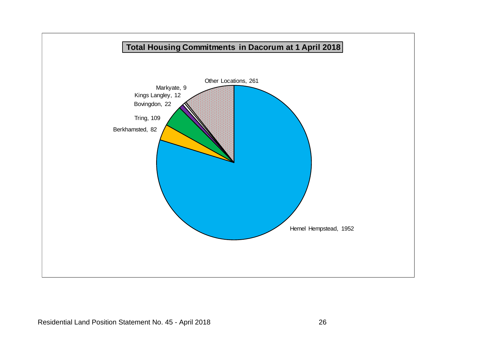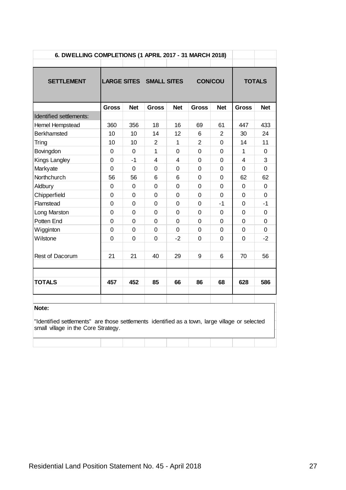|                                                                                                | 6. DWELLING COMPLETIONS (1 APRIL 2017 - 31 MARCH 2018) |                |                                |                         |                |             |                |               |  |  |  |  |
|------------------------------------------------------------------------------------------------|--------------------------------------------------------|----------------|--------------------------------|-------------------------|----------------|-------------|----------------|---------------|--|--|--|--|
|                                                                                                |                                                        |                |                                |                         |                |             |                |               |  |  |  |  |
| <b>SETTLEMENT</b>                                                                              |                                                        |                | <b>LARGE SITES SMALL SITES</b> |                         | <b>CON/COU</b> |             |                | <b>TOTALS</b> |  |  |  |  |
|                                                                                                |                                                        |                |                                |                         |                |             |                |               |  |  |  |  |
|                                                                                                | Gross                                                  | <b>Net</b>     | <b>Gross</b>                   | <b>Net</b>              | <b>Gross</b>   | <b>Net</b>  | <b>Gross</b>   | <b>Net</b>    |  |  |  |  |
| Identified settlements:                                                                        |                                                        |                |                                |                         |                |             |                |               |  |  |  |  |
| Hemel Hempstead                                                                                | 360                                                    | 356            | 18                             | 16                      | 69             | 61          | 447            | 433           |  |  |  |  |
| <b>Berkhamsted</b>                                                                             | 10                                                     | 10             | 14                             | 12                      | 6              | 2           | 30             | 24            |  |  |  |  |
| Tring                                                                                          | 10                                                     | 10             | $\overline{2}$                 | $\mathbf{1}$            | $\overline{2}$ | $\mathbf 0$ | 14             | 11            |  |  |  |  |
| Bovingdon                                                                                      | 0                                                      | $\overline{0}$ | $\mathbf{1}$                   | 0                       | $\overline{0}$ | 0           | 1              | 0             |  |  |  |  |
| Kings Langley                                                                                  | $\mathbf 0$                                            | -1             | 4                              | $\overline{\mathbf{4}}$ | 0              | 0           | $\overline{4}$ | 3             |  |  |  |  |
| Markyate                                                                                       | 0                                                      | 0              | 0                              | 0                       | 0              | 0           | 0              | 0             |  |  |  |  |
| Northchurch                                                                                    | 56                                                     | 56             | 6                              | 6                       | $\overline{0}$ | 0           | 62             | 62            |  |  |  |  |
| Aldbury                                                                                        | 0                                                      | 0              | $\mathbf 0$                    | $\mathbf 0$             | $\overline{0}$ | 0           | $\mathbf 0$    | $\mathbf 0$   |  |  |  |  |
| Chipperfield                                                                                   | 0                                                      | 0              | $\mathbf 0$                    | 0                       | 0              | 0           | $\mathbf 0$    | $\mathbf 0$   |  |  |  |  |
| Flamstead                                                                                      | 0                                                      | 0              | $\mathbf 0$                    | 0                       | 0              | $-1$        | $\overline{0}$ | $-1$          |  |  |  |  |
| Long Marston                                                                                   | 0                                                      | $\overline{0}$ | $\Omega$                       | 0                       | $\overline{0}$ | 0           | 0              | $\Omega$      |  |  |  |  |
| Potten End                                                                                     | 0                                                      | $\overline{0}$ | $\mathbf 0$                    | $\Omega$                | 0              | 0           | $\mathbf 0$    | 0             |  |  |  |  |
| Wigginton                                                                                      | 0                                                      | 0              | 0                              | 0                       | 0              | 0           | 0              | 0             |  |  |  |  |
| Wilstone                                                                                       | $\overline{0}$                                         | 0              | $\mathbf 0$                    | -2                      | 0              | 0           | $\overline{0}$ | $-2$          |  |  |  |  |
|                                                                                                |                                                        |                |                                |                         |                |             |                |               |  |  |  |  |
| Rest of Dacorum                                                                                | 21                                                     | 21             | 40                             | 29                      | 9              | 6           | 70             | 56            |  |  |  |  |
|                                                                                                |                                                        |                |                                |                         |                |             |                |               |  |  |  |  |
| <b>TOTALS</b>                                                                                  | 457                                                    | 452            | 85                             | 66                      | 86             | 68          | 628            | 586           |  |  |  |  |
|                                                                                                |                                                        |                |                                |                         |                |             |                |               |  |  |  |  |
| Note:                                                                                          |                                                        |                |                                |                         |                |             |                |               |  |  |  |  |
|                                                                                                |                                                        |                |                                |                         |                |             |                |               |  |  |  |  |
| "Identified settlements" are those settlements identified as a town, large village or selected |                                                        |                |                                |                         |                |             |                |               |  |  |  |  |
|                                                                                                | small village in the Core Strategy.                    |                |                                |                         |                |             |                |               |  |  |  |  |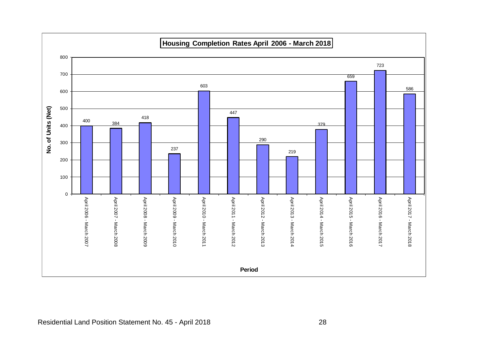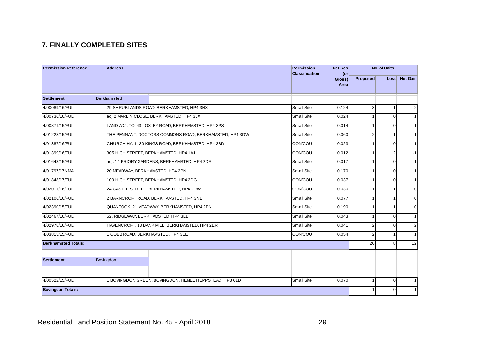### **7. FINALLY COMPLETED SITES**

| <b>Permission Reference</b> | <b>Address</b>                                          | Permission<br><b>Classification</b> | <b>Net Res</b><br>$($ or |                | No. of Units      |                 |
|-----------------------------|---------------------------------------------------------|-------------------------------------|--------------------------|----------------|-------------------|-----------------|
|                             |                                                         |                                     | Gross)<br>Area           | Proposed       | Loss <sub>1</sub> | <b>Net Gain</b> |
| <b>Settlement</b>           | <b>Berkhamsted</b>                                      |                                     |                          |                |                   |                 |
| 4/00089/16/FUL              | 29 SHRUBLANDS ROAD, BERKHAMSTED, HP4 3HX                | <b>Small Site</b>                   | 0.124                    | 3 <sup>1</sup> | $\mathbf{1}$      | 2               |
| 4/00736/16/FUL              | adj 2 MARLIN CLOSE, BERKHAMSTED, HP4 3JX                | <b>Small Site</b>                   | 0.024                    | $\mathbf{1}$   | $\Omega$          | $\mathbf{1}$    |
| 4/00871/15/FUL              | LAND ADJ. TO, 43 LOXLEY ROAD, BERKHAMSTED, HP4 3PS      | <b>Small Site</b>                   | 0.014                    | 1              | $\Omega$          | $\mathbf{1}$    |
| 4/01228/15/FUL              | THE PENNANT, DOCTORS COMMONS ROAD, BERKHAMSTED, HP4 3DW | <b>Small Site</b>                   | 0.060                    | $\overline{2}$ | $\mathbf{1}$      | $\mathbf{1}$    |
| 4/01387/16/FUL              | CHURCH HALL, 30 KINGS ROAD, BERKHAMSTED, HP4 3BD        | CON/COU                             | 0.023                    |                | $\Omega$          | $\mathbf{1}$    |
| 4/01399/16/FUL              | 305 HIGH STREET, BERKHAMSTED, HP4 1AJ                   | CON/COU                             | 0.012                    | 1              | $\overline{2}$    | $-1$            |
| 4/01643/15/FUL              | adj. 14 PRIORY GARDENS, BERKHAMSTED, HP4 2DR            | <b>Small Site</b>                   | 0.017                    |                | $\Omega$          | $\mathbf{1}$    |
| 4/01797/17NMA               | 20 MEADWAY, BERKHAMSTED, HP4 2PN                        | <b>Small Site</b>                   | 0.170                    | 1              | $\Omega$          | $\overline{1}$  |
| 4/01848/17/FUL              | 109 HIGH STREET, BERKHAMSTED, HP4 2DG                   | CON/COU                             | 0.037                    |                | $\Omega$          | $\overline{1}$  |
| 4/02011/16/FUL              | 24 CASTLE STREET, BERKHAMSTED, HP4 2DW                  | CON/COU                             | 0.030                    | 1              | $\mathbf{1}$      | $\mathbf{0}$    |
| 4/02106/16/FUL              | 2 BARNCROFT ROAD, BERKHAMSTED, HP4 3NL                  | <b>Small Site</b>                   | 0.077                    | 1              | $\mathbf{1}$      | $\Omega$        |
| 4/02390/15/FUL              | QUANTOCK, 21 MEADWAY, BERKHAMSTED, HP4 2PN              | <b>Small Site</b>                   | 0.190                    | 1              | $\mathbf{1}$      | $\mathbf{0}$    |
| 4/02467/16/FUL              | 52, RIDGEWAY, BERKHAMSTED, HP4 3LD                      | <b>Small Site</b>                   | 0.043                    | 1              | $\Omega$          | $\mathbf{1}$    |
| 4/02978/16/FUL              | HAVENCROFT, 13 BANK MILL, BERKHAMSTED, HP4 2ER          | <b>Small Site</b>                   | 0.041                    | $\overline{2}$ | $\Omega$          | $\overline{2}$  |
| 4/03815/15/FUL              | 1 COBB ROAD, BERKHAMSTED, HP4 3LE                       | CON/COU                             | 0.054                    | $\overline{2}$ | $\overline{1}$    | $\mathbf{1}$    |
| <b>Berkhamsted Totals:</b>  |                                                         |                                     |                          | 20             | 8                 | 12              |
|                             |                                                         |                                     |                          |                |                   |                 |
| <b>Settlement</b>           | Bovingdon                                               |                                     |                          |                |                   |                 |
|                             |                                                         |                                     |                          |                |                   |                 |
| 4/00522/15/FUL              | 1 BOVINGDON GREEN, BOVINGDON, HEMEL HEMPSTEAD, HP3 0LD  | <b>Small Site</b>                   | 0.070                    | 1              | $\overline{0}$    | $\mathbf{1}$    |
| <b>Bovingdon Totals:</b>    |                                                         |                                     |                          |                | $\Omega$          | $\overline{1}$  |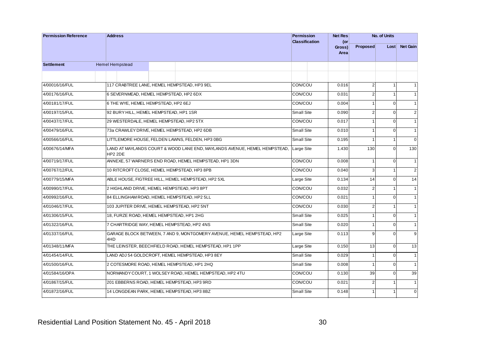| <b>Net Res</b><br>(or<br>Proposed<br>Gross) | No. of Units<br>Loss <sub>1</sub> | Net Gain       |
|---------------------------------------------|-----------------------------------|----------------|
| Area                                        |                                   |                |
|                                             |                                   |                |
|                                             |                                   |                |
| $\overline{2}$<br>0.016                     | $\mathbf{1}$                      | $\mathbf{1}$   |
| $\overline{2}$<br>0.031                     | $\overline{1}$                    | $\mathbf{1}$   |
| 0.004<br>$\mathbf{1}$                       | $\overline{0}$                    | $\mathbf{1}$   |
| 0.090<br>$\overline{\mathbf{c}}$            | $\overline{0}$                    | $2\vert$       |
| 0.017<br>$\mathbf{1}$                       | $\overline{0}$                    | 1              |
| 0.010<br>$\mathbf{1}$                       | $\overline{0}$                    | $\mathbf{1}$   |
| 0.195<br>$\mathbf{1}$                       | 1 <sup>1</sup>                    | $\Omega$       |
| 130<br>1.430                                | $\overline{0}$                    | 130            |
| 0.008<br>$\mathbf{1}$                       | $\overline{0}$                    | $\mathbf{1}$   |
| 0.040<br>3                                  | 1                                 | 2 <sup>1</sup> |
| 0.134<br>14                                 | $\Omega$                          | 14             |
| 0.032<br>$\overline{2}$                     | 1                                 | 1              |
| 0.021<br>$\mathbf{1}$                       | $\overline{0}$                    | $\mathbf{1}$   |
| 0.030<br>$\overline{\mathbf{c}}$            | $\mathbf{1}$                      | $\mathbf{1}$   |
| 0.025<br>$\mathbf{1}$                       | $\overline{0}$                    | 1              |
| 0.020<br>$\mathbf{1}$                       | $\overline{0}$                    | $\mathbf{1}$   |
| 9<br>0.113                                  | $\Omega$                          | $\overline{9}$ |
| 0.150<br>13                                 | $\overline{0}$                    | 13             |
| 0.029<br>1                                  | $\overline{0}$                    | $\mathbf{1}$   |
| 0.008<br>1                                  | $\overline{0}$                    | $\mathbf{1}$   |
| 0.130<br>39                                 | $\Omega$                          | 39             |
| 0.021<br>$\overline{2}$                     | 1                                 | 1              |
| 0.148<br>$\mathbf{1}$                       | 1                                 | $\overline{0}$ |
|                                             |                                   |                |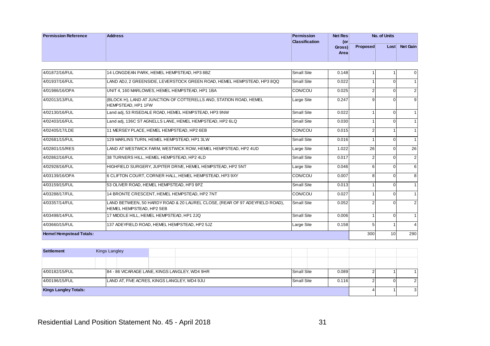| <b>Permission Reference</b> | <b>Address</b> | Permission     | Net Res |                 | No. of Units      |                 |
|-----------------------------|----------------|----------------|---------|-----------------|-------------------|-----------------|
|                             |                | Classification | (or     |                 |                   |                 |
|                             |                |                | Gross)  | <b>Proposed</b> | Loss <sub>1</sub> | <b>Net Gain</b> |
|                             |                |                | Area    |                 |                   |                 |
|                             |                |                |         |                 |                   |                 |

|                                |                                                                                                         |                   | Gross)<br>Area | <b>Proposed</b>  | Lost∣           | <b>Net Gain</b> |
|--------------------------------|---------------------------------------------------------------------------------------------------------|-------------------|----------------|------------------|-----------------|-----------------|
|                                |                                                                                                         |                   |                |                  |                 |                 |
| 4/01872/16/FUL                 | 14 LONGDEAN PARK, HEMEL HEMPSTEAD, HP3 8BZ                                                              | <b>Small Site</b> | 0.148          | $\mathbf{1}$     | 1               | $\mathbf 0$     |
| 4/01937/16/FUL                 | LAND ADJ, 2 GREENSIDE, LEVERSTOCK GREEN ROAD, HEMEL HEMPSTEAD, HP3 8QQ                                  | <b>Small Site</b> | 0.022          | $\mathbf{1}$     | $\overline{0}$  | $\mathbf{1}$    |
| 4/01986/16/OPA                 | UNIT 4, 160 MARLOWES, HEMEL HEMPSTEAD, HP1 1BA                                                          | CON/COU           | 0.025          | $\overline{2}$   | $\overline{0}$  | $\overline{2}$  |
| 4/02013/13/FUL                 | (BLOCK H), LAND AT JUNCTION OF COTTERELLS AND, STATION ROAD, HEMEL<br>HEMPSTEAD, HP1 1FW                | Large Site        | 0.247          | 9                | $\mathbf{0}$    | 9               |
| 4/02130/16/FUL                 | Land adj, 53 RISEDALE ROAD, HEMEL HEMPSTEAD, HP3 9NW                                                    | <b>Small Site</b> | 0.022          |                  | $\mathbf{0}$    | $\mathbf{1}$    |
| 4/02403/16/FUL                 | Land adj, 136C ST AGNELLS LANE, HEMEL HEMPSTEAD, HP2 6LQ                                                | <b>Small Site</b> | 0.030          | $\overline{ }$   | $\mathbf{0}$    | $\mathbf{1}$    |
| 4/02405/17/LDE                 | 11 MERSEY PLACE, HEMEL HEMPSTEAD, HP2 6EB                                                               | CON/COU           | 0.015          | $\overline{2}$   | $\mathbf{1}$    | $\mathbf{1}$    |
| 4/02681/15/FUL                 | 129 MARLINS TURN, HEMEL HEMPSTEAD, HP1 3LW                                                              | <b>Small Site</b> | 0.016          |                  | $\overline{0}$  | $\mathbf{1}$    |
| 4/02801/15/RES                 | LAND AT WESTWICK FARM, WESTWICK ROW, HEMEL HEMPSTEAD, HP2 4UD                                           | Large Site        | 1.022          | 26               | $\mathbf 0$     | 26              |
| 4/02862/16/FUL                 | 38 TURNERS HILL, HEMEL HEMPSTEAD, HP2 4LD                                                               | Small Site        | 0.017          | $\overline{2}$   | $\mathbf 0$     | $\sqrt{2}$      |
| 4/02928/16/FUL                 | HIGHFIELD SURGERY, JUPITER DRIVE, HEMEL HEMPSTEAD, HP2 5NT                                              | Large Site        | 0.046          | $6 \overline{6}$ | $\Omega$        | 6               |
| 4/03139/16/OPA                 | 6 CLIFTON COURT, CORNER HALL, HEMEL HEMPSTEAD, HP3 9XY                                                  | CON/COU           | 0.007          | 8                | $\mathbf{0}$    | 8               |
| 4/03159/15/FUL                 | 53 OLIVER ROAD, HEMEL HEMPSTEAD, HP3 9PZ                                                                | <b>Small Site</b> | 0.013          | 1                | $\overline{0}$  | $\mathbf{1}$    |
| 4/03288/17/FUL                 | 14 BRONTE CRESCENT, HEMEL HEMPSTEAD, HP2 7NT                                                            | CON/COU           | 0.027          |                  | $\overline{0}$  | $\mathbf{1}$    |
| 4/03357/14/FUL                 | LAND BETWEEN, 50 HARDY ROAD & 20 LAUREL CLOSE, (REAR OF 97 ADEYFIELD ROAD),<br>HEMEL HEMPSTEAD, HP2 5EB | Small Site        | 0.052          | $\overline{2}$   | $\overline{0}$  | $\overline{2}$  |
| 4/03498/14/FUL                 | 17 MIDDLE HILL, HEMEL HEMPSTEAD, HP1 2JQ                                                                | <b>Small Site</b> | 0.006          |                  | $\mathbf{0}$    | $\mathbf{1}$    |
| 4/03660/15/FUL                 | 137 ADEYFIELD ROAD, HEMEL HEMPSTEAD, HP2 5JZ                                                            | Large Site        | 0.158          | 5 <sup>1</sup>   | $\mathbf{1}$    | $\overline{4}$  |
| <b>Hemel Hempstead Totals:</b> |                                                                                                         |                   |                | 300              | 10 <sup>1</sup> | 290             |
| <b>Settlement</b>              | Kings Langley                                                                                           |                   |                |                  |                 |                 |
|                                |                                                                                                         |                   |                |                  |                 |                 |
| 4/00182/15/FUL                 | 84 - 86 VICARAGE LANE, KINGS LANGLEY, WD4 9HR                                                           | <b>Small Site</b> | 0.089          | $\overline{2}$   | $\mathbf{1}$    | $\mathbf{1}$    |
| 4/00196/15/FUL                 | LAND AT, FIVE ACRES, KINGS LANGLEY, WD4 9JU                                                             | <b>Small Site</b> | 0.116          | $\overline{2}$   | $\mathbf{0}$    | $\overline{2}$  |
| <b>Kings Langley Totals:</b>   |                                                                                                         |                   |                | $\overline{4}$   | $\mathbf{1}$    | 3               |

| <b>Settlement</b>            | Kings Langley |                                               |                   |       |  |                |
|------------------------------|---------------|-----------------------------------------------|-------------------|-------|--|----------------|
|                              |               |                                               |                   |       |  |                |
| 4/00182/15/FUL               |               | 84 - 86 VICARAGE LANE, KINGS LANGLEY, WD4 9HR | <b>Small Site</b> | 0.089 |  |                |
| 4/00196/15/FUL               |               | LAND AT, FIVE ACRES, KINGS LANGLEY, WD4 9JU   | <b>Small Site</b> | 0.116 |  | $\overline{2}$ |
| <b>Kings Langley Totals:</b> |               |                                               |                   |       |  | 3              |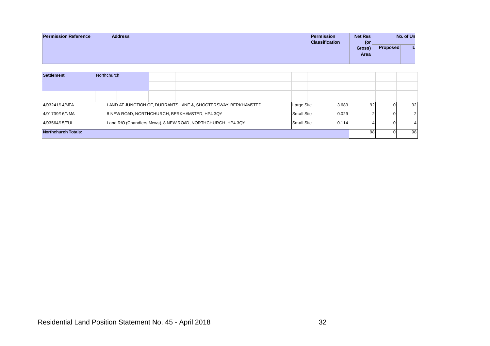| <b>Permission Reference</b> | <b>Address</b> | Net Res<br>Permission        |                 | No. of Un |
|-----------------------------|----------------|------------------------------|-----------------|-----------|
|                             |                | <b>Classification</b><br>(or |                 |           |
|                             |                | Gross)                       | <b>Proposed</b> |           |
|                             |                | <b>Area</b>                  |                 |           |
|                             |                |                              |                 |           |

| <b>Settlement</b><br>Northchurch<br>4/03241/14/MFA<br>LAND AT JUNCTION OF, DURRANTS LANE &, SHOOTERSWAY, BERKHAMSTED<br>Large Site<br>3.689<br>92<br>$\overline{0}$<br>4/01739/16/NMA<br>8 NEW ROAD, NORTHCHURCH, BERKHAMSTED, HP4 3QY<br>Small Site<br>0.029<br>$\overline{2}$<br>$\mathsf{O}\xspace$<br>4/03564/15/FUL<br>Land R/O (Chandlers Mews), 8 NEW ROAD, NORTHCHURCH, HP4 3QY<br>Small Site<br>0.114<br>$\overline{4}$<br>$\mathsf{O}\xspace$<br>98<br>Northchurch Totals:<br>$\mathsf{O}\xspace$ |  |  |  |  |  | Gross)<br>Area | <b>Proposed</b> | L |
|-------------------------------------------------------------------------------------------------------------------------------------------------------------------------------------------------------------------------------------------------------------------------------------------------------------------------------------------------------------------------------------------------------------------------------------------------------------------------------------------------------------|--|--|--|--|--|----------------|-----------------|---|
| 92<br>$\overline{2}$<br>$\overline{4}$<br>98                                                                                                                                                                                                                                                                                                                                                                                                                                                                |  |  |  |  |  |                |                 |   |
|                                                                                                                                                                                                                                                                                                                                                                                                                                                                                                             |  |  |  |  |  |                |                 |   |
|                                                                                                                                                                                                                                                                                                                                                                                                                                                                                                             |  |  |  |  |  |                |                 |   |
|                                                                                                                                                                                                                                                                                                                                                                                                                                                                                                             |  |  |  |  |  |                |                 |   |
|                                                                                                                                                                                                                                                                                                                                                                                                                                                                                                             |  |  |  |  |  |                |                 |   |
|                                                                                                                                                                                                                                                                                                                                                                                                                                                                                                             |  |  |  |  |  |                |                 |   |
|                                                                                                                                                                                                                                                                                                                                                                                                                                                                                                             |  |  |  |  |  |                |                 |   |
|                                                                                                                                                                                                                                                                                                                                                                                                                                                                                                             |  |  |  |  |  |                |                 |   |
|                                                                                                                                                                                                                                                                                                                                                                                                                                                                                                             |  |  |  |  |  |                |                 |   |
|                                                                                                                                                                                                                                                                                                                                                                                                                                                                                                             |  |  |  |  |  |                |                 |   |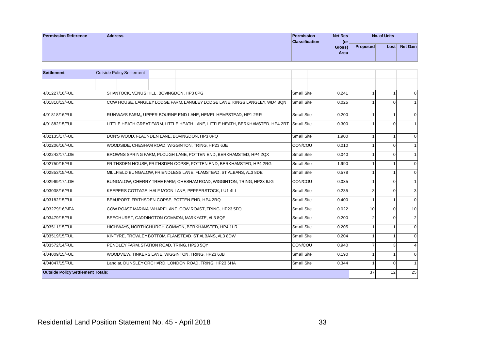| <b>Permission Reference</b> | <b>Address</b> | Net Res<br>Permission        |                 | No. of Units |                 |
|-----------------------------|----------------|------------------------------|-----------------|--------------|-----------------|
|                             |                | <b>Classification</b><br>(or |                 |              |                 |
|                             |                | Gross)                       | <b>Proposed</b> | Lost         | <b>Net Gain</b> |
|                             |                | Area                         |                 |              |                 |
|                             |                |                              |                 |              |                 |

| <b>Settlement</b><br><b>Outside Policy Settlement</b><br>SHANTOCK, VENUS HILL, BOVINGDON, HP3 0PG<br>4/01227/16/FUL<br>Small Site<br>COW HOUSE, LANGLEY LODGE FARM, LANGLEY LODGE LANE, KINGS LANGLEY, WD4 8QN<br>4/01810/13/FUL<br>Small Site<br>RUNWAYS FARM, UPPER BOURNE END LANE, HEMEL HEMPSTEAD, HP1 2RR<br>4/01818/16/FUL<br>Small Site<br>LITTLE HEATH GREAT FARM, LITTLE HEATH LANE, LITTLE HEATH, BERKHAMSTED, HP4 2RT<br>4/01882/15/FUL<br><b>Small Site</b><br>DON'S WOOD, FLAUNDEN LANE, BOVINGDON, HP3 0PQ<br>Small Site<br>4/02135/17/FUL<br>4/02206/16/FUL<br>WOODSIDE, CHESHAM ROAD, WIGGINTON, TRING, HP23 6JE<br>CON/COU<br>BROWNS SPRING FARM, PLOUGH LANE, POTTEN END, BERKHAMSTED, HP4 2QX<br>Small Site<br>4/02242/17/LDE<br>4/02750/15/FUL<br>FRITHSDEN HOUSE, FRITHSDEN COPSE, POTTEN END, BERKHAMSTED, HP4 2RG<br>Small Site<br>4/02853/15/FUL<br>MILLFIELD BUNGALOW, FRIENDLESS LANE, FLAMSTEAD, ST ALBANS, AL3 8DE<br>Small Site<br>CON/COU<br>4/02969/17/LDE<br>BUNGALOW, CHERRY TREE FARM, CHESHAM ROAD, WIGGINTON, TRING, HP23 6JG | 0.241<br>0.025<br>0.200<br>0.300<br>1.900<br>0.010<br>0.040<br>1.990 | $\mathbf{1}$<br>$\mathbf{1}$<br>$\mathbf 0$<br>$\mathbf{1}$<br>1<br>$\mathbf 0$<br>$\mathbf{1}$<br>$\mathbf{1}$<br>$\mathbf{0}$<br>$\mathbf{1}$ | $\mathbf{0}$<br>$\mathbf{1}$<br>$\mathbf{0}$<br>$\mathbf{1}$<br>$\mathbf{0}$<br>$\mathbf{1}$ |
|--------------------------------------------------------------------------------------------------------------------------------------------------------------------------------------------------------------------------------------------------------------------------------------------------------------------------------------------------------------------------------------------------------------------------------------------------------------------------------------------------------------------------------------------------------------------------------------------------------------------------------------------------------------------------------------------------------------------------------------------------------------------------------------------------------------------------------------------------------------------------------------------------------------------------------------------------------------------------------------------------------------------------------------------------------------------|----------------------------------------------------------------------|-------------------------------------------------------------------------------------------------------------------------------------------------|----------------------------------------------------------------------------------------------|
|                                                                                                                                                                                                                                                                                                                                                                                                                                                                                                                                                                                                                                                                                                                                                                                                                                                                                                                                                                                                                                                                    |                                                                      |                                                                                                                                                 |                                                                                              |
|                                                                                                                                                                                                                                                                                                                                                                                                                                                                                                                                                                                                                                                                                                                                                                                                                                                                                                                                                                                                                                                                    |                                                                      |                                                                                                                                                 |                                                                                              |
|                                                                                                                                                                                                                                                                                                                                                                                                                                                                                                                                                                                                                                                                                                                                                                                                                                                                                                                                                                                                                                                                    |                                                                      |                                                                                                                                                 |                                                                                              |
|                                                                                                                                                                                                                                                                                                                                                                                                                                                                                                                                                                                                                                                                                                                                                                                                                                                                                                                                                                                                                                                                    |                                                                      |                                                                                                                                                 |                                                                                              |
|                                                                                                                                                                                                                                                                                                                                                                                                                                                                                                                                                                                                                                                                                                                                                                                                                                                                                                                                                                                                                                                                    |                                                                      |                                                                                                                                                 |                                                                                              |
|                                                                                                                                                                                                                                                                                                                                                                                                                                                                                                                                                                                                                                                                                                                                                                                                                                                                                                                                                                                                                                                                    |                                                                      |                                                                                                                                                 |                                                                                              |
|                                                                                                                                                                                                                                                                                                                                                                                                                                                                                                                                                                                                                                                                                                                                                                                                                                                                                                                                                                                                                                                                    |                                                                      |                                                                                                                                                 |                                                                                              |
|                                                                                                                                                                                                                                                                                                                                                                                                                                                                                                                                                                                                                                                                                                                                                                                                                                                                                                                                                                                                                                                                    |                                                                      |                                                                                                                                                 |                                                                                              |
|                                                                                                                                                                                                                                                                                                                                                                                                                                                                                                                                                                                                                                                                                                                                                                                                                                                                                                                                                                                                                                                                    |                                                                      |                                                                                                                                                 |                                                                                              |
|                                                                                                                                                                                                                                                                                                                                                                                                                                                                                                                                                                                                                                                                                                                                                                                                                                                                                                                                                                                                                                                                    |                                                                      | $\Omega$<br>1                                                                                                                                   | $\mathbf{1}$                                                                                 |
|                                                                                                                                                                                                                                                                                                                                                                                                                                                                                                                                                                                                                                                                                                                                                                                                                                                                                                                                                                                                                                                                    |                                                                      | $\mathbf{1}$<br>$\mathbf{1}$                                                                                                                    | $\Omega$                                                                                     |
|                                                                                                                                                                                                                                                                                                                                                                                                                                                                                                                                                                                                                                                                                                                                                                                                                                                                                                                                                                                                                                                                    | 0.578                                                                | $\mathbf{1}$<br>1                                                                                                                               | $\mathbf{0}$                                                                                 |
|                                                                                                                                                                                                                                                                                                                                                                                                                                                                                                                                                                                                                                                                                                                                                                                                                                                                                                                                                                                                                                                                    | 0.035                                                                | $\mathbf 0$<br>1                                                                                                                                | $\mathbf{1}$                                                                                 |
| 4/03038/16/FUL<br>KEEPERS COTTAGE, HALF MOON LANE, PEPPERSTOCK, LU1 4LL<br>Small Site                                                                                                                                                                                                                                                                                                                                                                                                                                                                                                                                                                                                                                                                                                                                                                                                                                                                                                                                                                              | 0.235                                                                | 3<br>$\mathbf{0}$                                                                                                                               | 3                                                                                            |
| 4/03182/15/FUL<br>BEAUPORT, FRITHSDEN COPSE, POTTEN END, HP4 2RQ<br>Small Site                                                                                                                                                                                                                                                                                                                                                                                                                                                                                                                                                                                                                                                                                                                                                                                                                                                                                                                                                                                     | 0.400                                                                | $\mathbf{1}$<br>1                                                                                                                               | $\Omega$                                                                                     |
| COW ROAST MARINA, WHARF LANE, COW ROAST, TRING, HP23 5FQ<br>Small Site<br>4/03279/16/MFA                                                                                                                                                                                                                                                                                                                                                                                                                                                                                                                                                                                                                                                                                                                                                                                                                                                                                                                                                                           | 0.022                                                                | $\Omega$<br>10                                                                                                                                  | 10                                                                                           |
| 4/03479/15/FUL<br>BEECHURST, CADDINGTON COMMON, MARKYATE, AL3 8QF<br>Small Site                                                                                                                                                                                                                                                                                                                                                                                                                                                                                                                                                                                                                                                                                                                                                                                                                                                                                                                                                                                    | 0.200                                                                | $\mathbf{0}$<br>$\overline{2}$                                                                                                                  | 2                                                                                            |
| 4/03511/15/FUL<br>HIGHWAYS, NORTHCHURCH COMMON, BERKHAMSTED, HP4 1LR<br>Small Site                                                                                                                                                                                                                                                                                                                                                                                                                                                                                                                                                                                                                                                                                                                                                                                                                                                                                                                                                                                 | 0.205                                                                | $\mathbf{1}$<br>1                                                                                                                               | $\mathbf{0}$                                                                                 |
| 4/03519/15/FUL<br>KINTYRE, TROWLEY BOTTOM, FLAMSTEAD, ST ALBANS, AL3 8DW<br>Small Site                                                                                                                                                                                                                                                                                                                                                                                                                                                                                                                                                                                                                                                                                                                                                                                                                                                                                                                                                                             | 0.204                                                                | $\overline{1}$<br>1                                                                                                                             | $\mathbf{0}$                                                                                 |
| CON/COU<br>4/03572/14/FUL<br>PENDLEY FARM, STATION ROAD, TRING, HP23 5QY                                                                                                                                                                                                                                                                                                                                                                                                                                                                                                                                                                                                                                                                                                                                                                                                                                                                                                                                                                                           | 0.940                                                                | 3<br>$\overline{7}$                                                                                                                             | $\overline{4}$                                                                               |
| Small Site<br>4/04009/15/FUL<br>WOODVIEW, TINKERS LANE, WIGGINTON, TRING, HP23 6JB                                                                                                                                                                                                                                                                                                                                                                                                                                                                                                                                                                                                                                                                                                                                                                                                                                                                                                                                                                                 | 0.190                                                                | $\mathbf{1}$<br>1                                                                                                                               | $\mathbf{0}$                                                                                 |
| 4/04047/15/FUL<br>Land at, DUNSLEY ORCHARD, LONDON ROAD, TRING, HP23 6HA<br><b>Small Site</b>                                                                                                                                                                                                                                                                                                                                                                                                                                                                                                                                                                                                                                                                                                                                                                                                                                                                                                                                                                      | 0.344                                                                | $\mathbf 0$<br>1                                                                                                                                | $\mathbf{1}$                                                                                 |
| <b>Outside Policy Settlement Totals:</b>                                                                                                                                                                                                                                                                                                                                                                                                                                                                                                                                                                                                                                                                                                                                                                                                                                                                                                                                                                                                                           |                                                                      | 12<br>37                                                                                                                                        | 25                                                                                           |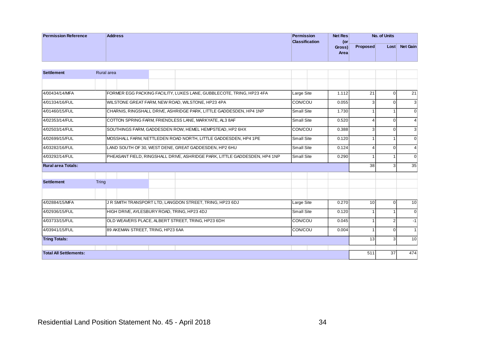| <b>Permission Reference</b> | <b>Address</b> | Permission            | Net Res |                 | No. of Units |                 |
|-----------------------------|----------------|-----------------------|---------|-----------------|--------------|-----------------|
|                             |                | <b>Classification</b> | (or     |                 |              |                 |
|                             |                |                       | Gross)  | <b>Proposed</b> | Lost         | <b>Net Gain</b> |
|                             |                |                       | Area    |                 |              |                 |
|                             |                |                       |         |                 |              |                 |

|                               |              |                                             |                                                                           |                   | Gross)<br>Area | <b>Proposed</b> |                | Lost Net Gain  |
|-------------------------------|--------------|---------------------------------------------|---------------------------------------------------------------------------|-------------------|----------------|-----------------|----------------|----------------|
| <b>Settlement</b>             |              | Rural area                                  |                                                                           |                   |                |                 |                |                |
|                               |              |                                             |                                                                           |                   |                |                 |                |                |
|                               |              |                                             |                                                                           |                   |                |                 |                |                |
| 4/00434/14/MFA                |              |                                             | FORMER EGG PACKING FACILITY, LUKES LANE, GUBBLECOTE, TRING, HP23 4FA      | Large Site        | 1.112          | 21              | $\mathbf{0}$   | 21             |
| 4/01334/16/FUL                |              |                                             | WILSTONE GREAT FARM, NEW ROAD, WILSTONE, HP23 4PA                         | CON/COU           | 0.055          | 3               | $\mathbf 0$    | $\mathbf{3}$   |
| 4/01460/15/FUL                |              |                                             | CHARNIS, RINGSHALL DRIVE, ASHRIDGE PARK, LITTLE GADDESDEN, HP4 1NP        | Small Site        | 1.730          | 1               | $\mathbf{1}$   | $\mathbf 0$    |
| 4/02353/14/FUL                |              |                                             | COTTON SPRING FARM, FRIENDLESS LANE, MARKYATE, AL3 8AF                    | Small Site        | 0.520          | $\overline{4}$  | $\overline{0}$ | $\overline{4}$ |
| 4/02503/14/FUL                |              |                                             | SOUTHINGS FARM, GADDESDEN ROW, HEMEL HEMPSTEAD, HP2 6HX                   | CON/COU           | 0.388          | 3               | $\mathbf{0}$   | $\sqrt{3}$     |
| 4/02699/15/FUL                |              |                                             | MOSSHALL FARM, NETTLEDEN ROAD NORTH, LITTLE GADDESDEN, HP4 1PE            | <b>Small Site</b> | 0.120          | $\overline{1}$  | 1              | $\mathbf{0}$   |
| 4/03282/16/FUL                |              |                                             | LAND SOUTH OF 30, WEST DENE, GREAT GADDESDEN, HP2 6HU                     | Small Site        | 0.124          | $\overline{4}$  | $\mathbf{0}$   | $\overline{4}$ |
| 4/03292/14/FUL                |              |                                             | PHEASANT FIELD, RINGSHALL DRIVE, ASHRIDGE PARK, LITTLE GADDESDEN, HP4 1NP | <b>Small Site</b> | 0.290          | $\mathbf{1}$    | $\mathbf{1}$   | $\mathbf 0$    |
| <b>Rural area Totals:</b>     |              |                                             |                                                                           |                   |                | 38              | 3              | 35             |
|                               |              |                                             |                                                                           |                   |                |                 |                |                |
| <b>Settlement</b>             | <b>Tring</b> |                                             |                                                                           |                   |                |                 |                |                |
|                               |              |                                             |                                                                           |                   |                |                 |                |                |
| 4/02884/15/MFA                |              |                                             | JR SMITH TRANSPORT LTD, LANGDON STREET, TRING, HP23 6DJ                   | Large Site        | 0.270          | 10              | $\mathbf 0$    | 10             |
| 4/02936/15/FUL                |              | HIGH DRIVE, AYLESBURY ROAD, TRING, HP23 4DJ |                                                                           | <b>Small Site</b> | 0.120          | $\mathbf{1}$    | 1              | $\mathbf 0$    |
| 4/03733/15/FUL                |              |                                             | OLD WEAVERS PLACE, ALBERT STREET, TRING, HP23 6DH                         | CON/COU           | 0.045          | $\overline{1}$  | $\overline{2}$ | $-1$           |
| 4/03941/15/FUL                |              | 89 AKEMAN STREET, TRING, HP23 6AA           |                                                                           | CON/COU           | 0.004          | $\overline{1}$  | $\overline{0}$ | $\mathbf{1}$   |
| <b>Tring Totals:</b>          |              |                                             |                                                                           |                   |                | 13              | $\overline{3}$ | 10             |
| <b>Total All Settlements:</b> |              |                                             |                                                                           |                   |                | 511             | 37             | 474            |
|                               |              |                                             |                                                                           |                   |                |                 |                |                |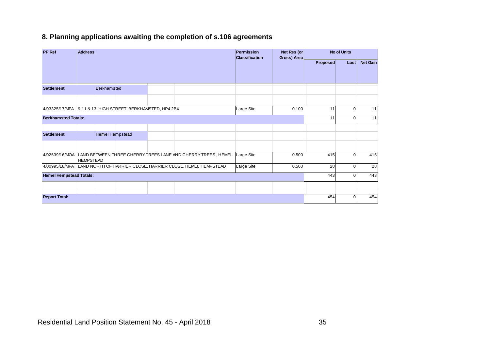## **8. Planning applications awaiting the completion of s.106 agreements**

| <b>PP Ref</b>                                               | <b>Address</b>   |                        |  |                                                                             | <b>Permission</b><br><b>Classification</b> | Net Res (or<br>Gross) Area |                 | <b>No of Units</b> |          |
|-------------------------------------------------------------|------------------|------------------------|--|-----------------------------------------------------------------------------|--------------------------------------------|----------------------------|-----------------|--------------------|----------|
|                                                             |                  |                        |  |                                                                             |                                            |                            | <b>Proposed</b> | Lost               | Net Gain |
|                                                             |                  |                        |  |                                                                             |                                            |                            |                 |                    |          |
| <b>Settlement</b>                                           |                  | <b>Berkhamsted</b>     |  |                                                                             |                                            |                            |                 |                    |          |
|                                                             |                  |                        |  |                                                                             |                                            |                            |                 |                    |          |
| 4/03325/17/MFA 9-11 & 13, HIGH STREET, BERKHAMSTED, HP4 2BX |                  |                        |  |                                                                             | Large Site                                 | 0.100                      | 11              | $\Omega$           | 11       |
| <b>Berkhamsted Totals:</b>                                  |                  |                        |  |                                                                             |                                            |                            | 11              | 0                  | 11       |
| <b>Settlement</b>                                           |                  | <b>Hemel Hempstead</b> |  |                                                                             |                                            |                            |                 |                    |          |
|                                                             | <b>HEMPSTEAD</b> |                        |  | 4/02539/16/MOA LAND BETWEEN THREE CHERRY TREES LANE AND CHERRY TREES, HEMEL | <b>Large Site</b>                          | 0.500                      | 415             | $\Omega$           | 415      |
| 4/00995/18/MFA                                              |                  |                        |  | LAND NORTH OF HARRIER CLOSE, HARRIER CLOSE, HEMEL HEMPSTEAD                 | Large Site                                 | 0.500                      | 28              | $\Omega$           | 28       |
| <b>Hemel Hempstead Totals:</b>                              |                  |                        |  |                                                                             |                                            |                            | 443             | U                  | 443      |
|                                                             |                  |                        |  |                                                                             |                                            |                            |                 |                    |          |
| <b>Report Total:</b>                                        |                  |                        |  |                                                                             |                                            |                            | 454             | 0                  | 454      |